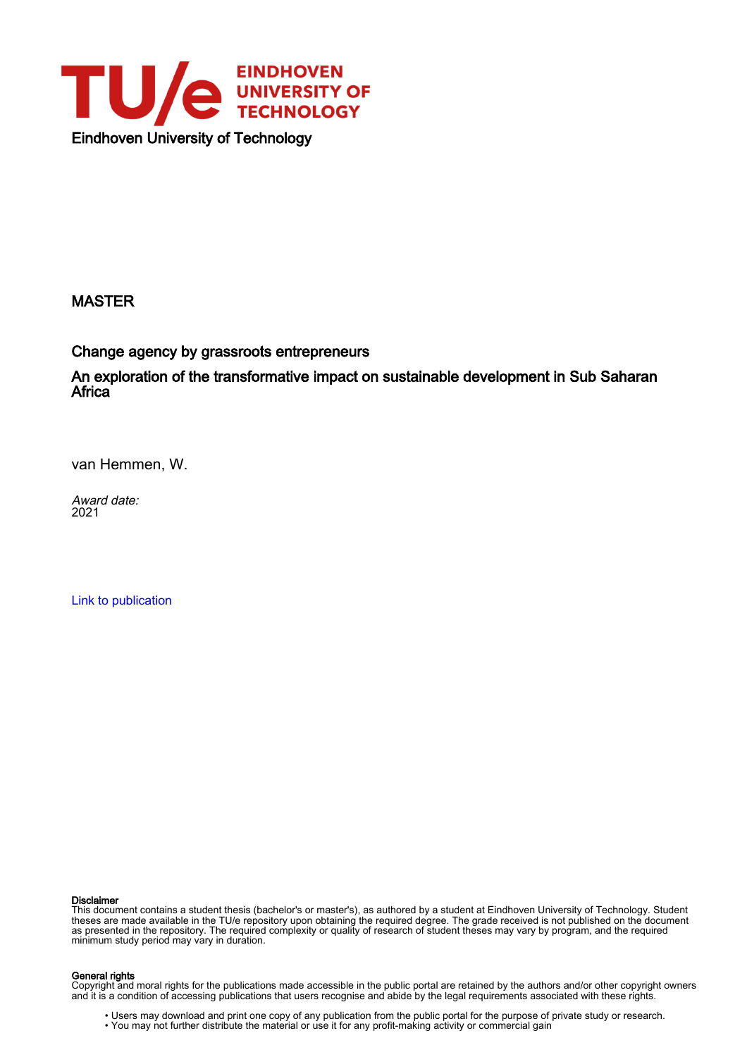

## MASTER

Change agency by grassroots entrepreneurs

An exploration of the transformative impact on sustainable development in Sub Saharan Africa<sup>-</sup>

van Hemmen, W.

Award date: 2021

[Link to publication](https://research.tue.nl/en/studentTheses/add12ecc-56d3-41b4-8b6c-9b823bc26a17)

#### Disclaimer

This document contains a student thesis (bachelor's or master's), as authored by a student at Eindhoven University of Technology. Student theses are made available in the TU/e repository upon obtaining the required degree. The grade received is not published on the document as presented in the repository. The required complexity or quality of research of student theses may vary by program, and the required minimum study period may vary in duration.

#### General rights

Copyright and moral rights for the publications made accessible in the public portal are retained by the authors and/or other copyright owners and it is a condition of accessing publications that users recognise and abide by the legal requirements associated with these rights.

• Users may download and print one copy of any publication from the public portal for the purpose of private study or research.<br>• You may not further distribute the material or use it for any profit-making activity or comm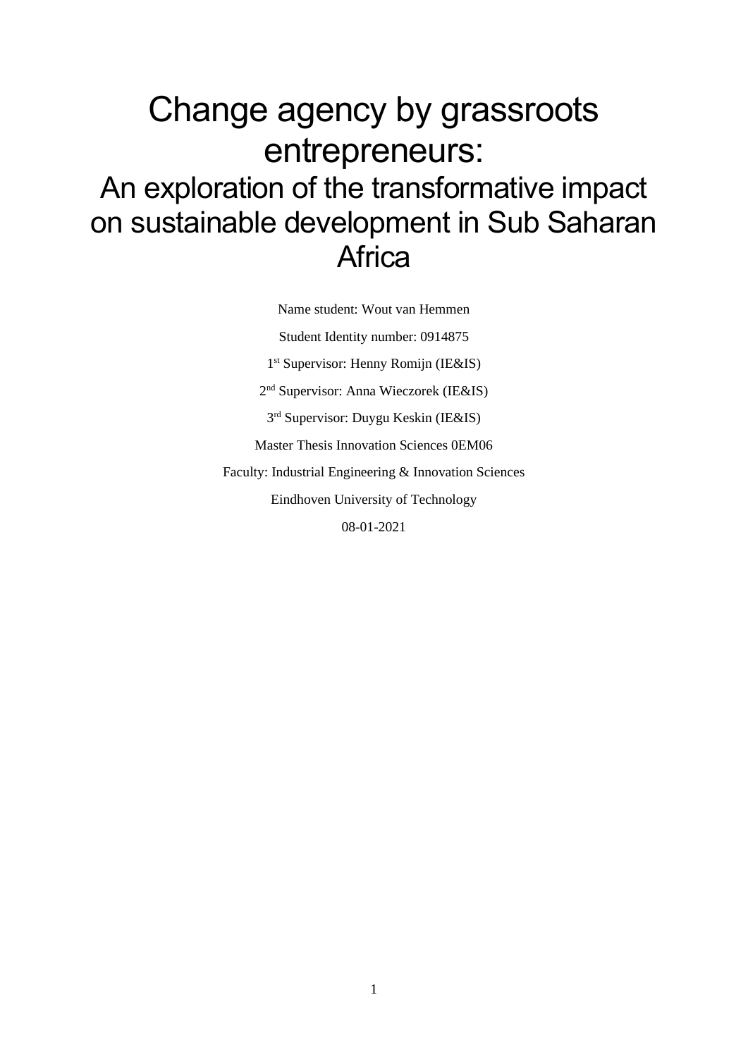# Change agency by grassroots entrepreneurs: An exploration of the transformative impact on sustainable development in Sub Saharan **Africa**

Name student: Wout van Hemmen Student Identity number: 0914875 1 st Supervisor: Henny Romijn (IE&IS) 2 nd Supervisor: Anna Wieczorek (IE&IS) 3 rd Supervisor: Duygu Keskin (IE&IS) Master Thesis Innovation Sciences 0EM06 Faculty: Industrial Engineering & Innovation Sciences Eindhoven University of Technology 08-01-2021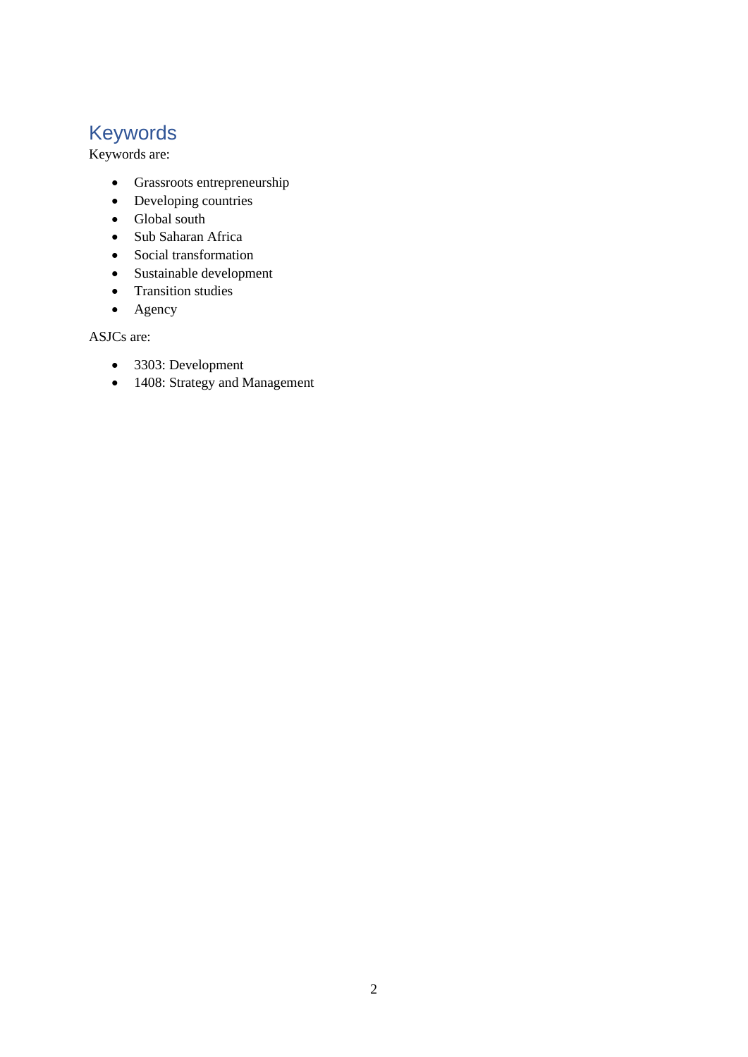## Keywords

Keywords are:

- Grassroots entrepreneurship
- Developing countries
- Global south
- Sub Saharan Africa
- Social transformation
- Sustainable development
- Transition studies
- Agency

ASJCs are:

- 3303: Development
- 1408: Strategy and Management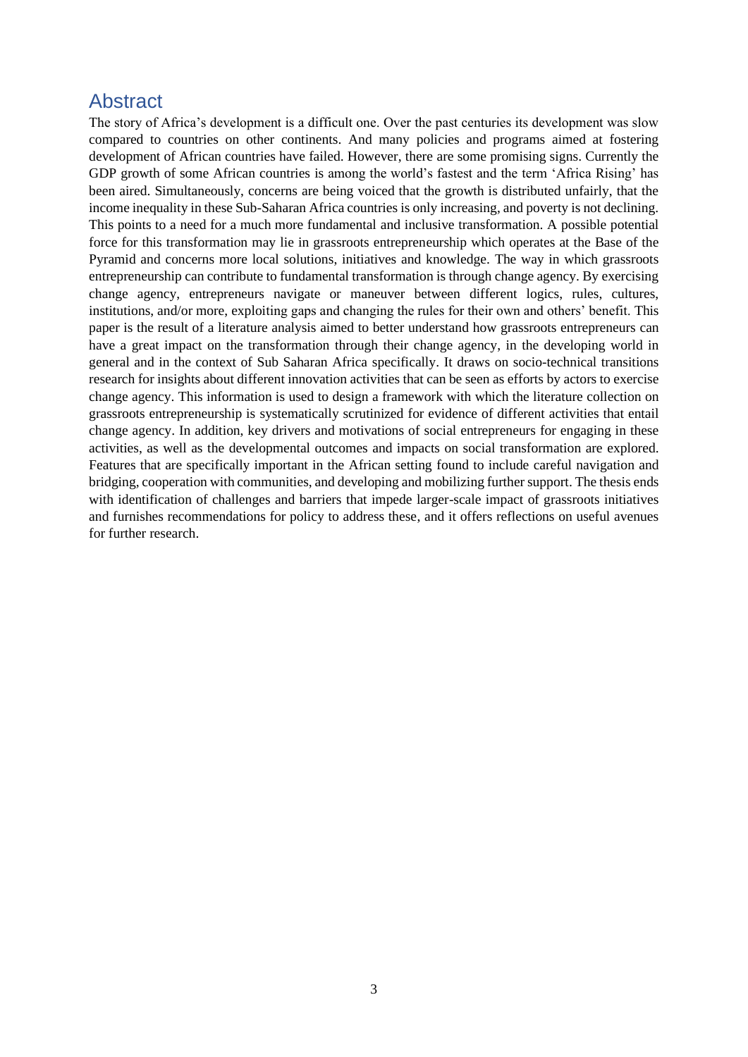## Abstract

The story of Africa's development is a difficult one. Over the past centuries its development was slow compared to countries on other continents. And many policies and programs aimed at fostering development of African countries have failed. However, there are some promising signs. Currently the GDP growth of some African countries is among the world's fastest and the term 'Africa Rising' has been aired. Simultaneously, concerns are being voiced that the growth is distributed unfairly, that the income inequality in these Sub-Saharan Africa countries is only increasing, and poverty is not declining. This points to a need for a much more fundamental and inclusive transformation. A possible potential force for this transformation may lie in grassroots entrepreneurship which operates at the Base of the Pyramid and concerns more local solutions, initiatives and knowledge. The way in which grassroots entrepreneurship can contribute to fundamental transformation is through change agency. By exercising change agency, entrepreneurs navigate or maneuver between different logics, rules, cultures, institutions, and/or more, exploiting gaps and changing the rules for their own and others' benefit. This paper is the result of a literature analysis aimed to better understand how grassroots entrepreneurs can have a great impact on the transformation through their change agency, in the developing world in general and in the context of Sub Saharan Africa specifically. It draws on socio-technical transitions research for insights about different innovation activities that can be seen as efforts by actors to exercise change agency. This information is used to design a framework with which the literature collection on grassroots entrepreneurship is systematically scrutinized for evidence of different activities that entail change agency. In addition, key drivers and motivations of social entrepreneurs for engaging in these activities, as well as the developmental outcomes and impacts on social transformation are explored. Features that are specifically important in the African setting found to include careful navigation and bridging, cooperation with communities, and developing and mobilizing further support. The thesis ends with identification of challenges and barriers that impede larger-scale impact of grassroots initiatives and furnishes recommendations for policy to address these, and it offers reflections on useful avenues for further research.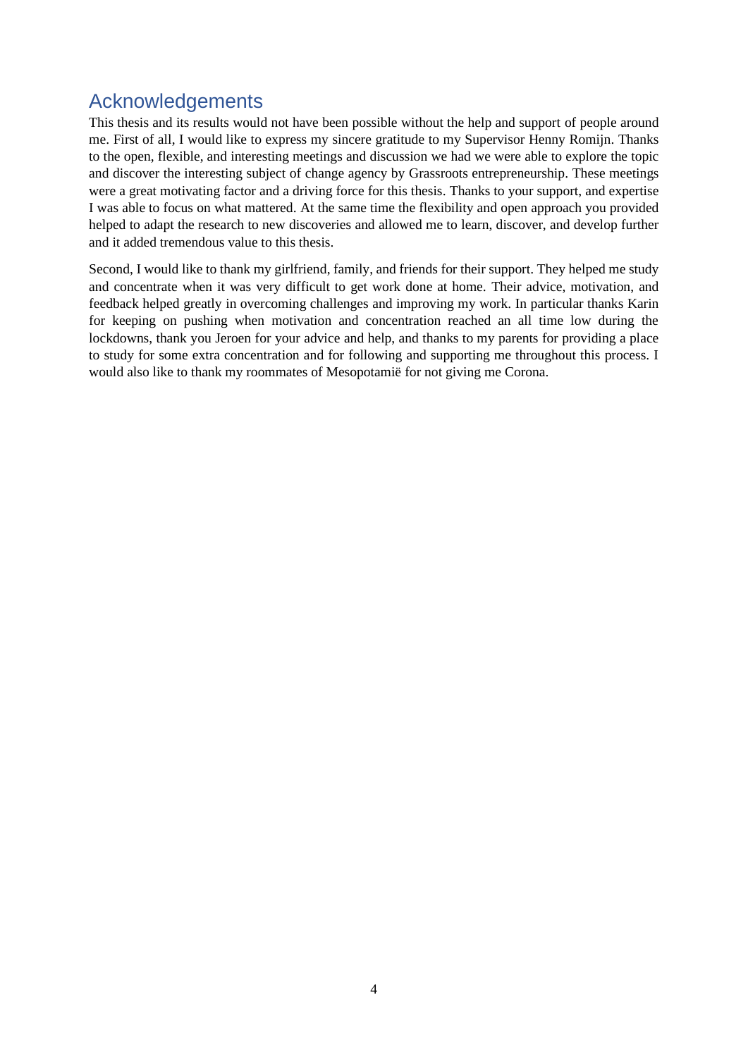## Acknowledgements

This thesis and its results would not have been possible without the help and support of people around me. First of all, I would like to express my sincere gratitude to my Supervisor Henny Romijn. Thanks to the open, flexible, and interesting meetings and discussion we had we were able to explore the topic and discover the interesting subject of change agency by Grassroots entrepreneurship. These meetings were a great motivating factor and a driving force for this thesis. Thanks to your support, and expertise I was able to focus on what mattered. At the same time the flexibility and open approach you provided helped to adapt the research to new discoveries and allowed me to learn, discover, and develop further and it added tremendous value to this thesis.

Second, I would like to thank my girlfriend, family, and friends for their support. They helped me study and concentrate when it was very difficult to get work done at home. Their advice, motivation, and feedback helped greatly in overcoming challenges and improving my work. In particular thanks Karin for keeping on pushing when motivation and concentration reached an all time low during the lockdowns, thank you Jeroen for your advice and help, and thanks to my parents for providing a place to study for some extra concentration and for following and supporting me throughout this process. I would also like to thank my roommates of Mesopotamië for not giving me Corona.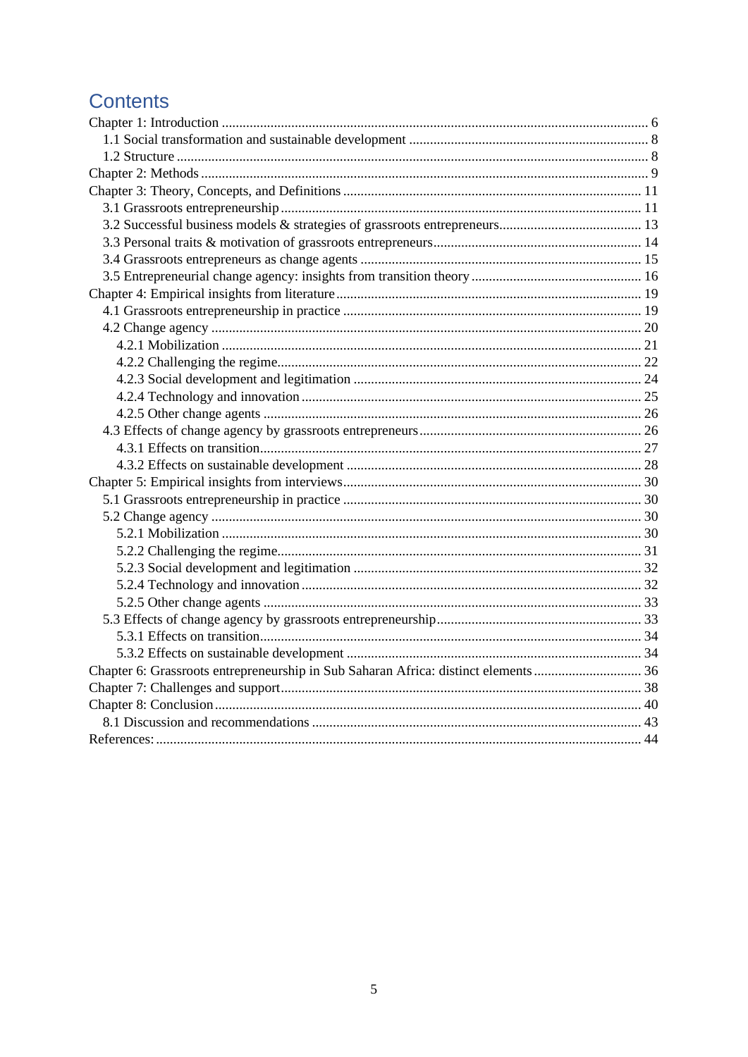## **Contents**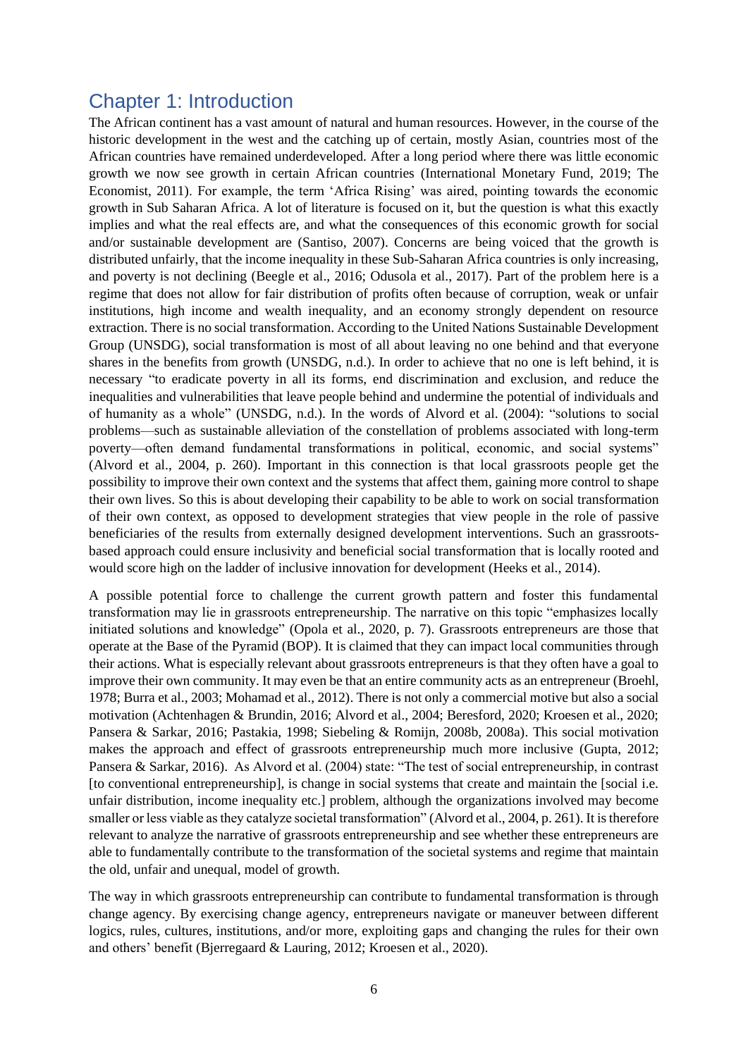## <span id="page-6-0"></span>Chapter 1: Introduction

The African continent has a vast amount of natural and human resources. However, in the course of the historic development in the west and the catching up of certain, mostly Asian, countries most of the African countries have remained underdeveloped. After a long period where there was little economic growth we now see growth in certain African countries (International Monetary Fund, 2019; The Economist, 2011). For example, the term 'Africa Rising' was aired, pointing towards the economic growth in Sub Saharan Africa. A lot of literature is focused on it, but the question is what this exactly implies and what the real effects are, and what the consequences of this economic growth for social and/or sustainable development are (Santiso, 2007). Concerns are being voiced that the growth is distributed unfairly, that the income inequality in these Sub-Saharan Africa countries is only increasing, and poverty is not declining (Beegle et al., 2016; Odusola et al., 2017). Part of the problem here is a regime that does not allow for fair distribution of profits often because of corruption, weak or unfair institutions, high income and wealth inequality, and an economy strongly dependent on resource extraction. There is no social transformation. According to the United Nations Sustainable Development Group (UNSDG), social transformation is most of all about leaving no one behind and that everyone shares in the benefits from growth (UNSDG, n.d.). In order to achieve that no one is left behind, it is necessary "to eradicate poverty in all its forms, end discrimination and exclusion, and reduce the inequalities and vulnerabilities that leave people behind and undermine the potential of individuals and of humanity as a whole" (UNSDG, n.d.). In the words of Alvord et al. (2004): "solutions to social problems—such as sustainable alleviation of the constellation of problems associated with long-term poverty—often demand fundamental transformations in political, economic, and social systems" (Alvord et al., 2004, p. 260). Important in this connection is that local grassroots people get the possibility to improve their own context and the systems that affect them, gaining more control to shape their own lives. So this is about developing their capability to be able to work on social transformation of their own context, as opposed to development strategies that view people in the role of passive beneficiaries of the results from externally designed development interventions. Such an grassrootsbased approach could ensure inclusivity and beneficial social transformation that is locally rooted and would score high on the ladder of inclusive innovation for development (Heeks et al., 2014).

A possible potential force to challenge the current growth pattern and foster this fundamental transformation may lie in grassroots entrepreneurship. The narrative on this topic "emphasizes locally initiated solutions and knowledge" (Opola et al., 2020, p. 7). Grassroots entrepreneurs are those that operate at the Base of the Pyramid (BOP). It is claimed that they can impact local communities through their actions. What is especially relevant about grassroots entrepreneurs is that they often have a goal to improve their own community. It may even be that an entire community acts as an entrepreneur (Broehl, 1978; Burra et al., 2003; Mohamad et al., 2012). There is not only a commercial motive but also a social motivation (Achtenhagen & Brundin, 2016; Alvord et al., 2004; Beresford, 2020; Kroesen et al., 2020; Pansera & Sarkar, 2016; Pastakia, 1998; Siebeling & Romijn, 2008b, 2008a). This social motivation makes the approach and effect of grassroots entrepreneurship much more inclusive (Gupta, 2012; Pansera & Sarkar, 2016). As Alvord et al. (2004) state: "The test of social entrepreneurship, in contrast [to conventional entrepreneurship], is change in social systems that create and maintain the [social i.e. unfair distribution, income inequality etc.] problem, although the organizations involved may become smaller or less viable as they catalyze societal transformation" (Alvord et al., 2004, p. 261). It is therefore relevant to analyze the narrative of grassroots entrepreneurship and see whether these entrepreneurs are able to fundamentally contribute to the transformation of the societal systems and regime that maintain the old, unfair and unequal, model of growth.

The way in which grassroots entrepreneurship can contribute to fundamental transformation is through change agency. By exercising change agency, entrepreneurs navigate or maneuver between different logics, rules, cultures, institutions, and/or more, exploiting gaps and changing the rules for their own and others' benefit (Bjerregaard & Lauring, 2012; Kroesen et al., 2020).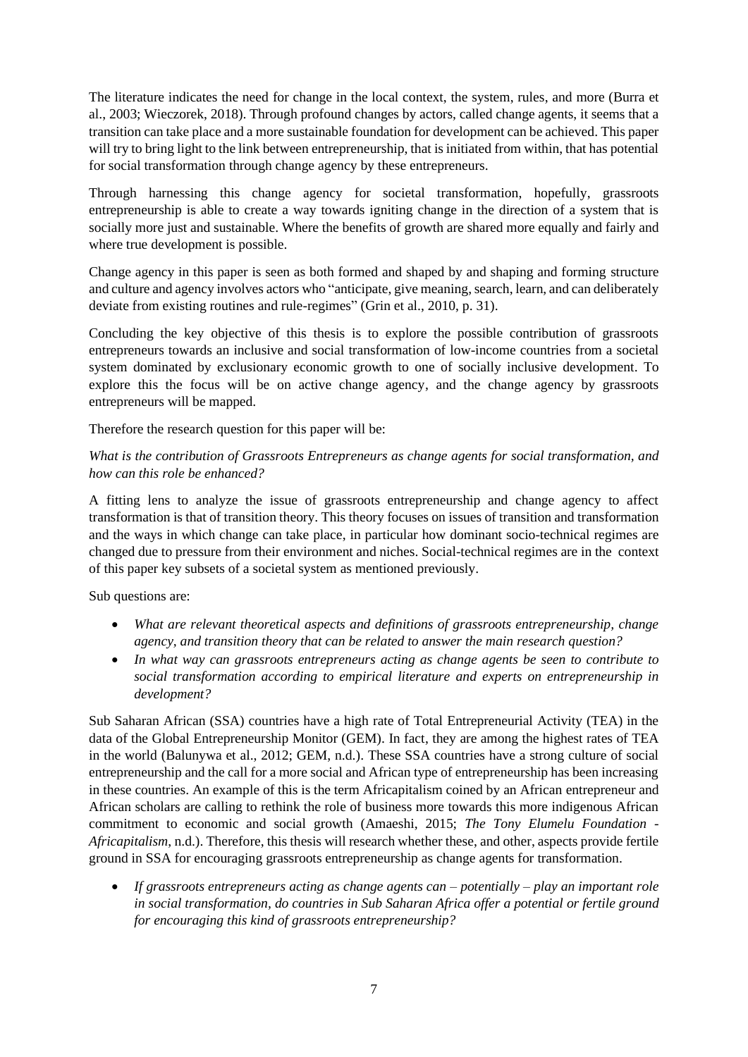The literature indicates the need for change in the local context, the system, rules, and more (Burra et al., 2003; Wieczorek, 2018). Through profound changes by actors, called change agents, it seems that a transition can take place and a more sustainable foundation for development can be achieved. This paper will try to bring light to the link between entrepreneurship, that is initiated from within, that has potential for social transformation through change agency by these entrepreneurs.

Through harnessing this change agency for societal transformation, hopefully, grassroots entrepreneurship is able to create a way towards igniting change in the direction of a system that is socially more just and sustainable. Where the benefits of growth are shared more equally and fairly and where true development is possible.

Change agency in this paper is seen as both formed and shaped by and shaping and forming structure and culture and agency involves actors who "anticipate, give meaning, search, learn, and can deliberately deviate from existing routines and rule-regimes" (Grin et al., 2010, p. 31).

Concluding the key objective of this thesis is to explore the possible contribution of grassroots entrepreneurs towards an inclusive and social transformation of low-income countries from a societal system dominated by exclusionary economic growth to one of socially inclusive development. To explore this the focus will be on active change agency, and the change agency by grassroots entrepreneurs will be mapped.

Therefore the research question for this paper will be:

## *What is the contribution of Grassroots Entrepreneurs as change agents for social transformation, and how can this role be enhanced?*

A fitting lens to analyze the issue of grassroots entrepreneurship and change agency to affect transformation is that of transition theory. This theory focuses on issues of transition and transformation and the ways in which change can take place, in particular how dominant socio-technical regimes are changed due to pressure from their environment and niches. Social-technical regimes are in the context of this paper key subsets of a societal system as mentioned previously.

Sub questions are:

- *What are relevant theoretical aspects and definitions of grassroots entrepreneurship, change agency, and transition theory that can be related to answer the main research question?*
- *In what way can grassroots entrepreneurs acting as change agents be seen to contribute to social transformation according to empirical literature and experts on entrepreneurship in development?*

Sub Saharan African (SSA) countries have a high rate of Total Entrepreneurial Activity (TEA) in the data of the Global Entrepreneurship Monitor (GEM). In fact, they are among the highest rates of TEA in the world (Balunywa et al., 2012; GEM, n.d.). These SSA countries have a strong culture of social entrepreneurship and the call for a more social and African type of entrepreneurship has been increasing in these countries. An example of this is the term Africapitalism coined by an African entrepreneur and African scholars are calling to rethink the role of business more towards this more indigenous African commitment to economic and social growth (Amaeshi, 2015; *The Tony Elumelu Foundation - Africapitalism*, n.d.). Therefore, this thesis will research whether these, and other, aspects provide fertile ground in SSA for encouraging grassroots entrepreneurship as change agents for transformation.

• *If grassroots entrepreneurs acting as change agents can – potentially – play an important role in social transformation, do countries in Sub Saharan Africa offer a potential or fertile ground for encouraging this kind of grassroots entrepreneurship?*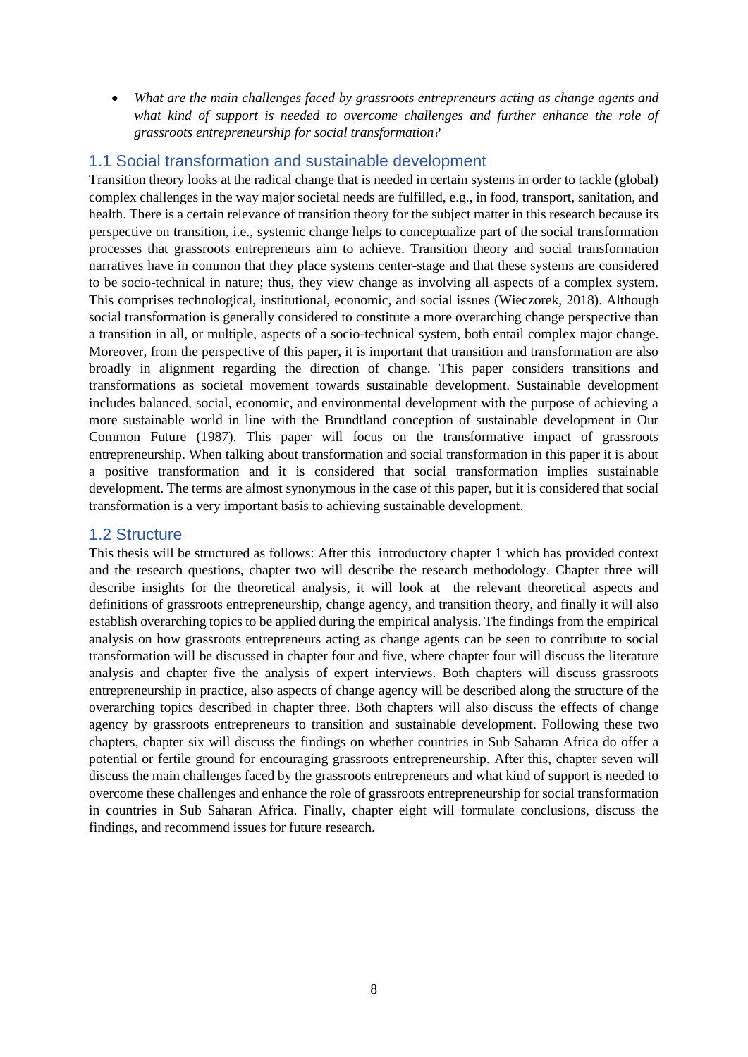• *What are the main challenges faced by grassroots entrepreneurs acting as change agents and what kind of support is needed to overcome challenges and further enhance the role of grassroots entrepreneurship for social transformation?*

## <span id="page-8-0"></span>1.1 Social transformation and sustainable development

Transition theory looks at the radical change that is needed in certain systems in order to tackle (global) complex challenges in the way major societal needs are fulfilled, e.g., in food, transport, sanitation, and health. There is a certain relevance of transition theory for the subject matter in this research because its perspective on transition, i.e., systemic change helps to conceptualize part of the social transformation processes that grassroots entrepreneurs aim to achieve. Transition theory and social transformation narratives have in common that they place systems center-stage and that these systems are considered to be socio-technical in nature; thus, they view change as involving all aspects of a complex system. This comprises technological, institutional, economic, and social issues (Wieczorek, 2018). Although social transformation is generally considered to constitute a more overarching change perspective than a transition in all, or multiple, aspects of a socio-technical system, both entail complex major change. Moreover, from the perspective of this paper, it is important that transition and transformation are also broadly in alignment regarding the direction of change. This paper considers transitions and transformations as societal movement towards sustainable development. Sustainable development includes balanced, social, economic, and environmental development with the purpose of achieving a more sustainable world in line with the Brundtland conception of sustainable development in Our Common Future (1987). This paper will focus on the transformative impact of grassroots entrepreneurship. When talking about transformation and social transformation in this paper it is about a positive transformation and it is considered that social transformation implies sustainable development. The terms are almost synonymous in the case of this paper, but it is considered that social transformation is a very important basis to achieving sustainable development.

## <span id="page-8-1"></span>1.2 Structure

This thesis will be structured as follows: After this introductory chapter 1 which has provided context and the research questions, chapter two will describe the research methodology. Chapter three will describe insights for the theoretical analysis, it will look at the relevant theoretical aspects and definitions of grassroots entrepreneurship, change agency, and transition theory, and finally it will also establish overarching topics to be applied during the empirical analysis. The findings from the empirical analysis on how grassroots entrepreneurs acting as change agents can be seen to contribute to social transformation will be discussed in chapter four and five, where chapter four will discuss the literature analysis and chapter five the analysis of expert interviews. Both chapters will discuss grassroots entrepreneurship in practice, also aspects of change agency will be described along the structure of the overarching topics described in chapter three. Both chapters will also discuss the effects of change agency by grassroots entrepreneurs to transition and sustainable development. Following these two chapters, chapter six will discuss the findings on whether countries in Sub Saharan Africa do offer a potential or fertile ground for encouraging grassroots entrepreneurship. After this, chapter seven will discuss the main challenges faced by the grassroots entrepreneurs and what kind of support is needed to overcome these challenges and enhance the role of grassroots entrepreneurship for social transformation in countries in Sub Saharan Africa. Finally, chapter eight will formulate conclusions, discuss the findings, and recommend issues for future research.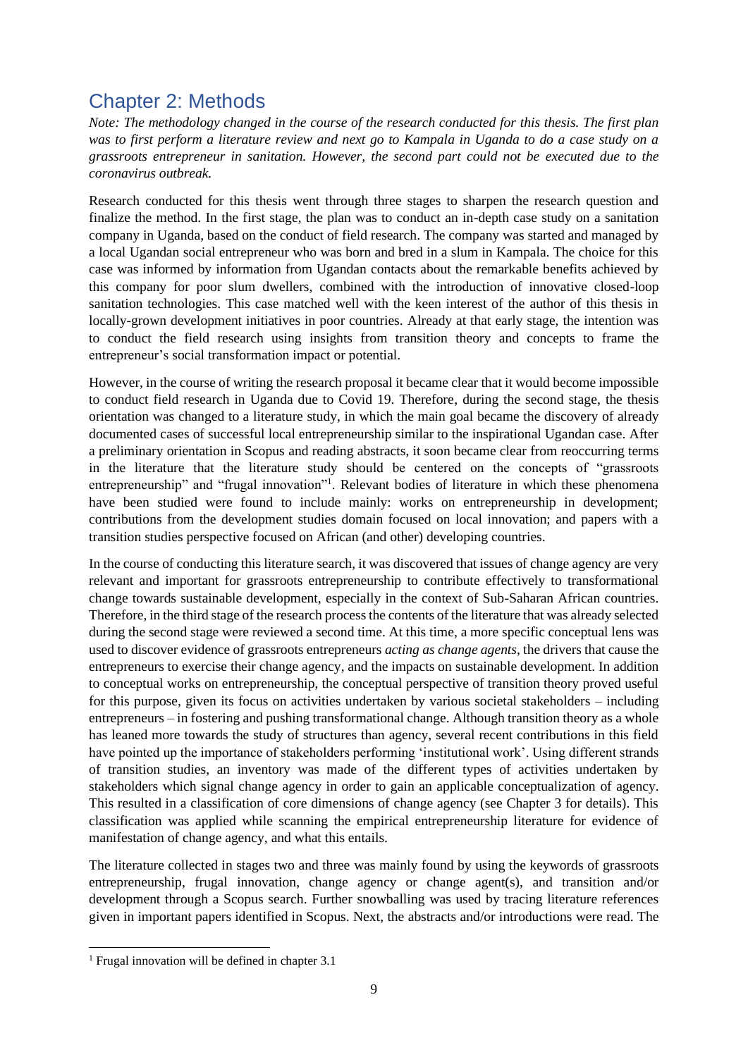## <span id="page-9-0"></span>Chapter 2: Methods

*Note: The methodology changed in the course of the research conducted for this thesis. The first plan was to first perform a literature review and next go to Kampala in Uganda to do a case study on a grassroots entrepreneur in sanitation. However, the second part could not be executed due to the coronavirus outbreak.*

Research conducted for this thesis went through three stages to sharpen the research question and finalize the method. In the first stage, the plan was to conduct an in-depth case study on a sanitation company in Uganda, based on the conduct of field research. The company was started and managed by a local Ugandan social entrepreneur who was born and bred in a slum in Kampala. The choice for this case was informed by information from Ugandan contacts about the remarkable benefits achieved by this company for poor slum dwellers, combined with the introduction of innovative closed-loop sanitation technologies. This case matched well with the keen interest of the author of this thesis in locally-grown development initiatives in poor countries. Already at that early stage, the intention was to conduct the field research using insights from transition theory and concepts to frame the entrepreneur's social transformation impact or potential.

However, in the course of writing the research proposal it became clear that it would become impossible to conduct field research in Uganda due to Covid 19. Therefore, during the second stage, the thesis orientation was changed to a literature study, in which the main goal became the discovery of already documented cases of successful local entrepreneurship similar to the inspirational Ugandan case. After a preliminary orientation in Scopus and reading abstracts, it soon became clear from reoccurring terms in the literature that the literature study should be centered on the concepts of "grassroots entrepreneurship" and "frugal innovation"<sup>1</sup>. Relevant bodies of literature in which these phenomena have been studied were found to include mainly: works on entrepreneurship in development; contributions from the development studies domain focused on local innovation; and papers with a transition studies perspective focused on African (and other) developing countries.

In the course of conducting this literature search, it was discovered that issues of change agency are very relevant and important for grassroots entrepreneurship to contribute effectively to transformational change towards sustainable development, especially in the context of Sub-Saharan African countries. Therefore, in the third stage of the research process the contents of the literature that was already selected during the second stage were reviewed a second time. At this time, a more specific conceptual lens was used to discover evidence of grassroots entrepreneurs *acting as change agents*, the drivers that cause the entrepreneurs to exercise their change agency, and the impacts on sustainable development. In addition to conceptual works on entrepreneurship, the conceptual perspective of transition theory proved useful for this purpose, given its focus on activities undertaken by various societal stakeholders – including entrepreneurs – in fostering and pushing transformational change. Although transition theory as a whole has leaned more towards the study of structures than agency, several recent contributions in this field have pointed up the importance of stakeholders performing 'institutional work'. Using different strands of transition studies, an inventory was made of the different types of activities undertaken by stakeholders which signal change agency in order to gain an applicable conceptualization of agency. This resulted in a classification of core dimensions of change agency (see Chapter 3 for details). This classification was applied while scanning the empirical entrepreneurship literature for evidence of manifestation of change agency, and what this entails.

The literature collected in stages two and three was mainly found by using the keywords of grassroots entrepreneurship, frugal innovation, change agency or change agent(s), and transition and/or development through a Scopus search. Further snowballing was used by tracing literature references given in important papers identified in Scopus. Next, the abstracts and/or introductions were read. The

<sup>&</sup>lt;sup>1</sup> Frugal innovation will be defined in chapter  $3.1$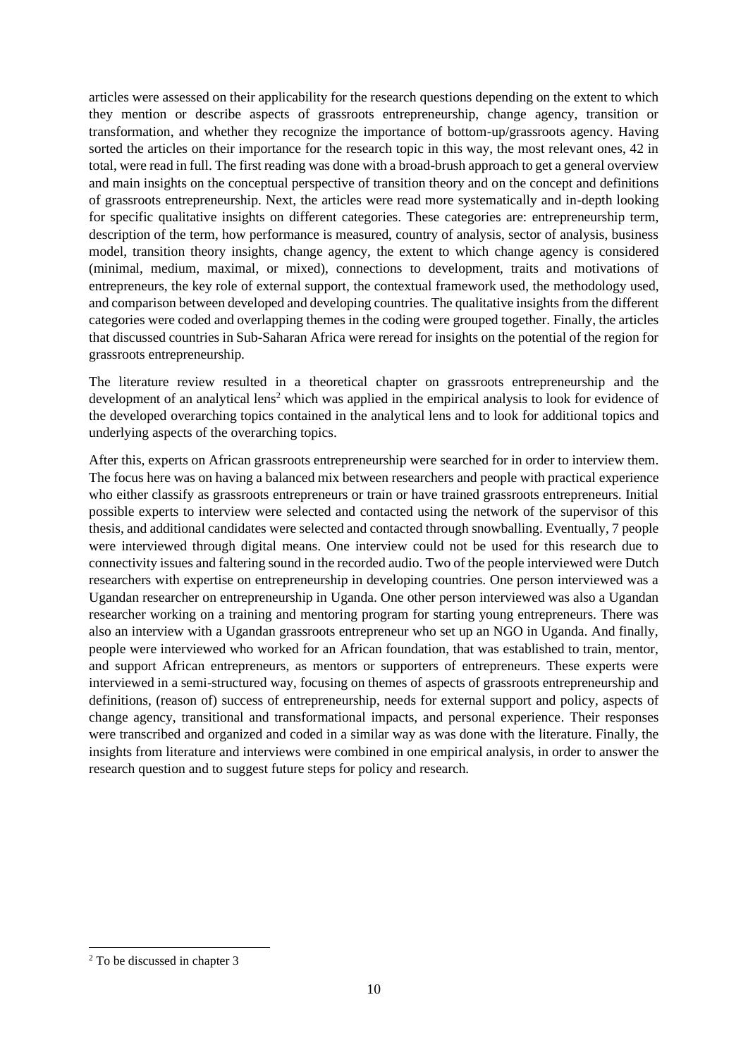articles were assessed on their applicability for the research questions depending on the extent to which they mention or describe aspects of grassroots entrepreneurship, change agency, transition or transformation, and whether they recognize the importance of bottom-up/grassroots agency. Having sorted the articles on their importance for the research topic in this way, the most relevant ones, 42 in total, were read in full. The first reading was done with a broad-brush approach to get a general overview and main insights on the conceptual perspective of transition theory and on the concept and definitions of grassroots entrepreneurship. Next, the articles were read more systematically and in-depth looking for specific qualitative insights on different categories. These categories are: entrepreneurship term, description of the term, how performance is measured, country of analysis, sector of analysis, business model, transition theory insights, change agency, the extent to which change agency is considered (minimal, medium, maximal, or mixed), connections to development, traits and motivations of entrepreneurs, the key role of external support, the contextual framework used, the methodology used, and comparison between developed and developing countries. The qualitative insights from the different categories were coded and overlapping themes in the coding were grouped together. Finally, the articles that discussed countries in Sub-Saharan Africa were reread for insights on the potential of the region for grassroots entrepreneurship.

The literature review resulted in a theoretical chapter on grassroots entrepreneurship and the development of an analytical lens<sup>2</sup> which was applied in the empirical analysis to look for evidence of the developed overarching topics contained in the analytical lens and to look for additional topics and underlying aspects of the overarching topics.

After this, experts on African grassroots entrepreneurship were searched for in order to interview them. The focus here was on having a balanced mix between researchers and people with practical experience who either classify as grassroots entrepreneurs or train or have trained grassroots entrepreneurs. Initial possible experts to interview were selected and contacted using the network of the supervisor of this thesis, and additional candidates were selected and contacted through snowballing. Eventually, 7 people were interviewed through digital means. One interview could not be used for this research due to connectivity issues and faltering sound in the recorded audio. Two of the people interviewed were Dutch researchers with expertise on entrepreneurship in developing countries. One person interviewed was a Ugandan researcher on entrepreneurship in Uganda. One other person interviewed was also a Ugandan researcher working on a training and mentoring program for starting young entrepreneurs. There was also an interview with a Ugandan grassroots entrepreneur who set up an NGO in Uganda. And finally, people were interviewed who worked for an African foundation, that was established to train, mentor, and support African entrepreneurs, as mentors or supporters of entrepreneurs. These experts were interviewed in a semi-structured way, focusing on themes of aspects of grassroots entrepreneurship and definitions, (reason of) success of entrepreneurship, needs for external support and policy, aspects of change agency, transitional and transformational impacts, and personal experience. Their responses were transcribed and organized and coded in a similar way as was done with the literature. Finally, the insights from literature and interviews were combined in one empirical analysis, in order to answer the research question and to suggest future steps for policy and research.

<sup>2</sup> To be discussed in chapter 3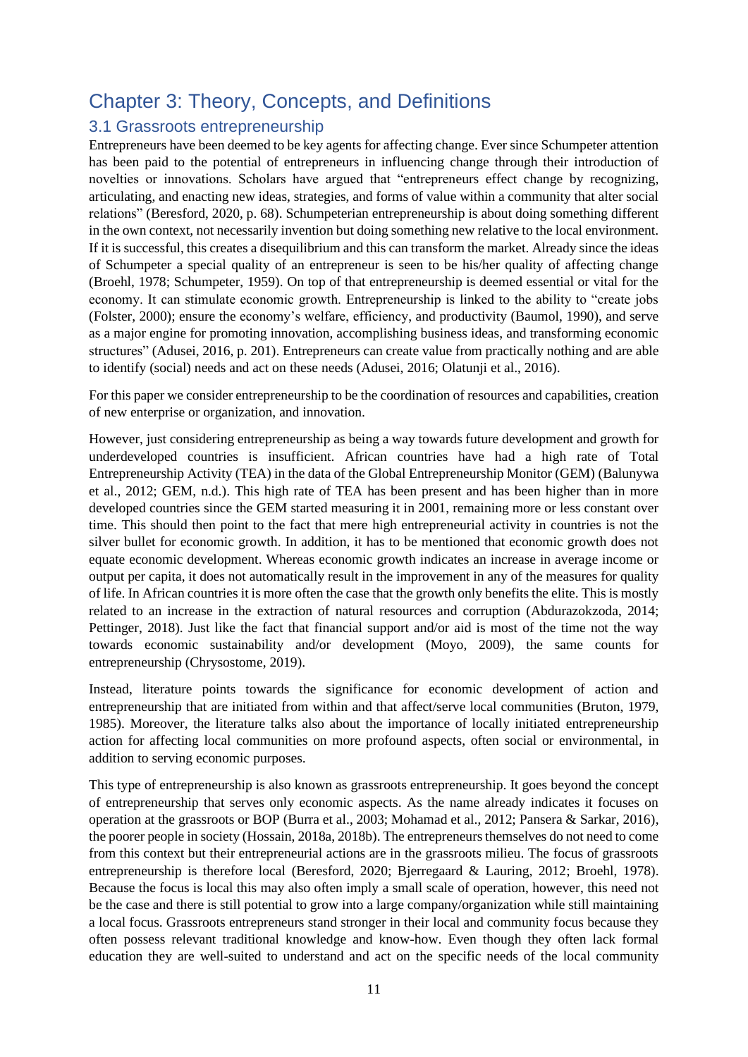## <span id="page-11-0"></span>Chapter 3: Theory, Concepts, and Definitions

## <span id="page-11-1"></span>3.1 Grassroots entrepreneurship

Entrepreneurs have been deemed to be key agents for affecting change. Ever since Schumpeter attention has been paid to the potential of entrepreneurs in influencing change through their introduction of novelties or innovations. Scholars have argued that "entrepreneurs effect change by recognizing, articulating, and enacting new ideas, strategies, and forms of value within a community that alter social relations" (Beresford, 2020, p. 68). Schumpeterian entrepreneurship is about doing something different in the own context, not necessarily invention but doing something new relative to the local environment. If it is successful, this creates a disequilibrium and this can transform the market. Already since the ideas of Schumpeter a special quality of an entrepreneur is seen to be his/her quality of affecting change (Broehl, 1978; Schumpeter, 1959). On top of that entrepreneurship is deemed essential or vital for the economy. It can stimulate economic growth. Entrepreneurship is linked to the ability to "create jobs (Folster, 2000); ensure the economy's welfare, efficiency, and productivity (Baumol, 1990), and serve as a major engine for promoting innovation, accomplishing business ideas, and transforming economic structures" (Adusei, 2016, p. 201). Entrepreneurs can create value from practically nothing and are able to identify (social) needs and act on these needs (Adusei, 2016; Olatunji et al., 2016).

For this paper we consider entrepreneurship to be the coordination of resources and capabilities, creation of new enterprise or organization, and innovation.

However, just considering entrepreneurship as being a way towards future development and growth for underdeveloped countries is insufficient. African countries have had a high rate of Total Entrepreneurship Activity (TEA) in the data of the Global Entrepreneurship Monitor (GEM) (Balunywa et al., 2012; GEM, n.d.). This high rate of TEA has been present and has been higher than in more developed countries since the GEM started measuring it in 2001, remaining more or less constant over time. This should then point to the fact that mere high entrepreneurial activity in countries is not the silver bullet for economic growth. In addition, it has to be mentioned that economic growth does not equate economic development. Whereas economic growth indicates an increase in average income or output per capita, it does not automatically result in the improvement in any of the measures for quality of life. In African countries it is more often the case that the growth only benefits the elite. This is mostly related to an increase in the extraction of natural resources and corruption (Abdurazokzoda, 2014; Pettinger, 2018). Just like the fact that financial support and/or aid is most of the time not the way towards economic sustainability and/or development (Moyo, 2009), the same counts for entrepreneurship (Chrysostome, 2019).

Instead, literature points towards the significance for economic development of action and entrepreneurship that are initiated from within and that affect/serve local communities (Bruton, 1979, 1985). Moreover, the literature talks also about the importance of locally initiated entrepreneurship action for affecting local communities on more profound aspects, often social or environmental, in addition to serving economic purposes.

This type of entrepreneurship is also known as grassroots entrepreneurship. It goes beyond the concept of entrepreneurship that serves only economic aspects. As the name already indicates it focuses on operation at the grassroots or BOP (Burra et al., 2003; Mohamad et al., 2012; Pansera & Sarkar, 2016), the poorer people in society (Hossain, 2018a, 2018b). The entrepreneurs themselves do not need to come from this context but their entrepreneurial actions are in the grassroots milieu. The focus of grassroots entrepreneurship is therefore local (Beresford, 2020; Bjerregaard & Lauring, 2012; Broehl, 1978). Because the focus is local this may also often imply a small scale of operation, however, this need not be the case and there is still potential to grow into a large company/organization while still maintaining a local focus. Grassroots entrepreneurs stand stronger in their local and community focus because they often possess relevant traditional knowledge and know-how. Even though they often lack formal education they are well-suited to understand and act on the specific needs of the local community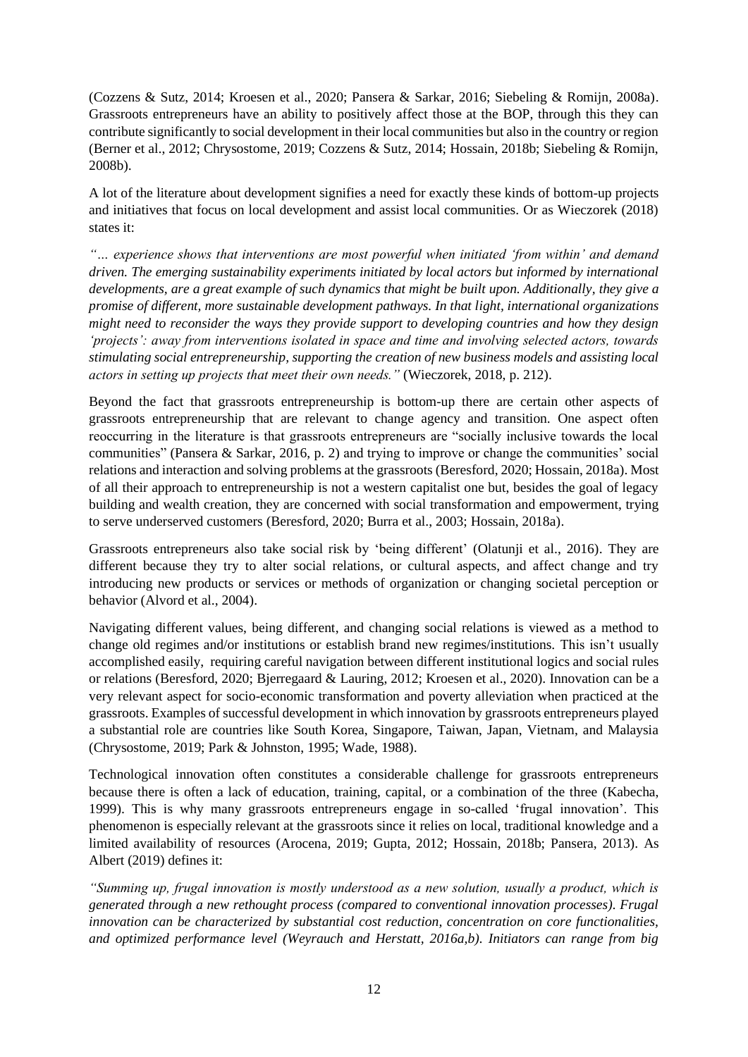(Cozzens & Sutz, 2014; Kroesen et al., 2020; Pansera & Sarkar, 2016; Siebeling & Romijn, 2008a). Grassroots entrepreneurs have an ability to positively affect those at the BOP, through this they can contribute significantly to social development in their local communities but also in the country or region (Berner et al., 2012; Chrysostome, 2019; Cozzens & Sutz, 2014; Hossain, 2018b; Siebeling & Romijn, 2008b).

A lot of the literature about development signifies a need for exactly these kinds of bottom-up projects and initiatives that focus on local development and assist local communities. Or as Wieczorek (2018) states it:

*"… experience shows that interventions are most powerful when initiated 'from within' and demand driven. The emerging sustainability experiments initiated by local actors but informed by international developments, are a great example of such dynamics that might be built upon. Additionally, they give a promise of different, more sustainable development pathways. In that light, international organizations might need to reconsider the ways they provide support to developing countries and how they design 'projects': away from interventions isolated in space and time and involving selected actors, towards stimulating social entrepreneurship, supporting the creation of new business models and assisting local actors in setting up projects that meet their own needs."* (Wieczorek, 2018, p. 212).

Beyond the fact that grassroots entrepreneurship is bottom-up there are certain other aspects of grassroots entrepreneurship that are relevant to change agency and transition. One aspect often reoccurring in the literature is that grassroots entrepreneurs are "socially inclusive towards the local communities" (Pansera & Sarkar, 2016, p. 2) and trying to improve or change the communities' social relations and interaction and solving problems at the grassroots (Beresford, 2020; Hossain, 2018a). Most of all their approach to entrepreneurship is not a western capitalist one but, besides the goal of legacy building and wealth creation, they are concerned with social transformation and empowerment, trying to serve underserved customers (Beresford, 2020; Burra et al., 2003; Hossain, 2018a).

Grassroots entrepreneurs also take social risk by 'being different' (Olatunji et al., 2016). They are different because they try to alter social relations, or cultural aspects, and affect change and try introducing new products or services or methods of organization or changing societal perception or behavior (Alvord et al., 2004).

Navigating different values, being different, and changing social relations is viewed as a method to change old regimes and/or institutions or establish brand new regimes/institutions. This isn't usually accomplished easily, requiring careful navigation between different institutional logics and social rules or relations (Beresford, 2020; Bjerregaard & Lauring, 2012; Kroesen et al., 2020). Innovation can be a very relevant aspect for socio-economic transformation and poverty alleviation when practiced at the grassroots. Examples of successful development in which innovation by grassroots entrepreneurs played a substantial role are countries like South Korea, Singapore, Taiwan, Japan, Vietnam, and Malaysia (Chrysostome, 2019; Park & Johnston, 1995; Wade, 1988).

Technological innovation often constitutes a considerable challenge for grassroots entrepreneurs because there is often a lack of education, training, capital, or a combination of the three (Kabecha, 1999). This is why many grassroots entrepreneurs engage in so-called 'frugal innovation'. This phenomenon is especially relevant at the grassroots since it relies on local, traditional knowledge and a limited availability of resources (Arocena, 2019; Gupta, 2012; Hossain, 2018b; Pansera, 2013). As Albert (2019) defines it:

*"Summing up, frugal innovation is mostly understood as a new solution, usually a product, which is generated through a new rethought process (compared to conventional innovation processes). Frugal innovation can be characterized by substantial cost reduction, concentration on core functionalities, and optimized performance level (Weyrauch and Herstatt, 2016a,b). Initiators can range from big*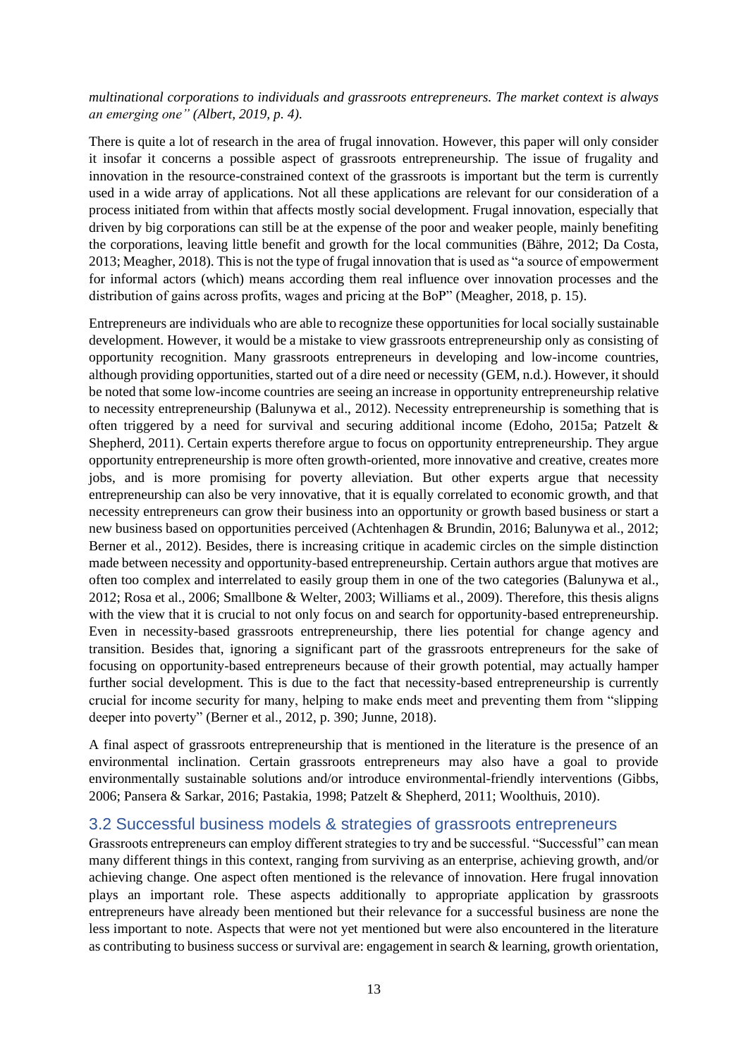#### *multinational corporations to individuals and grassroots entrepreneurs. The market context is always an emerging one" (Albert, 2019, p. 4).*

There is quite a lot of research in the area of frugal innovation. However, this paper will only consider it insofar it concerns a possible aspect of grassroots entrepreneurship. The issue of frugality and innovation in the resource-constrained context of the grassroots is important but the term is currently used in a wide array of applications. Not all these applications are relevant for our consideration of a process initiated from within that affects mostly social development. Frugal innovation, especially that driven by big corporations can still be at the expense of the poor and weaker people, mainly benefiting the corporations, leaving little benefit and growth for the local communities (Bähre, 2012; Da Costa, 2013; Meagher, 2018). This is not the type of frugal innovation that is used as "a source of empowerment for informal actors (which) means according them real influence over innovation processes and the distribution of gains across profits, wages and pricing at the BoP" (Meagher, 2018, p. 15).

Entrepreneurs are individuals who are able to recognize these opportunities for local socially sustainable development. However, it would be a mistake to view grassroots entrepreneurship only as consisting of opportunity recognition. Many grassroots entrepreneurs in developing and low-income countries, although providing opportunities, started out of a dire need or necessity (GEM, n.d.). However, it should be noted that some low-income countries are seeing an increase in opportunity entrepreneurship relative to necessity entrepreneurship (Balunywa et al., 2012). Necessity entrepreneurship is something that is often triggered by a need for survival and securing additional income (Edoho, 2015a; Patzelt & Shepherd, 2011). Certain experts therefore argue to focus on opportunity entrepreneurship. They argue opportunity entrepreneurship is more often growth-oriented, more innovative and creative, creates more jobs, and is more promising for poverty alleviation. But other experts argue that necessity entrepreneurship can also be very innovative, that it is equally correlated to economic growth, and that necessity entrepreneurs can grow their business into an opportunity or growth based business or start a new business based on opportunities perceived (Achtenhagen & Brundin, 2016; Balunywa et al., 2012; Berner et al., 2012). Besides, there is increasing critique in academic circles on the simple distinction made between necessity and opportunity-based entrepreneurship. Certain authors argue that motives are often too complex and interrelated to easily group them in one of the two categories (Balunywa et al., 2012; Rosa et al., 2006; Smallbone & Welter, 2003; Williams et al., 2009). Therefore, this thesis aligns with the view that it is crucial to not only focus on and search for opportunity-based entrepreneurship. Even in necessity-based grassroots entrepreneurship, there lies potential for change agency and transition. Besides that, ignoring a significant part of the grassroots entrepreneurs for the sake of focusing on opportunity-based entrepreneurs because of their growth potential, may actually hamper further social development. This is due to the fact that necessity-based entrepreneurship is currently crucial for income security for many, helping to make ends meet and preventing them from "slipping deeper into poverty" (Berner et al., 2012, p. 390; Junne, 2018).

A final aspect of grassroots entrepreneurship that is mentioned in the literature is the presence of an environmental inclination. Certain grassroots entrepreneurs may also have a goal to provide environmentally sustainable solutions and/or introduce environmental-friendly interventions (Gibbs, 2006; Pansera & Sarkar, 2016; Pastakia, 1998; Patzelt & Shepherd, 2011; Woolthuis, 2010).

### <span id="page-13-0"></span>3.2 Successful business models & strategies of grassroots entrepreneurs

Grassroots entrepreneurs can employ different strategies to try and be successful. "Successful" can mean many different things in this context, ranging from surviving as an enterprise, achieving growth, and/or achieving change. One aspect often mentioned is the relevance of innovation. Here frugal innovation plays an important role. These aspects additionally to appropriate application by grassroots entrepreneurs have already been mentioned but their relevance for a successful business are none the less important to note. Aspects that were not yet mentioned but were also encountered in the literature as contributing to business success or survival are: engagement in search & learning, growth orientation,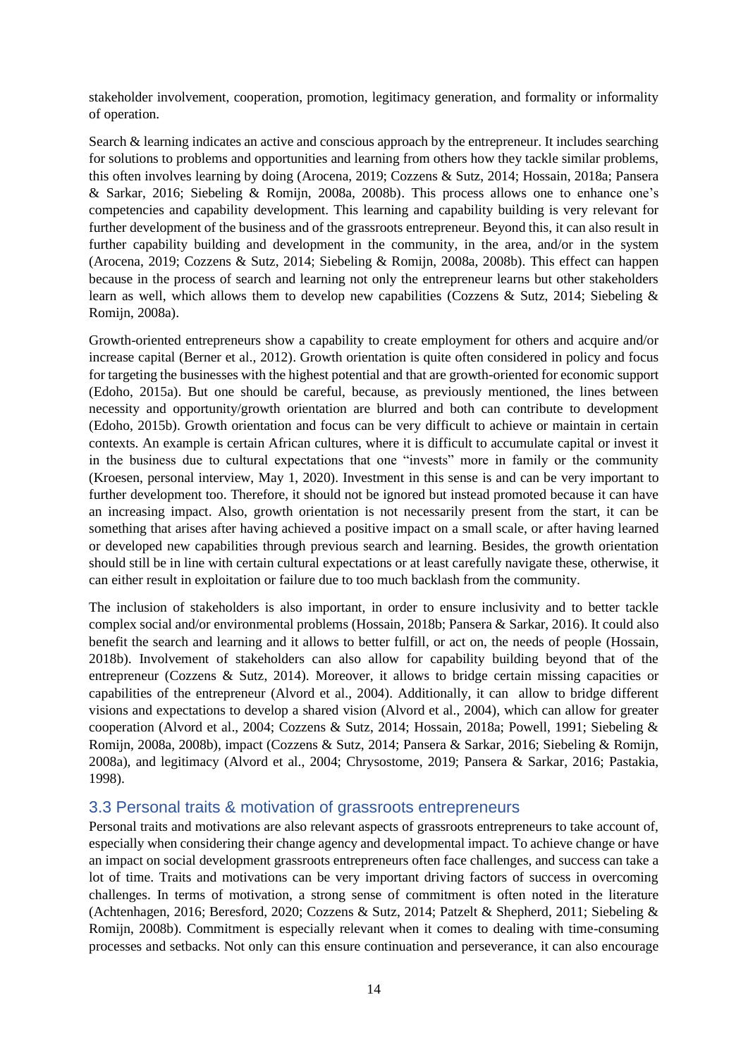stakeholder involvement, cooperation, promotion, legitimacy generation, and formality or informality of operation.

Search & learning indicates an active and conscious approach by the entrepreneur. It includes searching for solutions to problems and opportunities and learning from others how they tackle similar problems, this often involves learning by doing (Arocena, 2019; Cozzens & Sutz, 2014; Hossain, 2018a; Pansera & Sarkar, 2016; Siebeling & Romijn, 2008a, 2008b). This process allows one to enhance one's competencies and capability development. This learning and capability building is very relevant for further development of the business and of the grassroots entrepreneur. Beyond this, it can also result in further capability building and development in the community, in the area, and/or in the system (Arocena, 2019; Cozzens & Sutz, 2014; Siebeling & Romijn, 2008a, 2008b). This effect can happen because in the process of search and learning not only the entrepreneur learns but other stakeholders learn as well, which allows them to develop new capabilities (Cozzens & Sutz, 2014; Siebeling & Romijn, 2008a).

Growth-oriented entrepreneurs show a capability to create employment for others and acquire and/or increase capital (Berner et al., 2012). Growth orientation is quite often considered in policy and focus for targeting the businesses with the highest potential and that are growth-oriented for economic support (Edoho, 2015a). But one should be careful, because, as previously mentioned, the lines between necessity and opportunity/growth orientation are blurred and both can contribute to development (Edoho, 2015b). Growth orientation and focus can be very difficult to achieve or maintain in certain contexts. An example is certain African cultures, where it is difficult to accumulate capital or invest it in the business due to cultural expectations that one "invests" more in family or the community (Kroesen, personal interview, May 1, 2020). Investment in this sense is and can be very important to further development too. Therefore, it should not be ignored but instead promoted because it can have an increasing impact. Also, growth orientation is not necessarily present from the start, it can be something that arises after having achieved a positive impact on a small scale, or after having learned or developed new capabilities through previous search and learning. Besides, the growth orientation should still be in line with certain cultural expectations or at least carefully navigate these, otherwise, it can either result in exploitation or failure due to too much backlash from the community.

The inclusion of stakeholders is also important, in order to ensure inclusivity and to better tackle complex social and/or environmental problems (Hossain, 2018b; Pansera & Sarkar, 2016). It could also benefit the search and learning and it allows to better fulfill, or act on, the needs of people (Hossain, 2018b). Involvement of stakeholders can also allow for capability building beyond that of the entrepreneur (Cozzens & Sutz, 2014). Moreover, it allows to bridge certain missing capacities or capabilities of the entrepreneur (Alvord et al., 2004). Additionally, it can allow to bridge different visions and expectations to develop a shared vision (Alvord et al., 2004), which can allow for greater cooperation (Alvord et al., 2004; Cozzens & Sutz, 2014; Hossain, 2018a; Powell, 1991; Siebeling & Romijn, 2008a, 2008b), impact (Cozzens & Sutz, 2014; Pansera & Sarkar, 2016; Siebeling & Romijn, 2008a), and legitimacy (Alvord et al., 2004; Chrysostome, 2019; Pansera & Sarkar, 2016; Pastakia, 1998).

### <span id="page-14-0"></span>3.3 Personal traits & motivation of grassroots entrepreneurs

Personal traits and motivations are also relevant aspects of grassroots entrepreneurs to take account of, especially when considering their change agency and developmental impact. To achieve change or have an impact on social development grassroots entrepreneurs often face challenges, and success can take a lot of time. Traits and motivations can be very important driving factors of success in overcoming challenges. In terms of motivation, a strong sense of commitment is often noted in the literature (Achtenhagen, 2016; Beresford, 2020; Cozzens & Sutz, 2014; Patzelt & Shepherd, 2011; Siebeling & Romijn, 2008b). Commitment is especially relevant when it comes to dealing with time-consuming processes and setbacks. Not only can this ensure continuation and perseverance, it can also encourage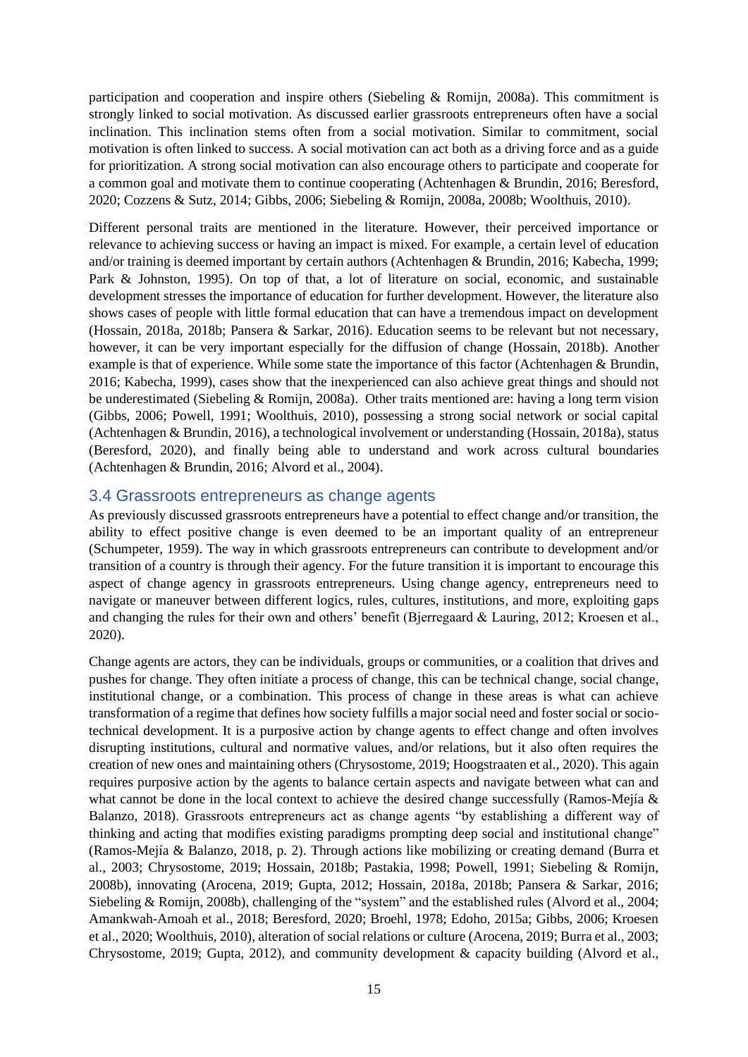participation and cooperation and inspire others (Siebeling & Romijn, 2008a). This commitment is strongly linked to social motivation. As discussed earlier grassroots entrepreneurs often have a social inclination. This inclination stems often from a social motivation. Similar to commitment, social motivation is often linked to success. A social motivation can act both as a driving force and as a guide for prioritization. A strong social motivation can also encourage others to participate and cooperate for a common goal and motivate them to continue cooperating (Achtenhagen & Brundin, 2016; Beresford, 2020; Cozzens & Sutz, 2014; Gibbs, 2006; Siebeling & Romijn, 2008a, 2008b; Woolthuis, 2010).

Different personal traits are mentioned in the literature. However, their perceived importance or relevance to achieving success or having an impact is mixed. For example, a certain level of education and/or training is deemed important by certain authors (Achtenhagen & Brundin, 2016; Kabecha, 1999; Park & Johnston, 1995). On top of that, a lot of literature on social, economic, and sustainable development stresses the importance of education for further development. However, the literature also shows cases of people with little formal education that can have a tremendous impact on development (Hossain, 2018a, 2018b; Pansera & Sarkar, 2016). Education seems to be relevant but not necessary, however, it can be very important especially for the diffusion of change (Hossain, 2018b). Another example is that of experience. While some state the importance of this factor (Achtenhagen & Brundin, 2016; Kabecha, 1999), cases show that the inexperienced can also achieve great things and should not be underestimated (Siebeling & Romijn, 2008a). Other traits mentioned are: having a long term vision (Gibbs, 2006; Powell, 1991; Woolthuis, 2010), possessing a strong social network or social capital (Achtenhagen & Brundin, 2016), a technological involvement or understanding (Hossain, 2018a), status (Beresford, 2020), and finally being able to understand and work across cultural boundaries (Achtenhagen & Brundin, 2016; Alvord et al., 2004).

## <span id="page-15-0"></span>3.4 Grassroots entrepreneurs as change agents

As previously discussed grassroots entrepreneurs have a potential to effect change and/or transition, the ability to effect positive change is even deemed to be an important quality of an entrepreneur (Schumpeter, 1959). The way in which grassroots entrepreneurs can contribute to development and/or transition of a country is through their agency. For the future transition it is important to encourage this aspect of change agency in grassroots entrepreneurs. Using change agency, entrepreneurs need to navigate or maneuver between different logics, rules, cultures, institutions, and more, exploiting gaps and changing the rules for their own and others' benefit (Bjerregaard & Lauring, 2012; Kroesen et al., 2020).

Change agents are actors, they can be individuals, groups or communities, or a coalition that drives and pushes for change. They often initiate a process of change, this can be technical change, social change, institutional change, or a combination. This process of change in these areas is what can achieve transformation of a regime that defines how society fulfills a major social need and foster social or sociotechnical development. It is a purposive action by change agents to effect change and often involves disrupting institutions, cultural and normative values, and/or relations, but it also often requires the creation of new ones and maintaining others (Chrysostome, 2019; Hoogstraaten et al., 2020). This again requires purposive action by the agents to balance certain aspects and navigate between what can and what cannot be done in the local context to achieve the desired change successfully (Ramos-Mejía & Balanzo, 2018). Grassroots entrepreneurs act as change agents "by establishing a different way of thinking and acting that modifies existing paradigms prompting deep social and institutional change" (Ramos-Mejía & Balanzo, 2018, p. 2). Through actions like mobilizing or creating demand (Burra et al., 2003; Chrysostome, 2019; Hossain, 2018b; Pastakia, 1998; Powell, 1991; Siebeling & Romijn, 2008b), innovating (Arocena, 2019; Gupta, 2012; Hossain, 2018a, 2018b; Pansera & Sarkar, 2016; Siebeling & Romijn, 2008b), challenging of the "system" and the established rules (Alvord et al., 2004; Amankwah-Amoah et al., 2018; Beresford, 2020; Broehl, 1978; Edoho, 2015a; Gibbs, 2006; Kroesen et al., 2020; Woolthuis, 2010), alteration of social relations or culture (Arocena, 2019; Burra et al., 2003; Chrysostome, 2019; Gupta, 2012), and community development & capacity building (Alvord et al.,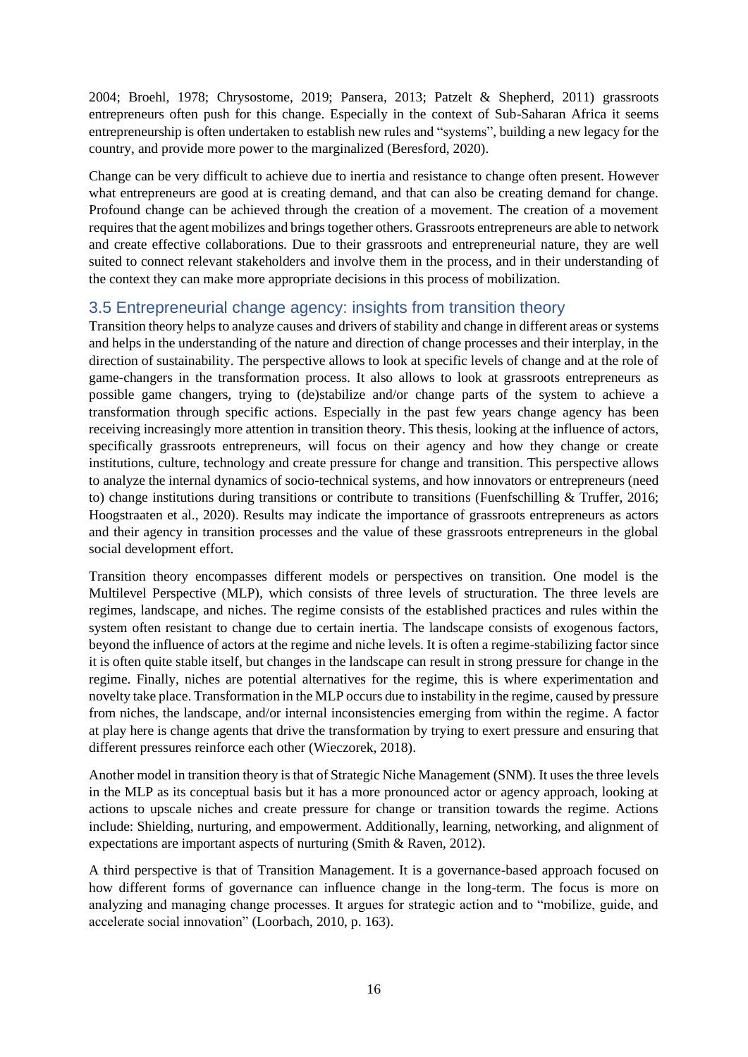2004; Broehl, 1978; Chrysostome, 2019; Pansera, 2013; Patzelt & Shepherd, 2011) grassroots entrepreneurs often push for this change. Especially in the context of Sub-Saharan Africa it seems entrepreneurship is often undertaken to establish new rules and "systems", building a new legacy for the country, and provide more power to the marginalized (Beresford, 2020).

Change can be very difficult to achieve due to inertia and resistance to change often present. However what entrepreneurs are good at is creating demand, and that can also be creating demand for change. Profound change can be achieved through the creation of a movement. The creation of a movement requires that the agent mobilizes and brings together others. Grassroots entrepreneurs are able to network and create effective collaborations. Due to their grassroots and entrepreneurial nature, they are well suited to connect relevant stakeholders and involve them in the process, and in their understanding of the context they can make more appropriate decisions in this process of mobilization.

## <span id="page-16-0"></span>3.5 Entrepreneurial change agency: insights from transition theory

Transition theory helps to analyze causes and drivers of stability and change in different areas or systems and helps in the understanding of the nature and direction of change processes and their interplay, in the direction of sustainability. The perspective allows to look at specific levels of change and at the role of game-changers in the transformation process. It also allows to look at grassroots entrepreneurs as possible game changers, trying to (de)stabilize and/or change parts of the system to achieve a transformation through specific actions. Especially in the past few years change agency has been receiving increasingly more attention in transition theory. This thesis, looking at the influence of actors, specifically grassroots entrepreneurs, will focus on their agency and how they change or create institutions, culture, technology and create pressure for change and transition. This perspective allows to analyze the internal dynamics of socio-technical systems, and how innovators or entrepreneurs (need to) change institutions during transitions or contribute to transitions (Fuenfschilling & Truffer, 2016; Hoogstraaten et al., 2020). Results may indicate the importance of grassroots entrepreneurs as actors and their agency in transition processes and the value of these grassroots entrepreneurs in the global social development effort.

Transition theory encompasses different models or perspectives on transition. One model is the Multilevel Perspective (MLP), which consists of three levels of structuration. The three levels are regimes, landscape, and niches. The regime consists of the established practices and rules within the system often resistant to change due to certain inertia. The landscape consists of exogenous factors, beyond the influence of actors at the regime and niche levels. It is often a regime-stabilizing factor since it is often quite stable itself, but changes in the landscape can result in strong pressure for change in the regime. Finally, niches are potential alternatives for the regime, this is where experimentation and novelty take place. Transformation in the MLP occurs due to instability in the regime, caused by pressure from niches, the landscape, and/or internal inconsistencies emerging from within the regime. A factor at play here is change agents that drive the transformation by trying to exert pressure and ensuring that different pressures reinforce each other (Wieczorek, 2018).

Another model in transition theory is that of Strategic Niche Management (SNM). It uses the three levels in the MLP as its conceptual basis but it has a more pronounced actor or agency approach, looking at actions to upscale niches and create pressure for change or transition towards the regime. Actions include: Shielding, nurturing, and empowerment. Additionally, learning, networking, and alignment of expectations are important aspects of nurturing (Smith & Raven, 2012).

A third perspective is that of Transition Management. It is a governance-based approach focused on how different forms of governance can influence change in the long-term. The focus is more on analyzing and managing change processes. It argues for strategic action and to "mobilize, guide, and accelerate social innovation" (Loorbach, 2010, p. 163).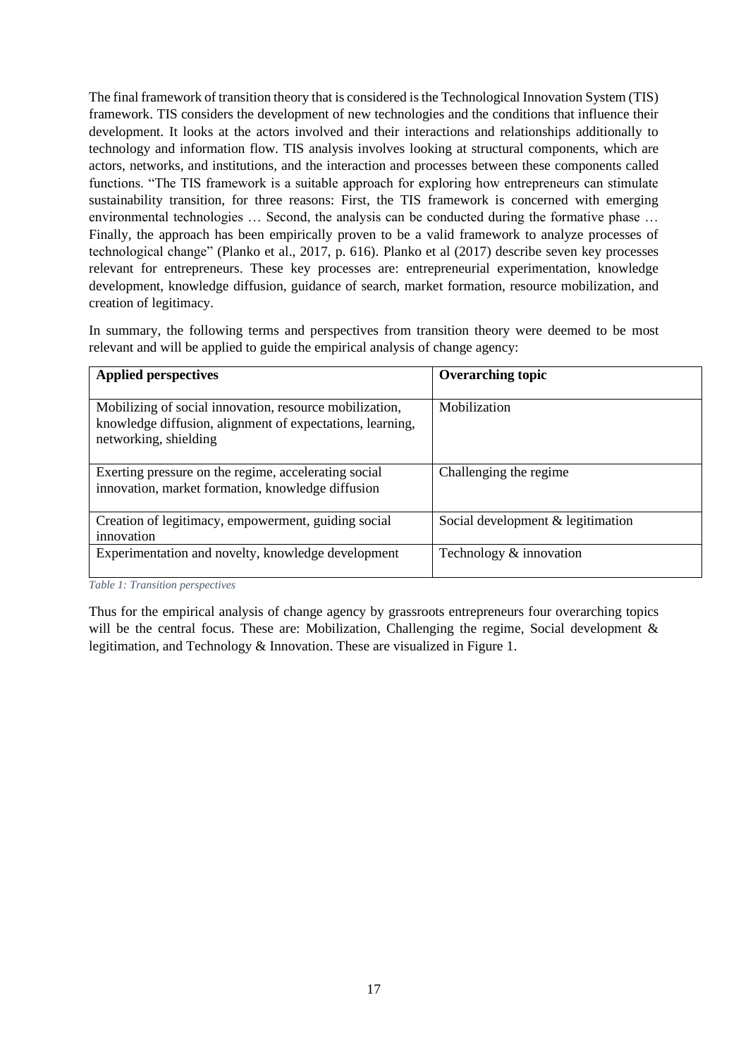The final framework of transition theory that is considered is the Technological Innovation System (TIS) framework. TIS considers the development of new technologies and the conditions that influence their development. It looks at the actors involved and their interactions and relationships additionally to technology and information flow. TIS analysis involves looking at structural components, which are actors, networks, and institutions, and the interaction and processes between these components called functions. "The TIS framework is a suitable approach for exploring how entrepreneurs can stimulate sustainability transition, for three reasons: First, the TIS framework is concerned with emerging environmental technologies … Second, the analysis can be conducted during the formative phase … Finally, the approach has been empirically proven to be a valid framework to analyze processes of technological change" (Planko et al., 2017, p. 616). Planko et al (2017) describe seven key processes relevant for entrepreneurs. These key processes are: entrepreneurial experimentation, knowledge development, knowledge diffusion, guidance of search, market formation, resource mobilization, and creation of legitimacy.

In summary, the following terms and perspectives from transition theory were deemed to be most relevant and will be applied to guide the empirical analysis of change agency:

| <b>Applied perspectives</b>                                                                                                                   | <b>Overarching topic</b>          |
|-----------------------------------------------------------------------------------------------------------------------------------------------|-----------------------------------|
| Mobilizing of social innovation, resource mobilization,<br>knowledge diffusion, alignment of expectations, learning,<br>networking, shielding | Mobilization                      |
| Exerting pressure on the regime, accelerating social<br>innovation, market formation, knowledge diffusion                                     | Challenging the regime            |
| Creation of legitimacy, empowerment, guiding social<br>innovation                                                                             | Social development & legitimation |
| Experimentation and novelty, knowledge development                                                                                            | Technology & innovation           |

*Table 1: Transition perspectives*

Thus for the empirical analysis of change agency by grassroots entrepreneurs four overarching topics will be the central focus. These are: Mobilization, Challenging the regime, Social development & legitimation, and Technology & Innovation. These are visualized i[n Figure 1.](#page-18-0)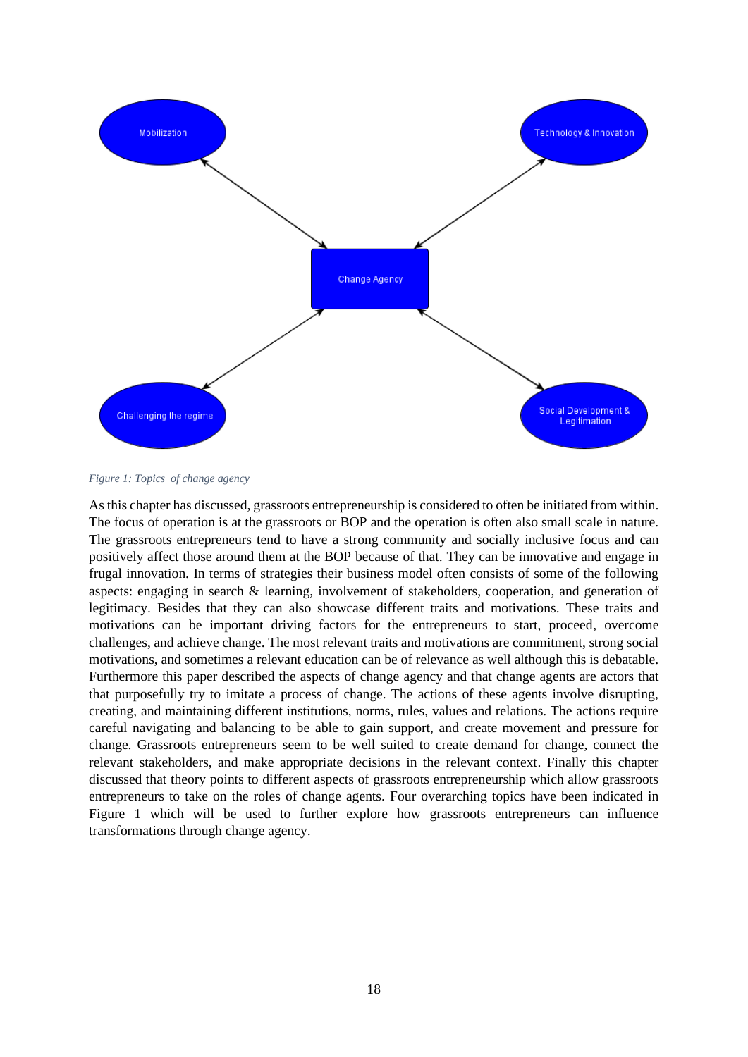

<span id="page-18-0"></span>*Figure 1: Topics of change agency*

As this chapter has discussed, grassroots entrepreneurship is considered to often be initiated from within. The focus of operation is at the grassroots or BOP and the operation is often also small scale in nature. The grassroots entrepreneurs tend to have a strong community and socially inclusive focus and can positively affect those around them at the BOP because of that. They can be innovative and engage in frugal innovation. In terms of strategies their business model often consists of some of the following aspects: engaging in search & learning, involvement of stakeholders, cooperation, and generation of legitimacy. Besides that they can also showcase different traits and motivations. These traits and motivations can be important driving factors for the entrepreneurs to start, proceed, overcome challenges, and achieve change. The most relevant traits and motivations are commitment, strong social motivations, and sometimes a relevant education can be of relevance as well although this is debatable. Furthermore this paper described the aspects of change agency and that change agents are actors that that purposefully try to imitate a process of change. The actions of these agents involve disrupting, creating, and maintaining different institutions, norms, rules, values and relations. The actions require careful navigating and balancing to be able to gain support, and create movement and pressure for change. Grassroots entrepreneurs seem to be well suited to create demand for change, connect the relevant stakeholders, and make appropriate decisions in the relevant context. Finally this chapter discussed that theory points to different aspects of grassroots entrepreneurship which allow grassroots entrepreneurs to take on the roles of change agents. Four overarching topics have been indicated in Figure 1 which will be used to further explore how grassroots entrepreneurs can influence transformations through change agency.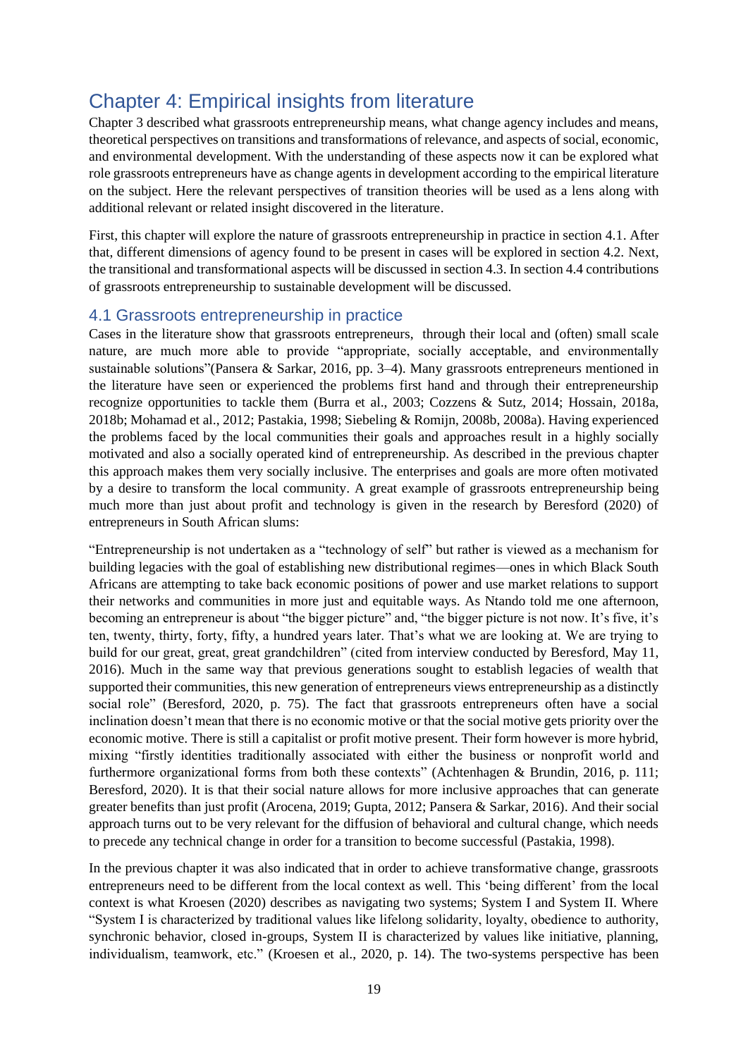## <span id="page-19-0"></span>Chapter 4: Empirical insights from literature

Chapter 3 described what grassroots entrepreneurship means, what change agency includes and means, theoretical perspectives on transitions and transformations of relevance, and aspects of social, economic, and environmental development. With the understanding of these aspects now it can be explored what role grassroots entrepreneurs have as change agents in development according to the empirical literature on the subject. Here the relevant perspectives of transition theories will be used as a lens along with additional relevant or related insight discovered in the literature.

First, this chapter will explore the nature of grassroots entrepreneurship in practice in section 4.1. After that, different dimensions of agency found to be present in cases will be explored in section 4.2. Next, the transitional and transformational aspects will be discussed in section 4.3. In section 4.4 contributions of grassroots entrepreneurship to sustainable development will be discussed.

## <span id="page-19-1"></span>4.1 Grassroots entrepreneurship in practice

Cases in the literature show that grassroots entrepreneurs, through their local and (often) small scale nature, are much more able to provide "appropriate, socially acceptable, and environmentally sustainable solutions"(Pansera & Sarkar, 2016, pp. 3–4). Many grassroots entrepreneurs mentioned in the literature have seen or experienced the problems first hand and through their entrepreneurship recognize opportunities to tackle them (Burra et al., 2003; Cozzens & Sutz, 2014; Hossain, 2018a, 2018b; Mohamad et al., 2012; Pastakia, 1998; Siebeling & Romijn, 2008b, 2008a). Having experienced the problems faced by the local communities their goals and approaches result in a highly socially motivated and also a socially operated kind of entrepreneurship. As described in the previous chapter this approach makes them very socially inclusive. The enterprises and goals are more often motivated by a desire to transform the local community. A great example of grassroots entrepreneurship being much more than just about profit and technology is given in the research by Beresford (2020) of entrepreneurs in South African slums:

"Entrepreneurship is not undertaken as a "technology of self" but rather is viewed as a mechanism for building legacies with the goal of establishing new distributional regimes—ones in which Black South Africans are attempting to take back economic positions of power and use market relations to support their networks and communities in more just and equitable ways. As Ntando told me one afternoon, becoming an entrepreneur is about "the bigger picture" and, "the bigger picture is not now. It's five, it's ten, twenty, thirty, forty, fifty, a hundred years later. That's what we are looking at. We are trying to build for our great, great, great grandchildren" (cited from interview conducted by Beresford, May 11, 2016). Much in the same way that previous generations sought to establish legacies of wealth that supported their communities, this new generation of entrepreneurs views entrepreneurship as a distinctly social role" (Beresford, 2020, p. 75). The fact that grassroots entrepreneurs often have a social inclination doesn't mean that there is no economic motive or that the social motive gets priority over the economic motive. There is still a capitalist or profit motive present. Their form however is more hybrid, mixing "firstly identities traditionally associated with either the business or nonprofit world and furthermore organizational forms from both these contexts" (Achtenhagen & Brundin, 2016, p. 111; Beresford, 2020). It is that their social nature allows for more inclusive approaches that can generate greater benefits than just profit (Arocena, 2019; Gupta, 2012; Pansera & Sarkar, 2016). And their social approach turns out to be very relevant for the diffusion of behavioral and cultural change, which needs to precede any technical change in order for a transition to become successful (Pastakia, 1998).

In the previous chapter it was also indicated that in order to achieve transformative change, grassroots entrepreneurs need to be different from the local context as well. This 'being different' from the local context is what Kroesen (2020) describes as navigating two systems; System I and System II. Where "System I is characterized by traditional values like lifelong solidarity, loyalty, obedience to authority, synchronic behavior, closed in-groups, System II is characterized by values like initiative, planning, individualism, teamwork, etc." (Kroesen et al., 2020, p. 14). The two-systems perspective has been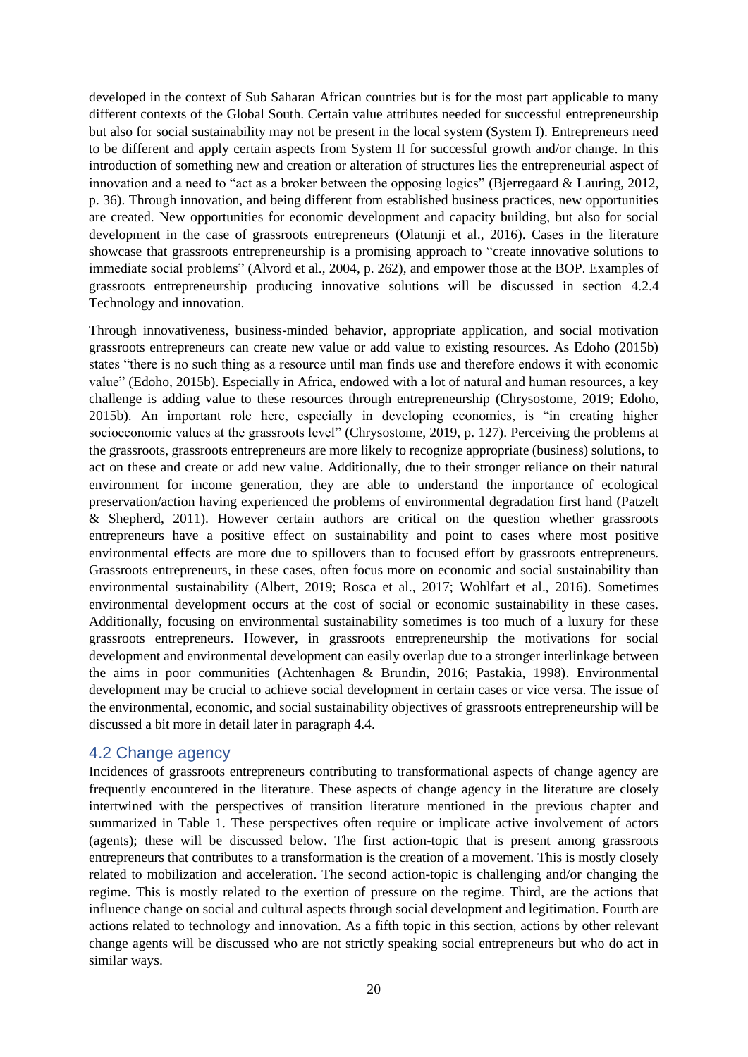developed in the context of Sub Saharan African countries but is for the most part applicable to many different contexts of the Global South. Certain value attributes needed for successful entrepreneurship but also for social sustainability may not be present in the local system (System I). Entrepreneurs need to be different and apply certain aspects from System II for successful growth and/or change. In this introduction of something new and creation or alteration of structures lies the entrepreneurial aspect of innovation and a need to "act as a broker between the opposing logics" (Bjerregaard & Lauring, 2012, p. 36). Through innovation, and being different from established business practices, new opportunities are created. New opportunities for economic development and capacity building, but also for social development in the case of grassroots entrepreneurs (Olatunji et al., 2016). Cases in the literature showcase that grassroots entrepreneurship is a promising approach to "create innovative solutions to immediate social problems" (Alvord et al., 2004, p. 262), and empower those at the BOP. Examples of grassroots entrepreneurship producing innovative solutions will be discussed in section [4.2.4](#page-25-0)  Technology [and innovation.](#page-25-0)

Through innovativeness, business-minded behavior, appropriate application, and social motivation grassroots entrepreneurs can create new value or add value to existing resources. As Edoho (2015b) states "there is no such thing as a resource until man finds use and therefore endows it with economic value" (Edoho, 2015b). Especially in Africa, endowed with a lot of natural and human resources, a key challenge is adding value to these resources through entrepreneurship (Chrysostome, 2019; Edoho, 2015b). An important role here, especially in developing economies, is "in creating higher socioeconomic values at the grassroots level" (Chrysostome, 2019, p. 127). Perceiving the problems at the grassroots, grassroots entrepreneurs are more likely to recognize appropriate (business) solutions, to act on these and create or add new value. Additionally, due to their stronger reliance on their natural environment for income generation, they are able to understand the importance of ecological preservation/action having experienced the problems of environmental degradation first hand (Patzelt & Shepherd, 2011). However certain authors are critical on the question whether grassroots entrepreneurs have a positive effect on sustainability and point to cases where most positive environmental effects are more due to spillovers than to focused effort by grassroots entrepreneurs. Grassroots entrepreneurs, in these cases, often focus more on economic and social sustainability than environmental sustainability (Albert, 2019; Rosca et al., 2017; Wohlfart et al., 2016). Sometimes environmental development occurs at the cost of social or economic sustainability in these cases. Additionally, focusing on environmental sustainability sometimes is too much of a luxury for these grassroots entrepreneurs. However, in grassroots entrepreneurship the motivations for social development and environmental development can easily overlap due to a stronger interlinkage between the aims in poor communities (Achtenhagen & Brundin, 2016; Pastakia, 1998). Environmental development may be crucial to achieve social development in certain cases or vice versa. The issue of the environmental, economic, and social sustainability objectives of grassroots entrepreneurship will be discussed a bit more in detail later in paragraph 4.4.

### <span id="page-20-0"></span>4.2 Change agency

Incidences of grassroots entrepreneurs contributing to transformational aspects of change agency are frequently encountered in the literature. These aspects of change agency in the literature are closely intertwined with the perspectives of transition literature mentioned in the previous chapter and summarized in Table 1. These perspectives often require or implicate active involvement of actors (agents); these will be discussed below. The first action-topic that is present among grassroots entrepreneurs that contributes to a transformation is the creation of a movement. This is mostly closely related to mobilization and acceleration. The second action-topic is challenging and/or changing the regime. This is mostly related to the exertion of pressure on the regime. Third, are the actions that influence change on social and cultural aspects through social development and legitimation. Fourth are actions related to technology and innovation. As a fifth topic in this section, actions by other relevant change agents will be discussed who are not strictly speaking social entrepreneurs but who do act in similar ways.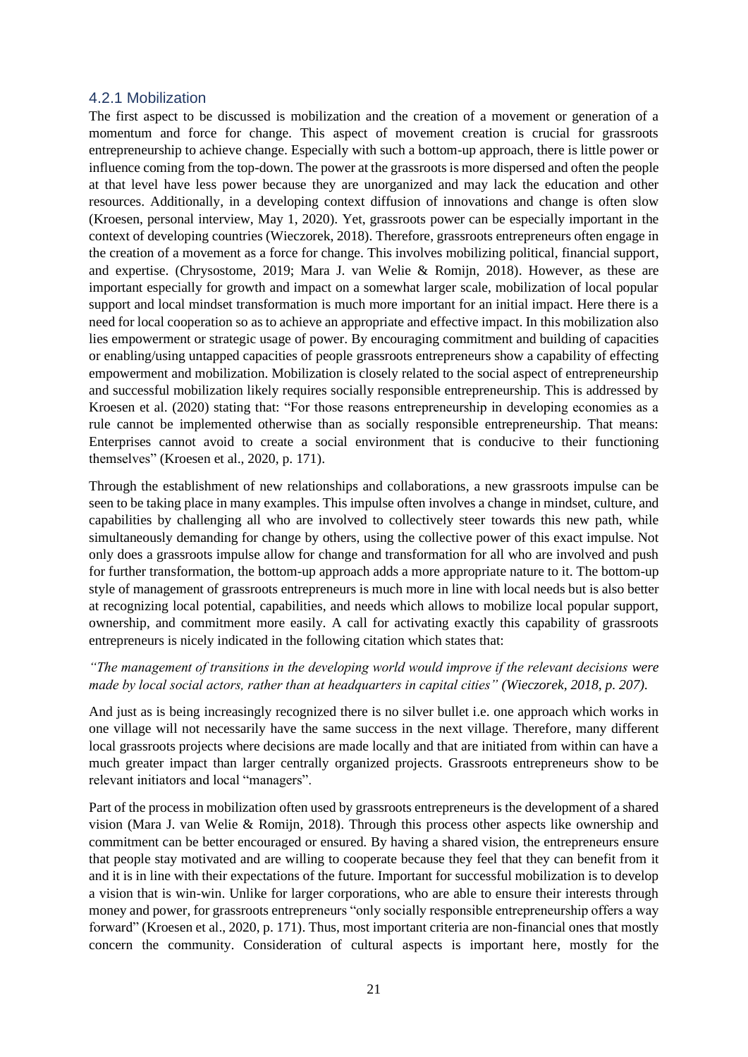#### <span id="page-21-0"></span>4.2.1 Mobilization

The first aspect to be discussed is mobilization and the creation of a movement or generation of a momentum and force for change. This aspect of movement creation is crucial for grassroots entrepreneurship to achieve change. Especially with such a bottom-up approach, there is little power or influence coming from the top-down. The power at the grassroots is more dispersed and often the people at that level have less power because they are unorganized and may lack the education and other resources. Additionally, in a developing context diffusion of innovations and change is often slow (Kroesen, personal interview, May 1, 2020). Yet, grassroots power can be especially important in the context of developing countries (Wieczorek, 2018). Therefore, grassroots entrepreneurs often engage in the creation of a movement as a force for change. This involves mobilizing political, financial support, and expertise. (Chrysostome, 2019; Mara J. van Welie & Romijn, 2018). However, as these are important especially for growth and impact on a somewhat larger scale, mobilization of local popular support and local mindset transformation is much more important for an initial impact. Here there is a need for local cooperation so as to achieve an appropriate and effective impact. In this mobilization also lies empowerment or strategic usage of power. By encouraging commitment and building of capacities or enabling/using untapped capacities of people grassroots entrepreneurs show a capability of effecting empowerment and mobilization. Mobilization is closely related to the social aspect of entrepreneurship and successful mobilization likely requires socially responsible entrepreneurship. This is addressed by Kroesen et al. (2020) stating that: "For those reasons entrepreneurship in developing economies as a rule cannot be implemented otherwise than as socially responsible entrepreneurship. That means: Enterprises cannot avoid to create a social environment that is conducive to their functioning themselves" (Kroesen et al., 2020, p. 171).

Through the establishment of new relationships and collaborations, a new grassroots impulse can be seen to be taking place in many examples. This impulse often involves a change in mindset, culture, and capabilities by challenging all who are involved to collectively steer towards this new path, while simultaneously demanding for change by others, using the collective power of this exact impulse. Not only does a grassroots impulse allow for change and transformation for all who are involved and push for further transformation, the bottom-up approach adds a more appropriate nature to it. The bottom-up style of management of grassroots entrepreneurs is much more in line with local needs but is also better at recognizing local potential, capabilities, and needs which allows to mobilize local popular support, ownership, and commitment more easily. A call for activating exactly this capability of grassroots entrepreneurs is nicely indicated in the following citation which states that:

### *"The management of transitions in the developing world would improve if the relevant decisions were made by local social actors, rather than at headquarters in capital cities" (Wieczorek, 2018, p. 207).*

And just as is being increasingly recognized there is no silver bullet i.e. one approach which works in one village will not necessarily have the same success in the next village. Therefore, many different local grassroots projects where decisions are made locally and that are initiated from within can have a much greater impact than larger centrally organized projects. Grassroots entrepreneurs show to be relevant initiators and local "managers".

Part of the process in mobilization often used by grassroots entrepreneurs is the development of a shared vision (Mara J. van Welie & Romijn, 2018). Through this process other aspects like ownership and commitment can be better encouraged or ensured. By having a shared vision, the entrepreneurs ensure that people stay motivated and are willing to cooperate because they feel that they can benefit from it and it is in line with their expectations of the future. Important for successful mobilization is to develop a vision that is win-win. Unlike for larger corporations, who are able to ensure their interests through money and power, for grassroots entrepreneurs "only socially responsible entrepreneurship offers a way forward" (Kroesen et al., 2020, p. 171). Thus, most important criteria are non-financial ones that mostly concern the community. Consideration of cultural aspects is important here, mostly for the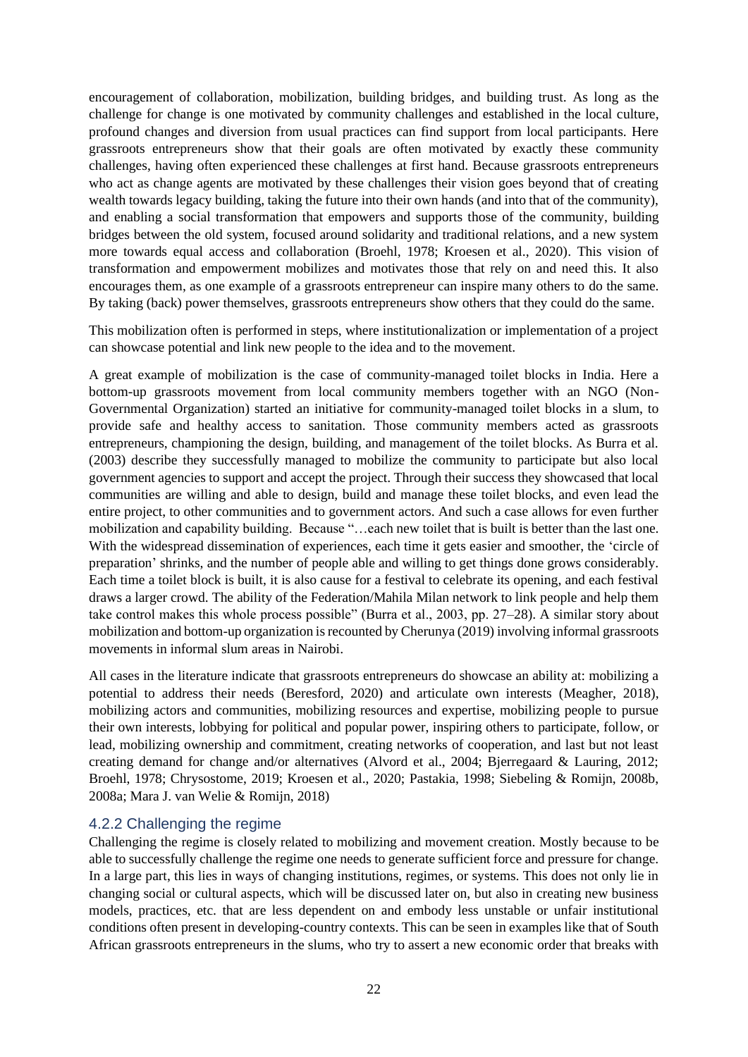encouragement of collaboration, mobilization, building bridges, and building trust. As long as the challenge for change is one motivated by community challenges and established in the local culture, profound changes and diversion from usual practices can find support from local participants. Here grassroots entrepreneurs show that their goals are often motivated by exactly these community challenges, having often experienced these challenges at first hand. Because grassroots entrepreneurs who act as change agents are motivated by these challenges their vision goes beyond that of creating wealth towards legacy building, taking the future into their own hands (and into that of the community), and enabling a social transformation that empowers and supports those of the community, building bridges between the old system, focused around solidarity and traditional relations, and a new system more towards equal access and collaboration (Broehl, 1978; Kroesen et al., 2020). This vision of transformation and empowerment mobilizes and motivates those that rely on and need this. It also encourages them, as one example of a grassroots entrepreneur can inspire many others to do the same. By taking (back) power themselves, grassroots entrepreneurs show others that they could do the same.

This mobilization often is performed in steps, where institutionalization or implementation of a project can showcase potential and link new people to the idea and to the movement.

A great example of mobilization is the case of community-managed toilet blocks in India. Here a bottom-up grassroots movement from local community members together with an NGO (Non-Governmental Organization) started an initiative for community-managed toilet blocks in a slum, to provide safe and healthy access to sanitation. Those community members acted as grassroots entrepreneurs, championing the design, building, and management of the toilet blocks. As Burra et al. (2003) describe they successfully managed to mobilize the community to participate but also local government agencies to support and accept the project. Through their success they showcased that local communities are willing and able to design, build and manage these toilet blocks, and even lead the entire project, to other communities and to government actors. And such a case allows for even further mobilization and capability building. Because "…each new toilet that is built is better than the last one. With the widespread dissemination of experiences, each time it gets easier and smoother, the 'circle of preparation' shrinks, and the number of people able and willing to get things done grows considerably. Each time a toilet block is built, it is also cause for a festival to celebrate its opening, and each festival draws a larger crowd. The ability of the Federation/Mahila Milan network to link people and help them take control makes this whole process possible" (Burra et al., 2003, pp. 27–28). A similar story about mobilization and bottom-up organization is recounted by Cherunya (2019) involving informal grassroots movements in informal slum areas in Nairobi.

All cases in the literature indicate that grassroots entrepreneurs do showcase an ability at: mobilizing a potential to address their needs (Beresford, 2020) and articulate own interests (Meagher, 2018), mobilizing actors and communities, mobilizing resources and expertise, mobilizing people to pursue their own interests, lobbying for political and popular power, inspiring others to participate, follow, or lead, mobilizing ownership and commitment, creating networks of cooperation, and last but not least creating demand for change and/or alternatives (Alvord et al., 2004; Bjerregaard & Lauring, 2012; Broehl, 1978; Chrysostome, 2019; Kroesen et al., 2020; Pastakia, 1998; Siebeling & Romijn, 2008b, 2008a; Mara J. van Welie & Romijn, 2018)

### <span id="page-22-0"></span>4.2.2 Challenging the regime

Challenging the regime is closely related to mobilizing and movement creation. Mostly because to be able to successfully challenge the regime one needs to generate sufficient force and pressure for change. In a large part, this lies in ways of changing institutions, regimes, or systems. This does not only lie in changing social or cultural aspects, which will be discussed later on, but also in creating new business models, practices, etc. that are less dependent on and embody less unstable or unfair institutional conditions often present in developing-country contexts. This can be seen in examples like that of South African grassroots entrepreneurs in the slums, who try to assert a new economic order that breaks with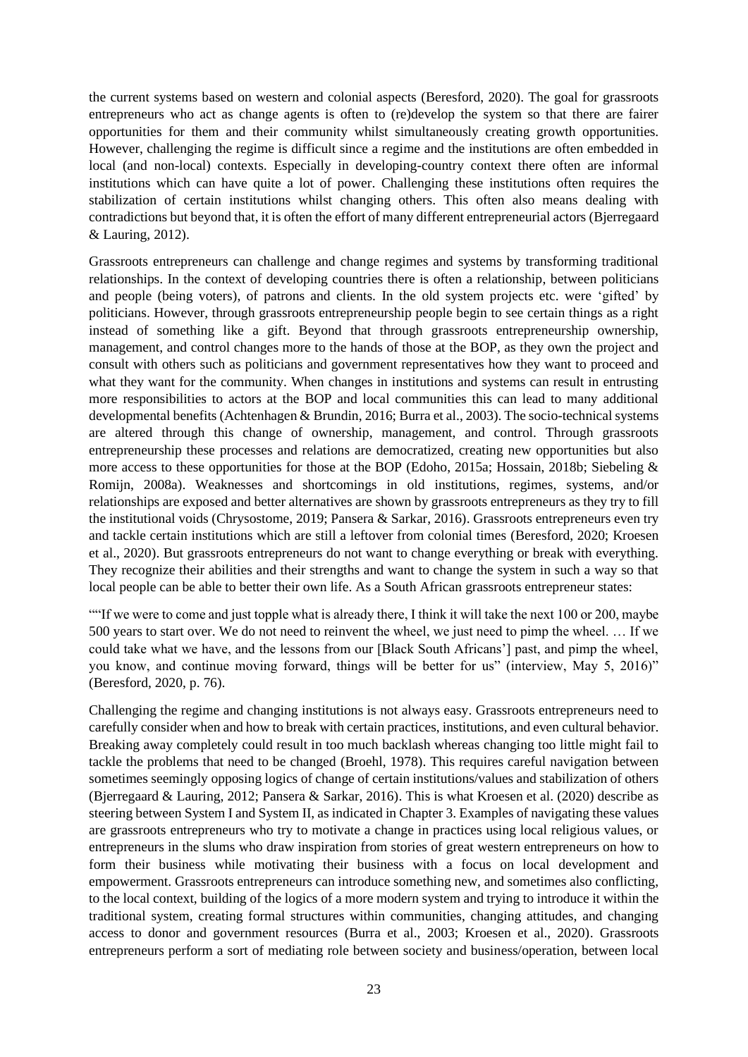the current systems based on western and colonial aspects (Beresford, 2020). The goal for grassroots entrepreneurs who act as change agents is often to (re)develop the system so that there are fairer opportunities for them and their community whilst simultaneously creating growth opportunities. However, challenging the regime is difficult since a regime and the institutions are often embedded in local (and non-local) contexts. Especially in developing-country context there often are informal institutions which can have quite a lot of power. Challenging these institutions often requires the stabilization of certain institutions whilst changing others. This often also means dealing with contradictions but beyond that, it is often the effort of many different entrepreneurial actors (Bjerregaard & Lauring, 2012).

Grassroots entrepreneurs can challenge and change regimes and systems by transforming traditional relationships. In the context of developing countries there is often a relationship, between politicians and people (being voters), of patrons and clients. In the old system projects etc. were 'gifted' by politicians. However, through grassroots entrepreneurship people begin to see certain things as a right instead of something like a gift. Beyond that through grassroots entrepreneurship ownership, management, and control changes more to the hands of those at the BOP, as they own the project and consult with others such as politicians and government representatives how they want to proceed and what they want for the community. When changes in institutions and systems can result in entrusting more responsibilities to actors at the BOP and local communities this can lead to many additional developmental benefits (Achtenhagen & Brundin, 2016; Burra et al., 2003). The socio-technical systems are altered through this change of ownership, management, and control. Through grassroots entrepreneurship these processes and relations are democratized, creating new opportunities but also more access to these opportunities for those at the BOP (Edoho, 2015a; Hossain, 2018b; Siebeling & Romijn, 2008a). Weaknesses and shortcomings in old institutions, regimes, systems, and/or relationships are exposed and better alternatives are shown by grassroots entrepreneurs as they try to fill the institutional voids (Chrysostome, 2019; Pansera & Sarkar, 2016). Grassroots entrepreneurs even try and tackle certain institutions which are still a leftover from colonial times (Beresford, 2020; Kroesen et al., 2020). But grassroots entrepreneurs do not want to change everything or break with everything. They recognize their abilities and their strengths and want to change the system in such a way so that local people can be able to better their own life. As a South African grassroots entrepreneur states:

""If we were to come and just topple what is already there, I think it will take the next 100 or 200, maybe 500 years to start over. We do not need to reinvent the wheel, we just need to pimp the wheel. … If we could take what we have, and the lessons from our [Black South Africans'] past, and pimp the wheel, you know, and continue moving forward, things will be better for us" (interview, May 5, 2016)" (Beresford, 2020, p. 76).

Challenging the regime and changing institutions is not always easy. Grassroots entrepreneurs need to carefully consider when and how to break with certain practices, institutions, and even cultural behavior. Breaking away completely could result in too much backlash whereas changing too little might fail to tackle the problems that need to be changed (Broehl, 1978). This requires careful navigation between sometimes seemingly opposing logics of change of certain institutions/values and stabilization of others (Bjerregaard & Lauring, 2012; Pansera & Sarkar, 2016). This is what Kroesen et al. (2020) describe as steering between System I and System II, as indicated in Chapter 3. Examples of navigating these values are grassroots entrepreneurs who try to motivate a change in practices using local religious values, or entrepreneurs in the slums who draw inspiration from stories of great western entrepreneurs on how to form their business while motivating their business with a focus on local development and empowerment. Grassroots entrepreneurs can introduce something new, and sometimes also conflicting, to the local context, building of the logics of a more modern system and trying to introduce it within the traditional system, creating formal structures within communities, changing attitudes, and changing access to donor and government resources (Burra et al., 2003; Kroesen et al., 2020). Grassroots entrepreneurs perform a sort of mediating role between society and business/operation, between local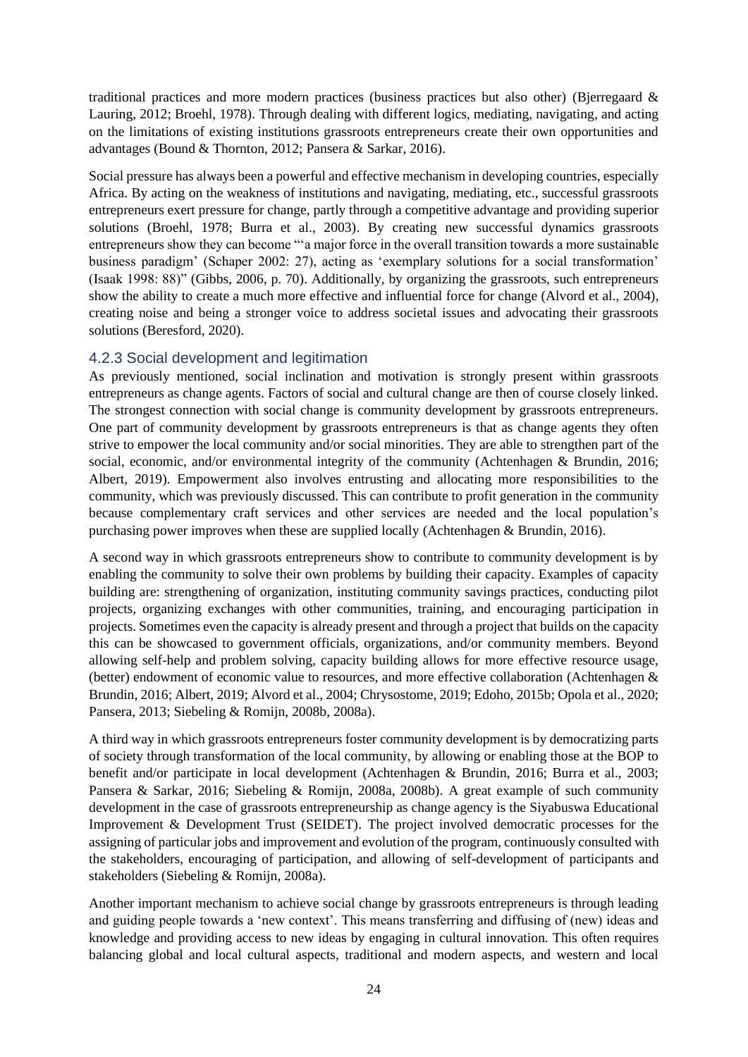traditional practices and more modern practices (business practices but also other) (Bjerregaard & Lauring, 2012; Broehl, 1978). Through dealing with different logics, mediating, navigating, and acting on the limitations of existing institutions grassroots entrepreneurs create their own opportunities and advantages (Bound & Thornton, 2012; Pansera & Sarkar, 2016).

Social pressure has always been a powerful and effective mechanism in developing countries, especially Africa. By acting on the weakness of institutions and navigating, mediating, etc., successful grassroots entrepreneurs exert pressure for change, partly through a competitive advantage and providing superior solutions (Broehl, 1978; Burra et al., 2003). By creating new successful dynamics grassroots entrepreneurs show they can become "'a major force in the overall transition towards a more sustainable business paradigm' (Schaper 2002: 27), acting as 'exemplary solutions for a social transformation' (Isaak 1998: 88)" (Gibbs, 2006, p. 70). Additionally, by organizing the grassroots, such entrepreneurs show the ability to create a much more effective and influential force for change (Alvord et al., 2004), creating noise and being a stronger voice to address societal issues and advocating their grassroots solutions (Beresford, 2020).

## <span id="page-24-0"></span>4.2.3 Social development and legitimation

As previously mentioned, social inclination and motivation is strongly present within grassroots entrepreneurs as change agents. Factors of social and cultural change are then of course closely linked. The strongest connection with social change is community development by grassroots entrepreneurs. One part of community development by grassroots entrepreneurs is that as change agents they often strive to empower the local community and/or social minorities. They are able to strengthen part of the social, economic, and/or environmental integrity of the community (Achtenhagen & Brundin, 2016; Albert, 2019). Empowerment also involves entrusting and allocating more responsibilities to the community, which was previously discussed. This can contribute to profit generation in the community because complementary craft services and other services are needed and the local population's purchasing power improves when these are supplied locally (Achtenhagen & Brundin, 2016).

A second way in which grassroots entrepreneurs show to contribute to community development is by enabling the community to solve their own problems by building their capacity. Examples of capacity building are: strengthening of organization, instituting community savings practices, conducting pilot projects, organizing exchanges with other communities, training, and encouraging participation in projects. Sometimes even the capacity is already present and through a project that builds on the capacity this can be showcased to government officials, organizations, and/or community members. Beyond allowing self-help and problem solving, capacity building allows for more effective resource usage, (better) endowment of economic value to resources, and more effective collaboration (Achtenhagen & Brundin, 2016; Albert, 2019; Alvord et al., 2004; Chrysostome, 2019; Edoho, 2015b; Opola et al., 2020; Pansera, 2013; Siebeling & Romijn, 2008b, 2008a).

A third way in which grassroots entrepreneurs foster community development is by democratizing parts of society through transformation of the local community, by allowing or enabling those at the BOP to benefit and/or participate in local development (Achtenhagen & Brundin, 2016; Burra et al., 2003; Pansera & Sarkar, 2016; Siebeling & Romijn, 2008a, 2008b). A great example of such community development in the case of grassroots entrepreneurship as change agency is the Siyabuswa Educational Improvement & Development Trust (SEIDET). The project involved democratic processes for the assigning of particular jobs and improvement and evolution of the program, continuously consulted with the stakeholders, encouraging of participation, and allowing of self-development of participants and stakeholders (Siebeling & Romijn, 2008a).

Another important mechanism to achieve social change by grassroots entrepreneurs is through leading and guiding people towards a 'new context'. This means transferring and diffusing of (new) ideas and knowledge and providing access to new ideas by engaging in cultural innovation. This often requires balancing global and local cultural aspects, traditional and modern aspects, and western and local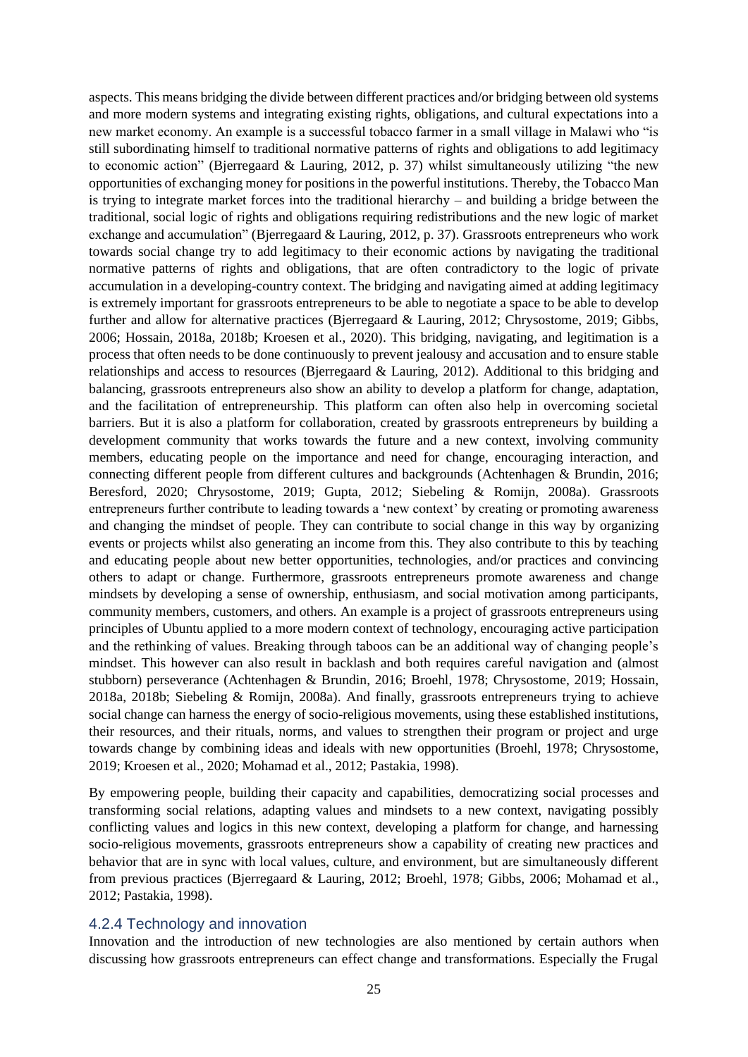aspects. This means bridging the divide between different practices and/or bridging between old systems and more modern systems and integrating existing rights, obligations, and cultural expectations into a new market economy. An example is a successful tobacco farmer in a small village in Malawi who "is still subordinating himself to traditional normative patterns of rights and obligations to add legitimacy to economic action" (Bjerregaard & Lauring, 2012, p. 37) whilst simultaneously utilizing "the new opportunities of exchanging money for positions in the powerful institutions. Thereby, the Tobacco Man is trying to integrate market forces into the traditional hierarchy – and building a bridge between the traditional, social logic of rights and obligations requiring redistributions and the new logic of market exchange and accumulation" (Bjerregaard & Lauring, 2012, p. 37). Grassroots entrepreneurs who work towards social change try to add legitimacy to their economic actions by navigating the traditional normative patterns of rights and obligations, that are often contradictory to the logic of private accumulation in a developing-country context. The bridging and navigating aimed at adding legitimacy is extremely important for grassroots entrepreneurs to be able to negotiate a space to be able to develop further and allow for alternative practices (Bjerregaard & Lauring, 2012; Chrysostome, 2019; Gibbs, 2006; Hossain, 2018a, 2018b; Kroesen et al., 2020). This bridging, navigating, and legitimation is a process that often needs to be done continuously to prevent jealousy and accusation and to ensure stable relationships and access to resources (Bjerregaard & Lauring, 2012). Additional to this bridging and balancing, grassroots entrepreneurs also show an ability to develop a platform for change, adaptation, and the facilitation of entrepreneurship. This platform can often also help in overcoming societal barriers. But it is also a platform for collaboration, created by grassroots entrepreneurs by building a development community that works towards the future and a new context, involving community members, educating people on the importance and need for change, encouraging interaction, and connecting different people from different cultures and backgrounds (Achtenhagen & Brundin, 2016; Beresford, 2020; Chrysostome, 2019; Gupta, 2012; Siebeling & Romijn, 2008a). Grassroots entrepreneurs further contribute to leading towards a 'new context' by creating or promoting awareness and changing the mindset of people. They can contribute to social change in this way by organizing events or projects whilst also generating an income from this. They also contribute to this by teaching and educating people about new better opportunities, technologies, and/or practices and convincing others to adapt or change. Furthermore, grassroots entrepreneurs promote awareness and change mindsets by developing a sense of ownership, enthusiasm, and social motivation among participants, community members, customers, and others. An example is a project of grassroots entrepreneurs using principles of Ubuntu applied to a more modern context of technology, encouraging active participation and the rethinking of values. Breaking through taboos can be an additional way of changing people's mindset. This however can also result in backlash and both requires careful navigation and (almost stubborn) perseverance (Achtenhagen & Brundin, 2016; Broehl, 1978; Chrysostome, 2019; Hossain, 2018a, 2018b; Siebeling & Romijn, 2008a). And finally, grassroots entrepreneurs trying to achieve social change can harness the energy of socio-religious movements, using these established institutions, their resources, and their rituals, norms, and values to strengthen their program or project and urge towards change by combining ideas and ideals with new opportunities (Broehl, 1978; Chrysostome, 2019; Kroesen et al., 2020; Mohamad et al., 2012; Pastakia, 1998).

By empowering people, building their capacity and capabilities, democratizing social processes and transforming social relations, adapting values and mindsets to a new context, navigating possibly conflicting values and logics in this new context, developing a platform for change, and harnessing socio-religious movements, grassroots entrepreneurs show a capability of creating new practices and behavior that are in sync with local values, culture, and environment, but are simultaneously different from previous practices (Bjerregaard & Lauring, 2012; Broehl, 1978; Gibbs, 2006; Mohamad et al., 2012; Pastakia, 1998).

#### <span id="page-25-0"></span>4.2.4 Technology and innovation

Innovation and the introduction of new technologies are also mentioned by certain authors when discussing how grassroots entrepreneurs can effect change and transformations. Especially the Frugal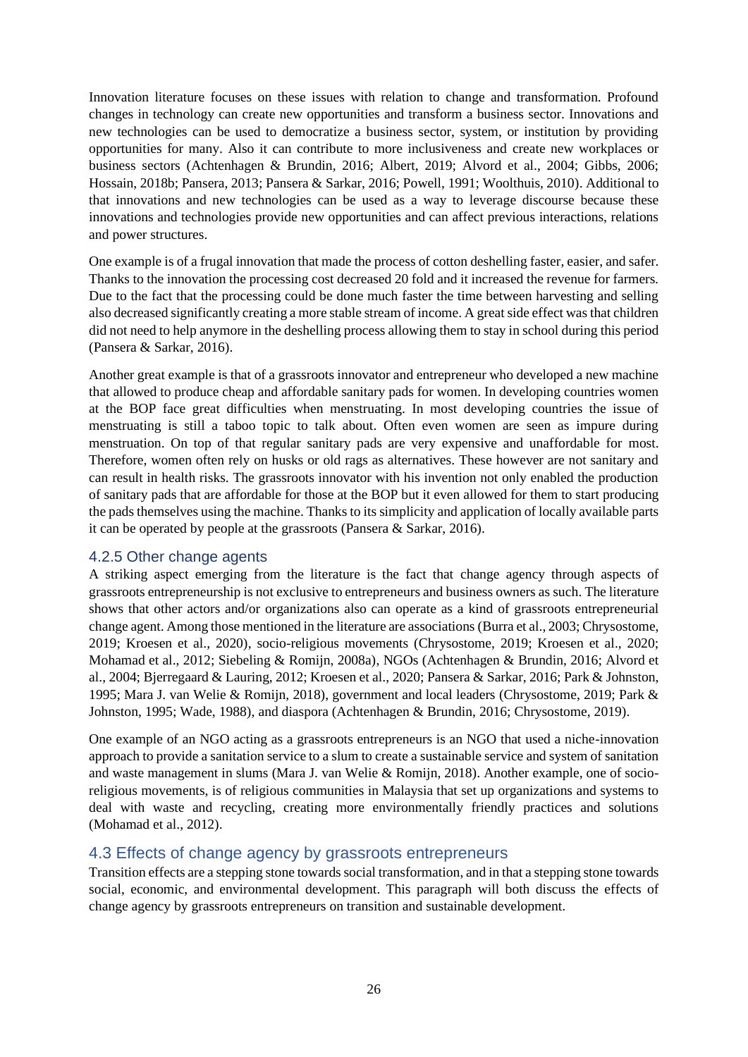Innovation literature focuses on these issues with relation to change and transformation. Profound changes in technology can create new opportunities and transform a business sector. Innovations and new technologies can be used to democratize a business sector, system, or institution by providing opportunities for many. Also it can contribute to more inclusiveness and create new workplaces or business sectors (Achtenhagen & Brundin, 2016; Albert, 2019; Alvord et al., 2004; Gibbs, 2006; Hossain, 2018b; Pansera, 2013; Pansera & Sarkar, 2016; Powell, 1991; Woolthuis, 2010). Additional to that innovations and new technologies can be used as a way to leverage discourse because these innovations and technologies provide new opportunities and can affect previous interactions, relations and power structures.

One example is of a frugal innovation that made the process of cotton deshelling faster, easier, and safer. Thanks to the innovation the processing cost decreased 20 fold and it increased the revenue for farmers. Due to the fact that the processing could be done much faster the time between harvesting and selling also decreased significantly creating a more stable stream of income. A great side effect was that children did not need to help anymore in the deshelling process allowing them to stay in school during this period (Pansera & Sarkar, 2016).

Another great example is that of a grassroots innovator and entrepreneur who developed a new machine that allowed to produce cheap and affordable sanitary pads for women. In developing countries women at the BOP face great difficulties when menstruating. In most developing countries the issue of menstruating is still a taboo topic to talk about. Often even women are seen as impure during menstruation. On top of that regular sanitary pads are very expensive and unaffordable for most. Therefore, women often rely on husks or old rags as alternatives. These however are not sanitary and can result in health risks. The grassroots innovator with his invention not only enabled the production of sanitary pads that are affordable for those at the BOP but it even allowed for them to start producing the pads themselves using the machine. Thanks to its simplicity and application of locally available parts it can be operated by people at the grassroots (Pansera & Sarkar, 2016).

### <span id="page-26-0"></span>4.2.5 Other change agents

A striking aspect emerging from the literature is the fact that change agency through aspects of grassroots entrepreneurship is not exclusive to entrepreneurs and business owners as such. The literature shows that other actors and/or organizations also can operate as a kind of grassroots entrepreneurial change agent. Among those mentioned in the literature are associations (Burra et al., 2003; Chrysostome, 2019; Kroesen et al., 2020), socio-religious movements (Chrysostome, 2019; Kroesen et al., 2020; Mohamad et al., 2012; Siebeling & Romijn, 2008a), NGOs (Achtenhagen & Brundin, 2016; Alvord et al., 2004; Bjerregaard & Lauring, 2012; Kroesen et al., 2020; Pansera & Sarkar, 2016; Park & Johnston, 1995; Mara J. van Welie & Romijn, 2018), government and local leaders (Chrysostome, 2019; Park & Johnston, 1995; Wade, 1988), and diaspora (Achtenhagen & Brundin, 2016; Chrysostome, 2019).

One example of an NGO acting as a grassroots entrepreneurs is an NGO that used a niche-innovation approach to provide a sanitation service to a slum to create a sustainable service and system of sanitation and waste management in slums (Mara J. van Welie & Romijn, 2018). Another example, one of socioreligious movements, is of religious communities in Malaysia that set up organizations and systems to deal with waste and recycling, creating more environmentally friendly practices and solutions (Mohamad et al., 2012).

### <span id="page-26-1"></span>4.3 Effects of change agency by grassroots entrepreneurs

Transition effects are a stepping stone towards social transformation, and in that a stepping stone towards social, economic, and environmental development. This paragraph will both discuss the effects of change agency by grassroots entrepreneurs on transition and sustainable development.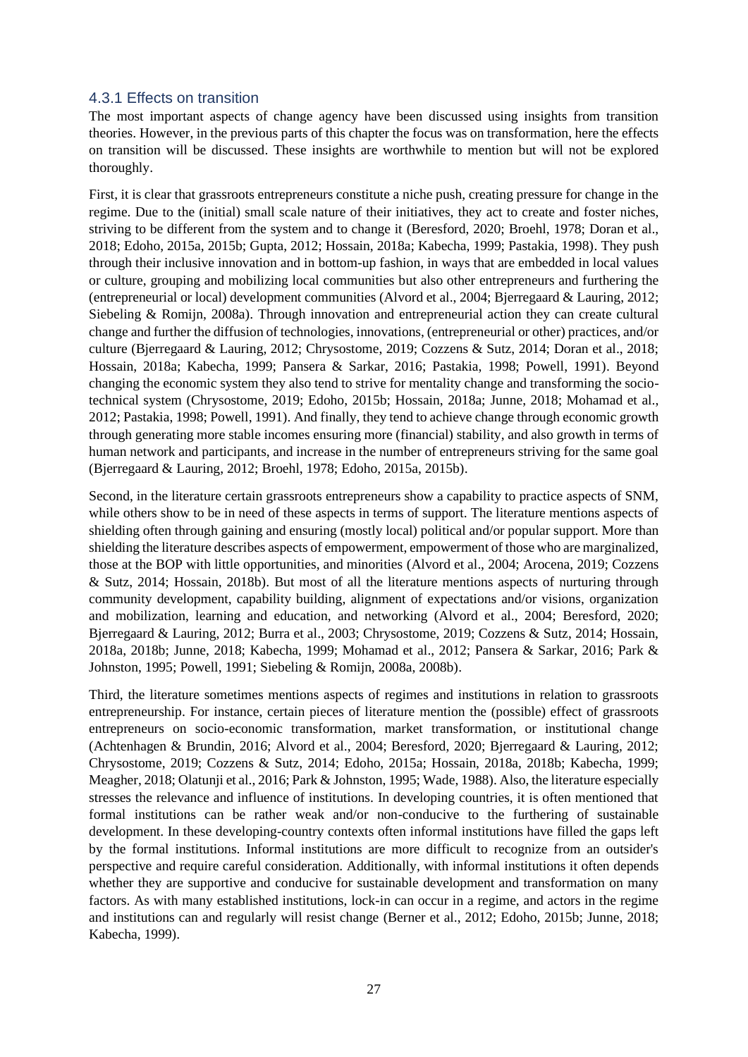#### <span id="page-27-0"></span>4.3.1 Effects on transition

The most important aspects of change agency have been discussed using insights from transition theories. However, in the previous parts of this chapter the focus was on transformation, here the effects on transition will be discussed. These insights are worthwhile to mention but will not be explored thoroughly.

First, it is clear that grassroots entrepreneurs constitute a niche push, creating pressure for change in the regime. Due to the (initial) small scale nature of their initiatives, they act to create and foster niches, striving to be different from the system and to change it (Beresford, 2020; Broehl, 1978; Doran et al., 2018; Edoho, 2015a, 2015b; Gupta, 2012; Hossain, 2018a; Kabecha, 1999; Pastakia, 1998). They push through their inclusive innovation and in bottom-up fashion, in ways that are embedded in local values or culture, grouping and mobilizing local communities but also other entrepreneurs and furthering the (entrepreneurial or local) development communities (Alvord et al., 2004; Bjerregaard & Lauring, 2012; Siebeling & Romijn, 2008a). Through innovation and entrepreneurial action they can create cultural change and further the diffusion of technologies, innovations, (entrepreneurial or other) practices, and/or culture (Bjerregaard & Lauring, 2012; Chrysostome, 2019; Cozzens & Sutz, 2014; Doran et al., 2018; Hossain, 2018a; Kabecha, 1999; Pansera & Sarkar, 2016; Pastakia, 1998; Powell, 1991). Beyond changing the economic system they also tend to strive for mentality change and transforming the sociotechnical system (Chrysostome, 2019; Edoho, 2015b; Hossain, 2018a; Junne, 2018; Mohamad et al., 2012; Pastakia, 1998; Powell, 1991). And finally, they tend to achieve change through economic growth through generating more stable incomes ensuring more (financial) stability, and also growth in terms of human network and participants, and increase in the number of entrepreneurs striving for the same goal (Bjerregaard & Lauring, 2012; Broehl, 1978; Edoho, 2015a, 2015b).

Second, in the literature certain grassroots entrepreneurs show a capability to practice aspects of SNM, while others show to be in need of these aspects in terms of support. The literature mentions aspects of shielding often through gaining and ensuring (mostly local) political and/or popular support. More than shielding the literature describes aspects of empowerment, empowerment of those who are marginalized, those at the BOP with little opportunities, and minorities (Alvord et al., 2004; Arocena, 2019; Cozzens & Sutz, 2014; Hossain, 2018b). But most of all the literature mentions aspects of nurturing through community development, capability building, alignment of expectations and/or visions, organization and mobilization, learning and education, and networking (Alvord et al., 2004; Beresford, 2020; Bjerregaard & Lauring, 2012; Burra et al., 2003; Chrysostome, 2019; Cozzens & Sutz, 2014; Hossain, 2018a, 2018b; Junne, 2018; Kabecha, 1999; Mohamad et al., 2012; Pansera & Sarkar, 2016; Park & Johnston, 1995; Powell, 1991; Siebeling & Romijn, 2008a, 2008b).

Third, the literature sometimes mentions aspects of regimes and institutions in relation to grassroots entrepreneurship. For instance, certain pieces of literature mention the (possible) effect of grassroots entrepreneurs on socio-economic transformation, market transformation, or institutional change (Achtenhagen & Brundin, 2016; Alvord et al., 2004; Beresford, 2020; Bjerregaard & Lauring, 2012; Chrysostome, 2019; Cozzens & Sutz, 2014; Edoho, 2015a; Hossain, 2018a, 2018b; Kabecha, 1999; Meagher, 2018; Olatunji et al., 2016; Park & Johnston, 1995; Wade, 1988). Also, the literature especially stresses the relevance and influence of institutions. In developing countries, it is often mentioned that formal institutions can be rather weak and/or non-conducive to the furthering of sustainable development. In these developing-country contexts often informal institutions have filled the gaps left by the formal institutions. Informal institutions are more difficult to recognize from an outsider's perspective and require careful consideration. Additionally, with informal institutions it often depends whether they are supportive and conducive for sustainable development and transformation on many factors. As with many established institutions, lock-in can occur in a regime, and actors in the regime and institutions can and regularly will resist change (Berner et al., 2012; Edoho, 2015b; Junne, 2018; Kabecha, 1999).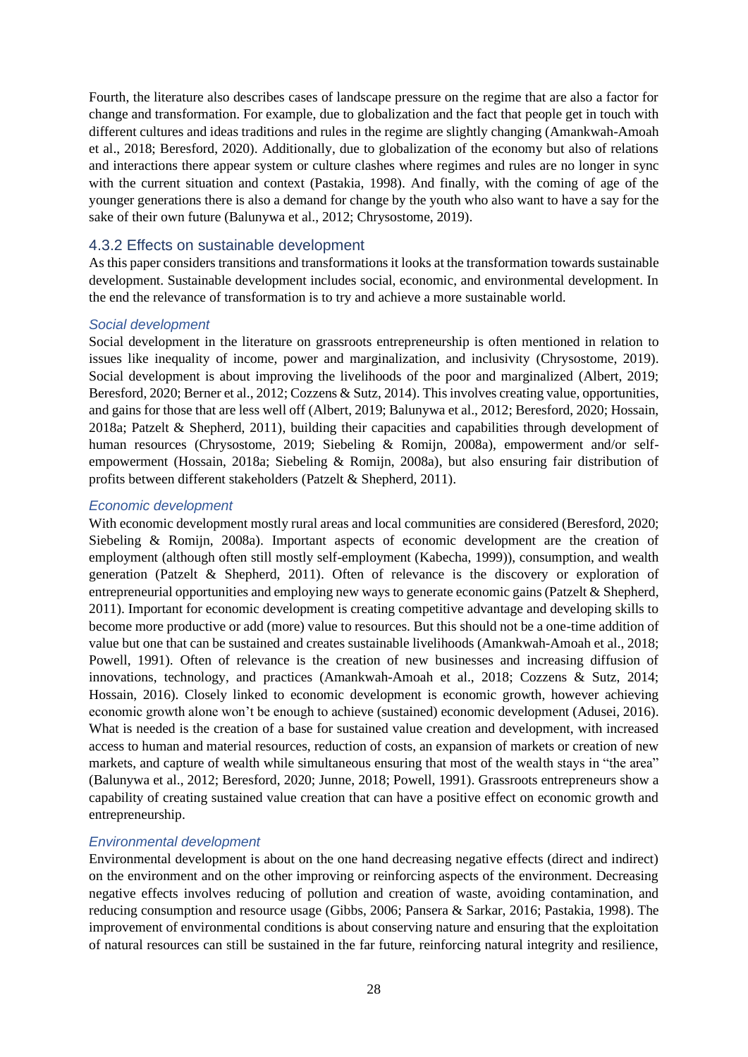Fourth, the literature also describes cases of landscape pressure on the regime that are also a factor for change and transformation. For example, due to globalization and the fact that people get in touch with different cultures and ideas traditions and rules in the regime are slightly changing (Amankwah-Amoah et al., 2018; Beresford, 2020). Additionally, due to globalization of the economy but also of relations and interactions there appear system or culture clashes where regimes and rules are no longer in sync with the current situation and context (Pastakia, 1998). And finally, with the coming of age of the younger generations there is also a demand for change by the youth who also want to have a say for the sake of their own future (Balunywa et al., 2012; Chrysostome, 2019).

### <span id="page-28-0"></span>4.3.2 Effects on sustainable development

As this paper considers transitions and transformations it looks at the transformation towards sustainable development. Sustainable development includes social, economic, and environmental development. In the end the relevance of transformation is to try and achieve a more sustainable world.

#### *Social development*

Social development in the literature on grassroots entrepreneurship is often mentioned in relation to issues like inequality of income, power and marginalization, and inclusivity (Chrysostome, 2019). Social development is about improving the livelihoods of the poor and marginalized (Albert, 2019; Beresford, 2020; Berner et al., 2012; Cozzens & Sutz, 2014). This involves creating value, opportunities, and gains for those that are less well off (Albert, 2019; Balunywa et al., 2012; Beresford, 2020; Hossain, 2018a; Patzelt & Shepherd, 2011), building their capacities and capabilities through development of human resources (Chrysostome, 2019; Siebeling & Romijn, 2008a), empowerment and/or selfempowerment (Hossain, 2018a; Siebeling & Romijn, 2008a), but also ensuring fair distribution of profits between different stakeholders (Patzelt & Shepherd, 2011).

#### *Economic development*

With economic development mostly rural areas and local communities are considered (Beresford, 2020; Siebeling & Romijn, 2008a). Important aspects of economic development are the creation of employment (although often still mostly self-employment (Kabecha, 1999)), consumption, and wealth generation (Patzelt & Shepherd, 2011). Often of relevance is the discovery or exploration of entrepreneurial opportunities and employing new ways to generate economic gains (Patzelt & Shepherd, 2011). Important for economic development is creating competitive advantage and developing skills to become more productive or add (more) value to resources. But this should not be a one-time addition of value but one that can be sustained and creates sustainable livelihoods (Amankwah-Amoah et al., 2018; Powell, 1991). Often of relevance is the creation of new businesses and increasing diffusion of innovations, technology, and practices (Amankwah-Amoah et al., 2018; Cozzens & Sutz, 2014; Hossain, 2016). Closely linked to economic development is economic growth, however achieving economic growth alone won't be enough to achieve (sustained) economic development (Adusei, 2016). What is needed is the creation of a base for sustained value creation and development, with increased access to human and material resources, reduction of costs, an expansion of markets or creation of new markets, and capture of wealth while simultaneous ensuring that most of the wealth stays in "the area" (Balunywa et al., 2012; Beresford, 2020; Junne, 2018; Powell, 1991). Grassroots entrepreneurs show a capability of creating sustained value creation that can have a positive effect on economic growth and entrepreneurship.

### *Environmental development*

Environmental development is about on the one hand decreasing negative effects (direct and indirect) on the environment and on the other improving or reinforcing aspects of the environment. Decreasing negative effects involves reducing of pollution and creation of waste, avoiding contamination, and reducing consumption and resource usage (Gibbs, 2006; Pansera & Sarkar, 2016; Pastakia, 1998). The improvement of environmental conditions is about conserving nature and ensuring that the exploitation of natural resources can still be sustained in the far future, reinforcing natural integrity and resilience,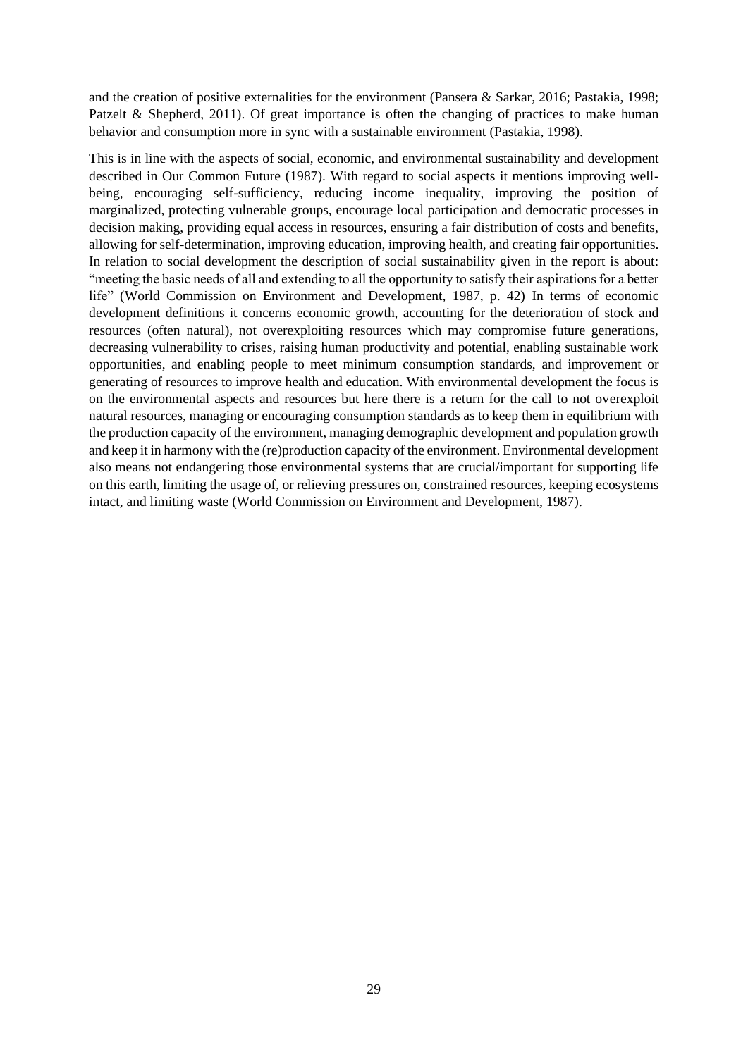and the creation of positive externalities for the environment (Pansera & Sarkar, 2016; Pastakia, 1998; Patzelt & Shepherd, 2011). Of great importance is often the changing of practices to make human behavior and consumption more in sync with a sustainable environment (Pastakia, 1998).

This is in line with the aspects of social, economic, and environmental sustainability and development described in Our Common Future (1987). With regard to social aspects it mentions improving wellbeing, encouraging self-sufficiency, reducing income inequality, improving the position of marginalized, protecting vulnerable groups, encourage local participation and democratic processes in decision making, providing equal access in resources, ensuring a fair distribution of costs and benefits, allowing for self-determination, improving education, improving health, and creating fair opportunities. In relation to social development the description of social sustainability given in the report is about: "meeting the basic needs of all and extending to all the opportunity to satisfy their aspirations for a better life" (World Commission on Environment and Development, 1987, p. 42) In terms of economic development definitions it concerns economic growth, accounting for the deterioration of stock and resources (often natural), not overexploiting resources which may compromise future generations, decreasing vulnerability to crises, raising human productivity and potential, enabling sustainable work opportunities, and enabling people to meet minimum consumption standards, and improvement or generating of resources to improve health and education. With environmental development the focus is on the environmental aspects and resources but here there is a return for the call to not overexploit natural resources, managing or encouraging consumption standards as to keep them in equilibrium with the production capacity of the environment, managing demographic development and population growth and keep it in harmony with the (re)production capacity of the environment. Environmental development also means not endangering those environmental systems that are crucial/important for supporting life on this earth, limiting the usage of, or relieving pressures on, constrained resources, keeping ecosystems intact, and limiting waste (World Commission on Environment and Development, 1987).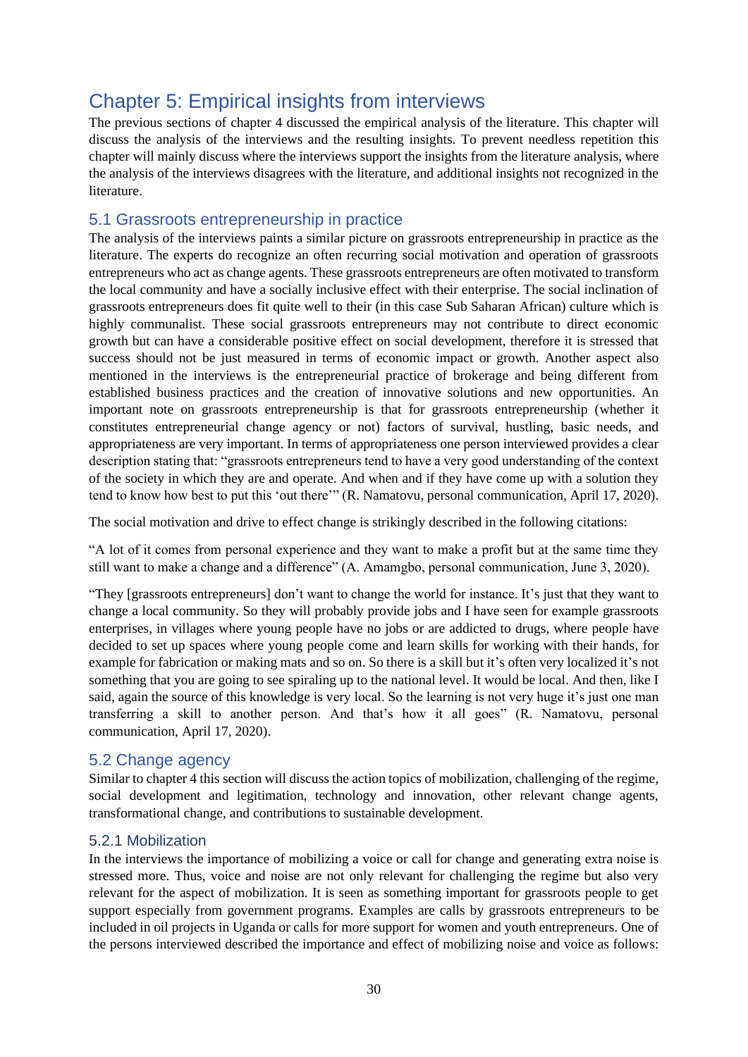## <span id="page-30-0"></span>Chapter 5: Empirical insights from interviews

The previous sections of chapter 4 discussed the empirical analysis of the literature. This chapter will discuss the analysis of the interviews and the resulting insights. To prevent needless repetition this chapter will mainly discuss where the interviews support the insights from the literature analysis, where the analysis of the interviews disagrees with the literature, and additional insights not recognized in the literature.

## <span id="page-30-1"></span>5.1 Grassroots entrepreneurship in practice

The analysis of the interviews paints a similar picture on grassroots entrepreneurship in practice as the literature. The experts do recognize an often recurring social motivation and operation of grassroots entrepreneurs who act as change agents. These grassroots entrepreneurs are often motivated to transform the local community and have a socially inclusive effect with their enterprise. The social inclination of grassroots entrepreneurs does fit quite well to their (in this case Sub Saharan African) culture which is highly communalist. These social grassroots entrepreneurs may not contribute to direct economic growth but can have a considerable positive effect on social development, therefore it is stressed that success should not be just measured in terms of economic impact or growth. Another aspect also mentioned in the interviews is the entrepreneurial practice of brokerage and being different from established business practices and the creation of innovative solutions and new opportunities. An important note on grassroots entrepreneurship is that for grassroots entrepreneurship (whether it constitutes entrepreneurial change agency or not) factors of survival, hustling, basic needs, and appropriateness are very important. In terms of appropriateness one person interviewed provides a clear description stating that: "grassroots entrepreneurs tend to have a very good understanding of the context of the society in which they are and operate. And when and if they have come up with a solution they tend to know how best to put this 'out there'" (R. Namatovu, personal communication, April 17, 2020).

The social motivation and drive to effect change is strikingly described in the following citations:

"A lot of it comes from personal experience and they want to make a profit but at the same time they still want to make a change and a difference" (A. Amamgbo, personal communication, June 3, 2020).

"They [grassroots entrepreneurs] don't want to change the world for instance. It's just that they want to change a local community. So they will probably provide jobs and I have seen for example grassroots enterprises, in villages where young people have no jobs or are addicted to drugs, where people have decided to set up spaces where young people come and learn skills for working with their hands, for example for fabrication or making mats and so on. So there is a skill but it's often very localized it's not something that you are going to see spiraling up to the national level. It would be local. And then, like I said, again the source of this knowledge is very local. So the learning is not very huge it's just one man transferring a skill to another person. And that's how it all goes" (R. Namatovu, personal communication, April 17, 2020).

## <span id="page-30-2"></span>5.2 Change agency

Similar to chapter 4 this section will discuss the action topics of mobilization, challenging of the regime, social development and legitimation, technology and innovation, other relevant change agents, transformational change, and contributions to sustainable development.

## <span id="page-30-3"></span>5.2.1 Mobilization

In the interviews the importance of mobilizing a voice or call for change and generating extra noise is stressed more. Thus, voice and noise are not only relevant for challenging the regime but also very relevant for the aspect of mobilization. It is seen as something important for grassroots people to get support especially from government programs. Examples are calls by grassroots entrepreneurs to be included in oil projects in Uganda or calls for more support for women and youth entrepreneurs. One of the persons interviewed described the importance and effect of mobilizing noise and voice as follows: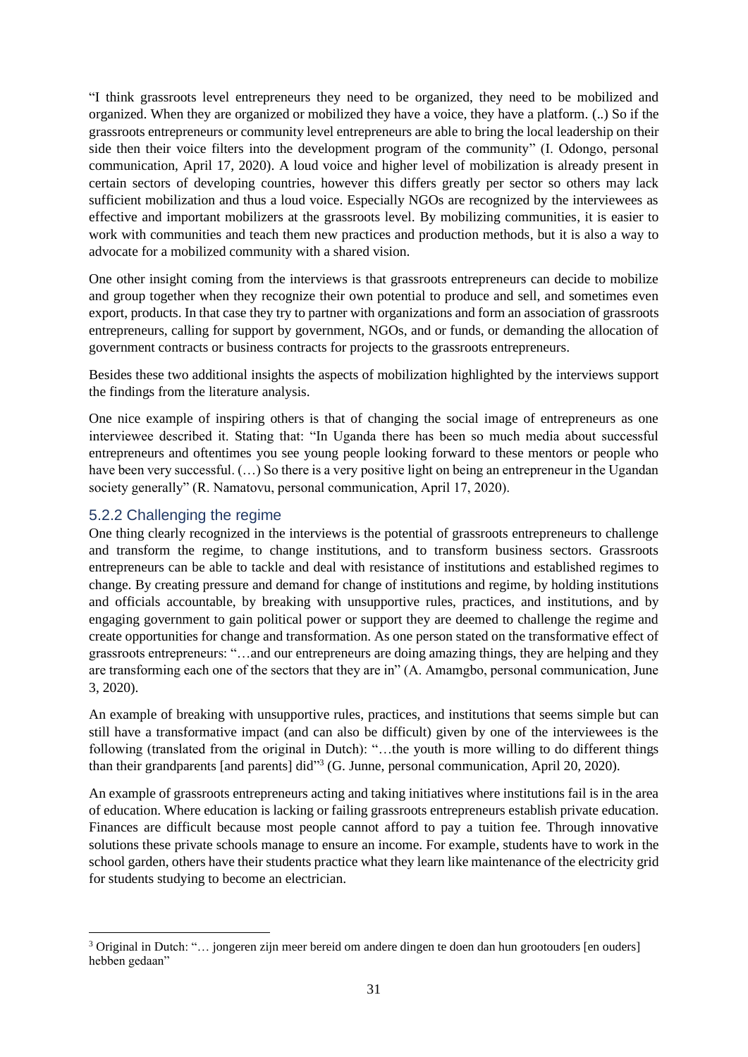"I think grassroots level entrepreneurs they need to be organized, they need to be mobilized and organized. When they are organized or mobilized they have a voice, they have a platform. (..) So if the grassroots entrepreneurs or community level entrepreneurs are able to bring the local leadership on their side then their voice filters into the development program of the community" (I. Odongo, personal communication, April 17, 2020). A loud voice and higher level of mobilization is already present in certain sectors of developing countries, however this differs greatly per sector so others may lack sufficient mobilization and thus a loud voice. Especially NGOs are recognized by the interviewees as effective and important mobilizers at the grassroots level. By mobilizing communities, it is easier to work with communities and teach them new practices and production methods, but it is also a way to advocate for a mobilized community with a shared vision.

One other insight coming from the interviews is that grassroots entrepreneurs can decide to mobilize and group together when they recognize their own potential to produce and sell, and sometimes even export, products. In that case they try to partner with organizations and form an association of grassroots entrepreneurs, calling for support by government, NGOs, and or funds, or demanding the allocation of government contracts or business contracts for projects to the grassroots entrepreneurs.

Besides these two additional insights the aspects of mobilization highlighted by the interviews support the findings from the literature analysis.

One nice example of inspiring others is that of changing the social image of entrepreneurs as one interviewee described it. Stating that: "In Uganda there has been so much media about successful entrepreneurs and oftentimes you see young people looking forward to these mentors or people who have been very successful. (…) So there is a very positive light on being an entrepreneur in the Ugandan society generally" (R. Namatovu, personal communication, April 17, 2020).

## <span id="page-31-0"></span>5.2.2 Challenging the regime

One thing clearly recognized in the interviews is the potential of grassroots entrepreneurs to challenge and transform the regime, to change institutions, and to transform business sectors. Grassroots entrepreneurs can be able to tackle and deal with resistance of institutions and established regimes to change. By creating pressure and demand for change of institutions and regime, by holding institutions and officials accountable, by breaking with unsupportive rules, practices, and institutions, and by engaging government to gain political power or support they are deemed to challenge the regime and create opportunities for change and transformation. As one person stated on the transformative effect of grassroots entrepreneurs: "…and our entrepreneurs are doing amazing things, they are helping and they are transforming each one of the sectors that they are in" (A. Amamgbo, personal communication, June 3, 2020).

An example of breaking with unsupportive rules, practices, and institutions that seems simple but can still have a transformative impact (and can also be difficult) given by one of the interviewees is the following (translated from the original in Dutch): "…the youth is more willing to do different things than their grandparents [and parents] did"<sup>3</sup> (G. Junne, personal communication, April 20, 2020).

An example of grassroots entrepreneurs acting and taking initiatives where institutions fail is in the area of education. Where education is lacking or failing grassroots entrepreneurs establish private education. Finances are difficult because most people cannot afford to pay a tuition fee. Through innovative solutions these private schools manage to ensure an income. For example, students have to work in the school garden, others have their students practice what they learn like maintenance of the electricity grid for students studying to become an electrician.

<sup>3</sup> Original in Dutch: "… jongeren zijn meer bereid om andere dingen te doen dan hun grootouders [en ouders] hebben gedaan"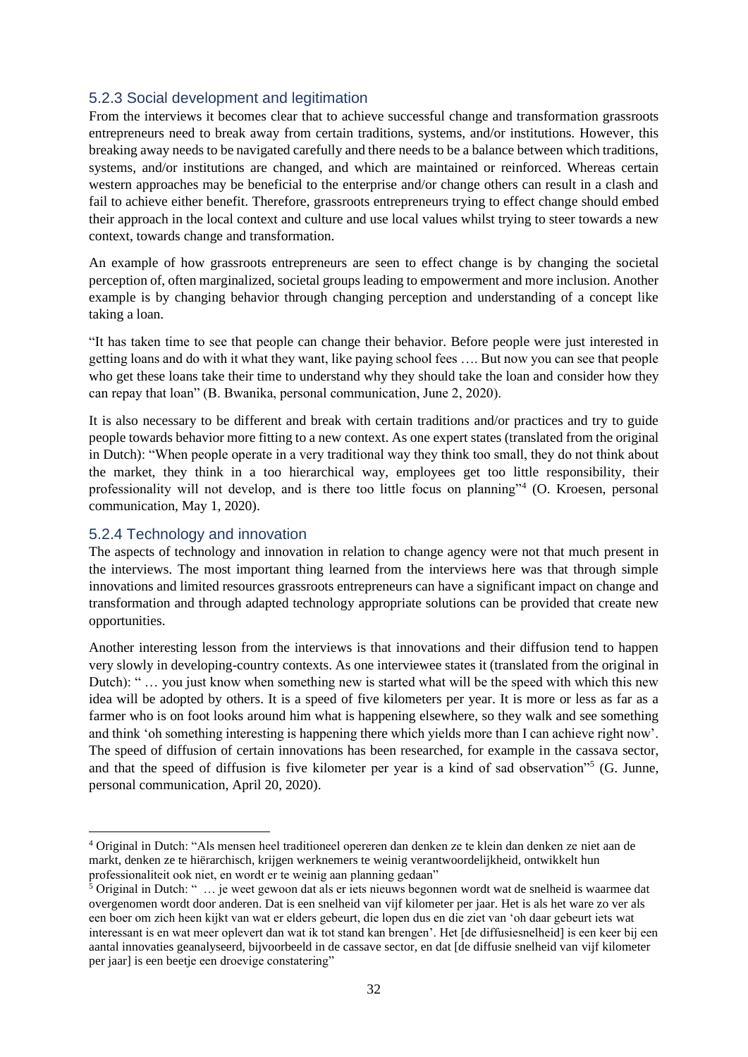## <span id="page-32-0"></span>5.2.3 Social development and legitimation

From the interviews it becomes clear that to achieve successful change and transformation grassroots entrepreneurs need to break away from certain traditions, systems, and/or institutions. However, this breaking away needs to be navigated carefully and there needs to be a balance between which traditions, systems, and/or institutions are changed, and which are maintained or reinforced. Whereas certain western approaches may be beneficial to the enterprise and/or change others can result in a clash and fail to achieve either benefit. Therefore, grassroots entrepreneurs trying to effect change should embed their approach in the local context and culture and use local values whilst trying to steer towards a new context, towards change and transformation.

An example of how grassroots entrepreneurs are seen to effect change is by changing the societal perception of, often marginalized, societal groups leading to empowerment and more inclusion. Another example is by changing behavior through changing perception and understanding of a concept like taking a loan.

"It has taken time to see that people can change their behavior. Before people were just interested in getting loans and do with it what they want, like paying school fees …. But now you can see that people who get these loans take their time to understand why they should take the loan and consider how they can repay that loan" (B. Bwanika, personal communication, June 2, 2020).

It is also necessary to be different and break with certain traditions and/or practices and try to guide people towards behavior more fitting to a new context. As one expert states (translated from the original in Dutch): "When people operate in a very traditional way they think too small, they do not think about the market, they think in a too hierarchical way, employees get too little responsibility, their professionality will not develop, and is there too little focus on planning"<sup>4</sup> (O. Kroesen, personal communication, May 1, 2020).

### <span id="page-32-1"></span>5.2.4 Technology and innovation

The aspects of technology and innovation in relation to change agency were not that much present in the interviews. The most important thing learned from the interviews here was that through simple innovations and limited resources grassroots entrepreneurs can have a significant impact on change and transformation and through adapted technology appropriate solutions can be provided that create new opportunities.

Another interesting lesson from the interviews is that innovations and their diffusion tend to happen very slowly in developing-country contexts. As one interviewee states it (translated from the original in Dutch): " … you just know when something new is started what will be the speed with which this new idea will be adopted by others. It is a speed of five kilometers per year. It is more or less as far as a farmer who is on foot looks around him what is happening elsewhere, so they walk and see something and think 'oh something interesting is happening there which yields more than I can achieve right now'. The speed of diffusion of certain innovations has been researched, for example in the cassava sector, and that the speed of diffusion is five kilometer per year is a kind of sad observation"<sup>5</sup> (G. Junne, personal communication, April 20, 2020).

<sup>4</sup> Original in Dutch: "Als mensen heel traditioneel opereren dan denken ze te klein dan denken ze niet aan de markt, denken ze te hiërarchisch, krijgen werknemers te weinig verantwoordelijkheid, ontwikkelt hun professionaliteit ook niet, en wordt er te weinig aan planning gedaan"

 $\frac{5}{5}$  Original in Dutch: " ... je weet gewoon dat als er iets nieuws begonnen wordt wat de snelheid is waarmee dat overgenomen wordt door anderen. Dat is een snelheid van vijf kilometer per jaar. Het is als het ware zo ver als een boer om zich heen kijkt van wat er elders gebeurt, die lopen dus en die ziet van 'oh daar gebeurt iets wat interessant is en wat meer oplevert dan wat ik tot stand kan brengen'. Het [de diffusiesnelheid] is een keer bij een aantal innovaties geanalyseerd, bijvoorbeeld in de cassave sector, en dat [de diffusie snelheid van vijf kilometer per jaar] is een beetje een droevige constatering"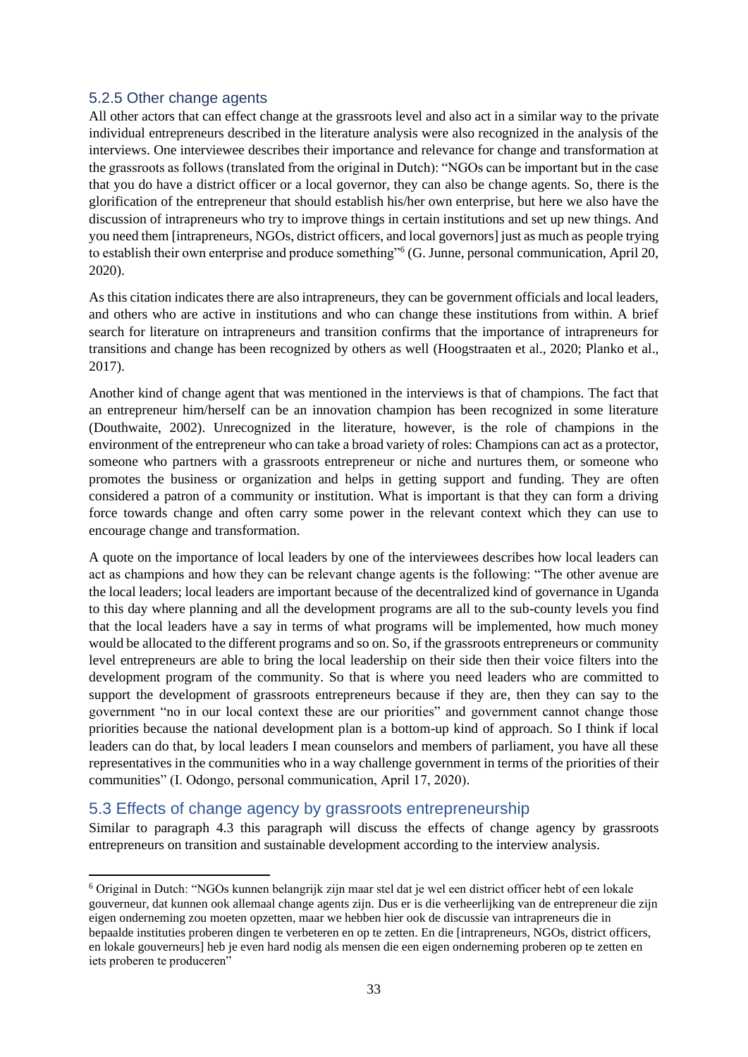## <span id="page-33-0"></span>5.2.5 Other change agents

All other actors that can effect change at the grassroots level and also act in a similar way to the private individual entrepreneurs described in the literature analysis were also recognized in the analysis of the interviews. One interviewee describes their importance and relevance for change and transformation at the grassroots as follows (translated from the original in Dutch): "NGOs can be important but in the case that you do have a district officer or a local governor, they can also be change agents. So, there is the glorification of the entrepreneur that should establish his/her own enterprise, but here we also have the discussion of intrapreneurs who try to improve things in certain institutions and set up new things. And you need them [intrapreneurs, NGOs, district officers, and local governors] just as much as people trying to establish their own enterprise and produce something"<sup>6</sup> (G. Junne, personal communication, April 20, 2020).

As this citation indicates there are also intrapreneurs, they can be government officials and local leaders, and others who are active in institutions and who can change these institutions from within. A brief search for literature on intrapreneurs and transition confirms that the importance of intrapreneurs for transitions and change has been recognized by others as well (Hoogstraaten et al., 2020; Planko et al., 2017).

Another kind of change agent that was mentioned in the interviews is that of champions. The fact that an entrepreneur him/herself can be an innovation champion has been recognized in some literature (Douthwaite, 2002). Unrecognized in the literature, however, is the role of champions in the environment of the entrepreneur who can take a broad variety of roles: Champions can act as a protector, someone who partners with a grassroots entrepreneur or niche and nurtures them, or someone who promotes the business or organization and helps in getting support and funding. They are often considered a patron of a community or institution. What is important is that they can form a driving force towards change and often carry some power in the relevant context which they can use to encourage change and transformation.

A quote on the importance of local leaders by one of the interviewees describes how local leaders can act as champions and how they can be relevant change agents is the following: "The other avenue are the local leaders; local leaders are important because of the decentralized kind of governance in Uganda to this day where planning and all the development programs are all to the sub-county levels you find that the local leaders have a say in terms of what programs will be implemented, how much money would be allocated to the different programs and so on. So, if the grassroots entrepreneurs or community level entrepreneurs are able to bring the local leadership on their side then their voice filters into the development program of the community. So that is where you need leaders who are committed to support the development of grassroots entrepreneurs because if they are, then they can say to the government "no in our local context these are our priorities" and government cannot change those priorities because the national development plan is a bottom-up kind of approach. So I think if local leaders can do that, by local leaders I mean counselors and members of parliament, you have all these representatives in the communities who in a way challenge government in terms of the priorities of their communities" (I. Odongo, personal communication, April 17, 2020).

## <span id="page-33-1"></span>5.3 Effects of change agency by grassroots entrepreneurship

Similar to paragraph 4.3 this paragraph will discuss the effects of change agency by grassroots entrepreneurs on transition and sustainable development according to the interview analysis.

<sup>6</sup> Original in Dutch: "NGOs kunnen belangrijk zijn maar stel dat je wel een district officer hebt of een lokale gouverneur, dat kunnen ook allemaal change agents zijn. Dus er is die verheerlijking van de entrepreneur die zijn eigen onderneming zou moeten opzetten, maar we hebben hier ook de discussie van intrapreneurs die in bepaalde instituties proberen dingen te verbeteren en op te zetten. En die [intrapreneurs, NGOs, district officers, en lokale gouverneurs] heb je even hard nodig als mensen die een eigen onderneming proberen op te zetten en iets proberen te produceren"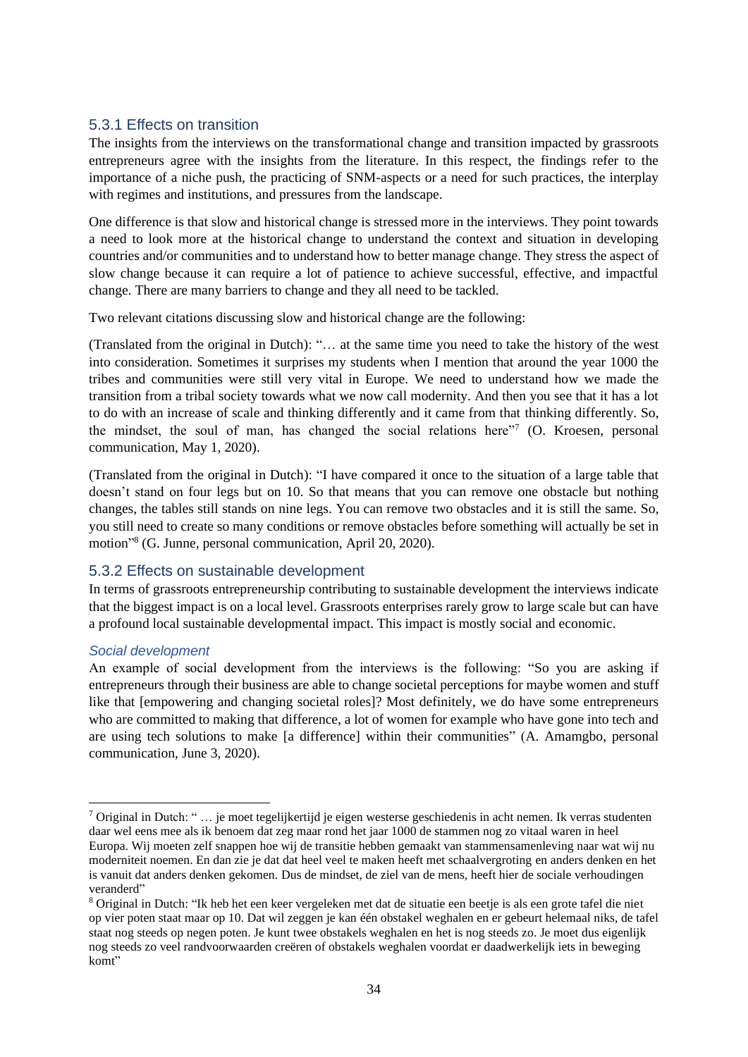## <span id="page-34-0"></span>5.3.1 Effects on transition

The insights from the interviews on the transformational change and transition impacted by grassroots entrepreneurs agree with the insights from the literature. In this respect, the findings refer to the importance of a niche push, the practicing of SNM-aspects or a need for such practices, the interplay with regimes and institutions, and pressures from the landscape.

One difference is that slow and historical change is stressed more in the interviews. They point towards a need to look more at the historical change to understand the context and situation in developing countries and/or communities and to understand how to better manage change. They stress the aspect of slow change because it can require a lot of patience to achieve successful, effective, and impactful change. There are many barriers to change and they all need to be tackled.

Two relevant citations discussing slow and historical change are the following:

(Translated from the original in Dutch): "… at the same time you need to take the history of the west into consideration. Sometimes it surprises my students when I mention that around the year 1000 the tribes and communities were still very vital in Europe. We need to understand how we made the transition from a tribal society towards what we now call modernity. And then you see that it has a lot to do with an increase of scale and thinking differently and it came from that thinking differently. So, the mindset, the soul of man, has changed the social relations here"7 (O. Kroesen, personal communication, May 1, 2020).

(Translated from the original in Dutch): "I have compared it once to the situation of a large table that doesn't stand on four legs but on 10. So that means that you can remove one obstacle but nothing changes, the tables still stands on nine legs. You can remove two obstacles and it is still the same. So, you still need to create so many conditions or remove obstacles before something will actually be set in motion" 8 (G. Junne, personal communication, April 20, 2020).

### <span id="page-34-1"></span>5.3.2 Effects on sustainable development

In terms of grassroots entrepreneurship contributing to sustainable development the interviews indicate that the biggest impact is on a local level. Grassroots enterprises rarely grow to large scale but can have a profound local sustainable developmental impact. This impact is mostly social and economic.

### *Social development*

An example of social development from the interviews is the following: "So you are asking if entrepreneurs through their business are able to change societal perceptions for maybe women and stuff like that [empowering and changing societal roles]? Most definitely, we do have some entrepreneurs who are committed to making that difference, a lot of women for example who have gone into tech and are using tech solutions to make [a difference] within their communities" (A. Amamgbo, personal communication, June 3, 2020).

<sup>&</sup>lt;sup>7</sup> Original in Dutch: " ... je moet tegelijkertijd je eigen westerse geschiedenis in acht nemen. Ik verras studenten daar wel eens mee als ik benoem dat zeg maar rond het jaar 1000 de stammen nog zo vitaal waren in heel Europa. Wij moeten zelf snappen hoe wij de transitie hebben gemaakt van stammensamenleving naar wat wij nu moderniteit noemen. En dan zie je dat dat heel veel te maken heeft met schaalvergroting en anders denken en het is vanuit dat anders denken gekomen. Dus de mindset, de ziel van de mens, heeft hier de sociale verhoudingen veranderd"

<sup>8</sup> Original in Dutch: "Ik heb het een keer vergeleken met dat de situatie een beetje is als een grote tafel die niet op vier poten staat maar op 10. Dat wil zeggen je kan één obstakel weghalen en er gebeurt helemaal niks, de tafel staat nog steeds op negen poten. Je kunt twee obstakels weghalen en het is nog steeds zo. Je moet dus eigenlijk nog steeds zo veel randvoorwaarden creëren of obstakels weghalen voordat er daadwerkelijk iets in beweging komt"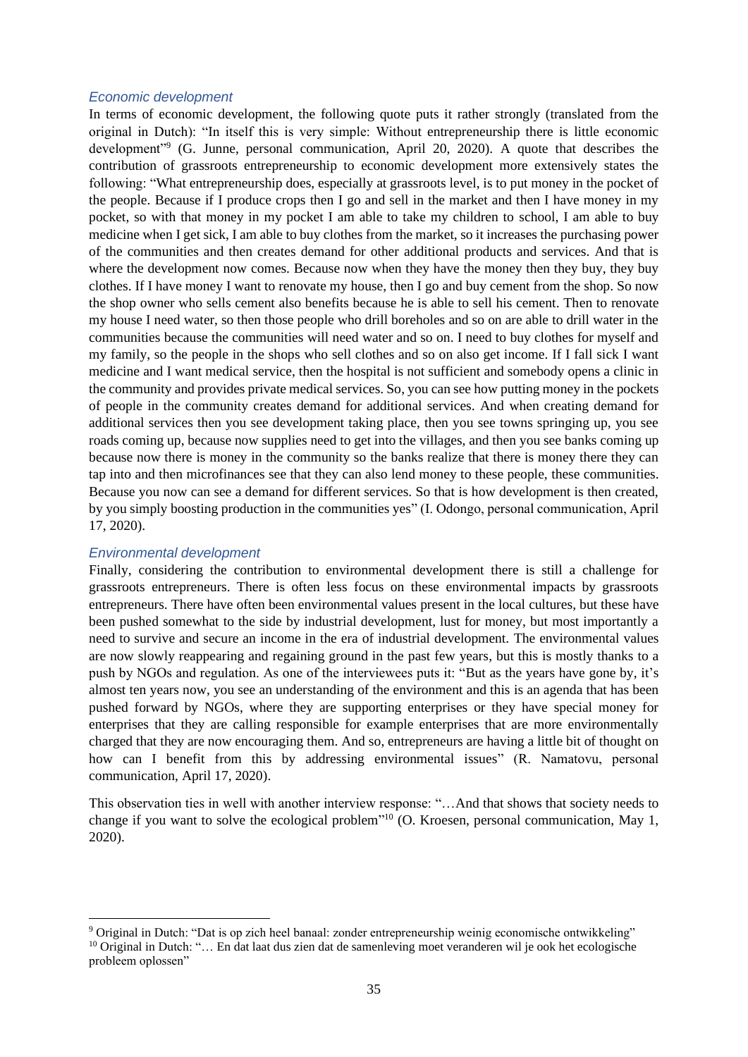#### *Economic development*

In terms of economic development, the following quote puts it rather strongly (translated from the original in Dutch): "In itself this is very simple: Without entrepreneurship there is little economic development"<sup>9</sup> (G. Junne, personal communication, April 20, 2020). A quote that describes the contribution of grassroots entrepreneurship to economic development more extensively states the following: "What entrepreneurship does, especially at grassroots level, is to put money in the pocket of the people. Because if I produce crops then I go and sell in the market and then I have money in my pocket, so with that money in my pocket I am able to take my children to school, I am able to buy medicine when I get sick, I am able to buy clothes from the market, so it increases the purchasing power of the communities and then creates demand for other additional products and services. And that is where the development now comes. Because now when they have the money then they buy, they buy clothes. If I have money I want to renovate my house, then I go and buy cement from the shop. So now the shop owner who sells cement also benefits because he is able to sell his cement. Then to renovate my house I need water, so then those people who drill boreholes and so on are able to drill water in the communities because the communities will need water and so on. I need to buy clothes for myself and my family, so the people in the shops who sell clothes and so on also get income. If I fall sick I want medicine and I want medical service, then the hospital is not sufficient and somebody opens a clinic in the community and provides private medical services. So, you can see how putting money in the pockets of people in the community creates demand for additional services. And when creating demand for additional services then you see development taking place, then you see towns springing up, you see roads coming up, because now supplies need to get into the villages, and then you see banks coming up because now there is money in the community so the banks realize that there is money there they can tap into and then microfinances see that they can also lend money to these people, these communities. Because you now can see a demand for different services. So that is how development is then created, by you simply boosting production in the communities yes" (I. Odongo, personal communication, April 17, 2020).

#### *Environmental development*

Finally, considering the contribution to environmental development there is still a challenge for grassroots entrepreneurs. There is often less focus on these environmental impacts by grassroots entrepreneurs. There have often been environmental values present in the local cultures, but these have been pushed somewhat to the side by industrial development, lust for money, but most importantly a need to survive and secure an income in the era of industrial development. The environmental values are now slowly reappearing and regaining ground in the past few years, but this is mostly thanks to a push by NGOs and regulation. As one of the interviewees puts it: "But as the years have gone by, it's almost ten years now, you see an understanding of the environment and this is an agenda that has been pushed forward by NGOs, where they are supporting enterprises or they have special money for enterprises that they are calling responsible for example enterprises that are more environmentally charged that they are now encouraging them. And so, entrepreneurs are having a little bit of thought on how can I benefit from this by addressing environmental issues" (R. Namatovu, personal communication, April 17, 2020).

This observation ties in well with another interview response: "…And that shows that society needs to change if you want to solve the ecological problem<sup>"10</sup> (O. Kroesen, personal communication, May 1, 2020).

<sup>9</sup> Original in Dutch: "Dat is op zich heel banaal: zonder entrepreneurship weinig economische ontwikkeling" <sup>10</sup> Original in Dutch: "… En dat laat dus zien dat de samenleving moet veranderen wil je ook het ecologische probleem oplossen"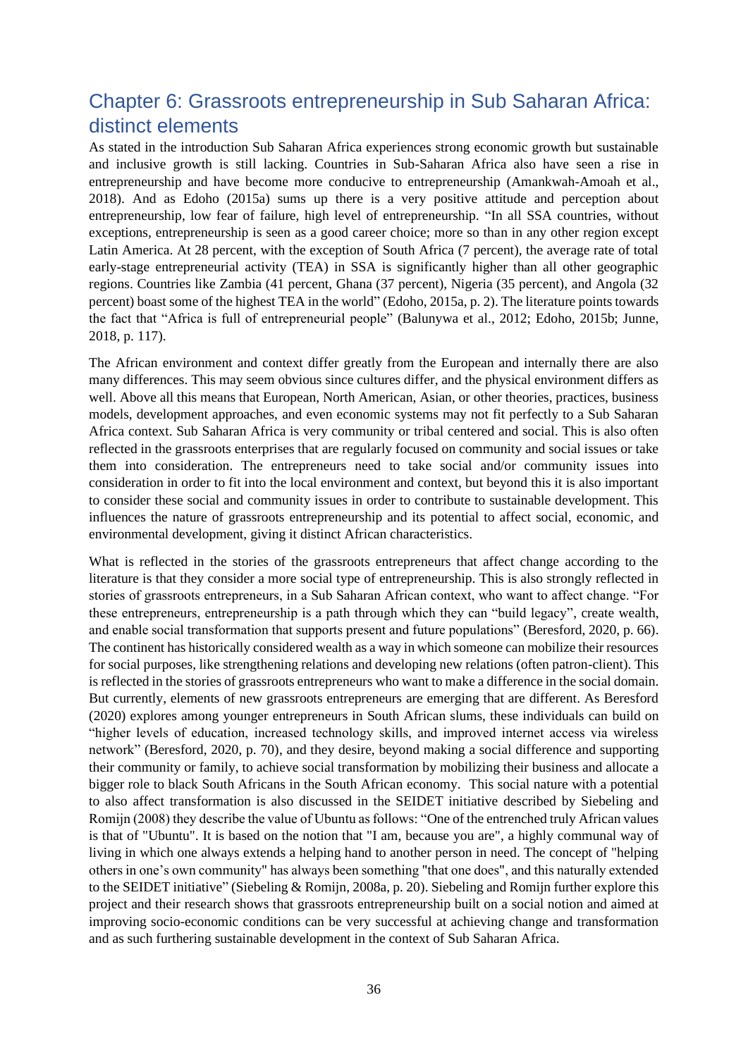## <span id="page-36-0"></span>Chapter 6: Grassroots entrepreneurship in Sub Saharan Africa: distinct elements

As stated in the introduction Sub Saharan Africa experiences strong economic growth but sustainable and inclusive growth is still lacking. Countries in Sub-Saharan Africa also have seen a rise in entrepreneurship and have become more conducive to entrepreneurship (Amankwah-Amoah et al., 2018). And as Edoho (2015a) sums up there is a very positive attitude and perception about entrepreneurship, low fear of failure, high level of entrepreneurship. "In all SSA countries, without exceptions, entrepreneurship is seen as a good career choice; more so than in any other region except Latin America. At 28 percent, with the exception of South Africa (7 percent), the average rate of total early-stage entrepreneurial activity (TEA) in SSA is significantly higher than all other geographic regions. Countries like Zambia (41 percent, Ghana (37 percent), Nigeria (35 percent), and Angola (32 percent) boast some of the highest TEA in the world" (Edoho, 2015a, p. 2). The literature points towards the fact that "Africa is full of entrepreneurial people" (Balunywa et al., 2012; Edoho, 2015b; Junne, 2018, p. 117).

The African environment and context differ greatly from the European and internally there are also many differences. This may seem obvious since cultures differ, and the physical environment differs as well. Above all this means that European, North American, Asian, or other theories, practices, business models, development approaches, and even economic systems may not fit perfectly to a Sub Saharan Africa context. Sub Saharan Africa is very community or tribal centered and social. This is also often reflected in the grassroots enterprises that are regularly focused on community and social issues or take them into consideration. The entrepreneurs need to take social and/or community issues into consideration in order to fit into the local environment and context, but beyond this it is also important to consider these social and community issues in order to contribute to sustainable development. This influences the nature of grassroots entrepreneurship and its potential to affect social, economic, and environmental development, giving it distinct African characteristics.

What is reflected in the stories of the grassroots entrepreneurs that affect change according to the literature is that they consider a more social type of entrepreneurship. This is also strongly reflected in stories of grassroots entrepreneurs, in a Sub Saharan African context, who want to affect change. "For these entrepreneurs, entrepreneurship is a path through which they can "build legacy", create wealth, and enable social transformation that supports present and future populations" (Beresford, 2020, p. 66). The continent has historically considered wealth as a way in which someone can mobilize their resources for social purposes, like strengthening relations and developing new relations (often patron-client). This is reflected in the stories of grassroots entrepreneurs who want to make a difference in the social domain. But currently, elements of new grassroots entrepreneurs are emerging that are different. As Beresford (2020) explores among younger entrepreneurs in South African slums, these individuals can build on "higher levels of education, increased technology skills, and improved internet access via wireless network" (Beresford, 2020, p. 70), and they desire, beyond making a social difference and supporting their community or family, to achieve social transformation by mobilizing their business and allocate a bigger role to black South Africans in the South African economy. This social nature with a potential to also affect transformation is also discussed in the SEIDET initiative described by Siebeling and Romijn (2008) they describe the value of Ubuntu as follows: "One of the entrenched truly African values is that of "Ubuntu". It is based on the notion that "I am, because you are", a highly communal way of living in which one always extends a helping hand to another person in need. The concept of "helping others in one's own community" has always been something "that one does", and this naturally extended to the SEIDET initiative" (Siebeling & Romijn, 2008a, p. 20). Siebeling and Romijn further explore this project and their research shows that grassroots entrepreneurship built on a social notion and aimed at improving socio-economic conditions can be very successful at achieving change and transformation and as such furthering sustainable development in the context of Sub Saharan Africa.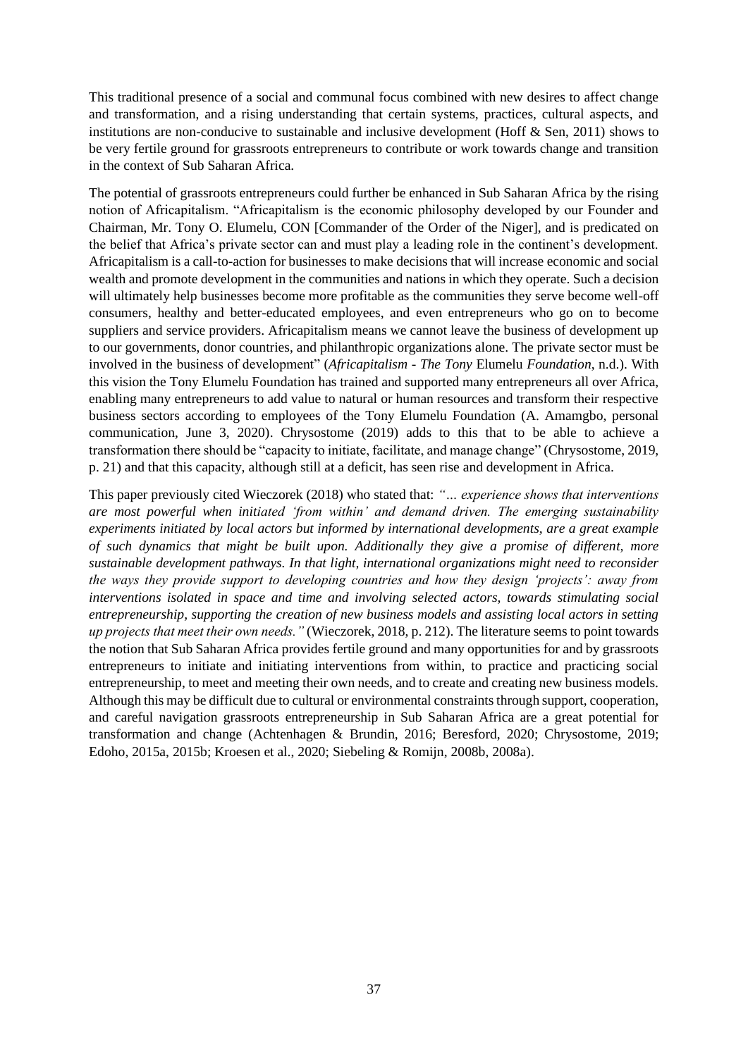This traditional presence of a social and communal focus combined with new desires to affect change and transformation, and a rising understanding that certain systems, practices, cultural aspects, and institutions are non-conducive to sustainable and inclusive development (Hoff  $\&$  Sen, 2011) shows to be very fertile ground for grassroots entrepreneurs to contribute or work towards change and transition in the context of Sub Saharan Africa.

The potential of grassroots entrepreneurs could further be enhanced in Sub Saharan Africa by the rising notion of Africapitalism. "Africapitalism is the economic philosophy developed by our Founder and Chairman, Mr. Tony O. Elumelu, CON [Commander of the Order of the Niger], and is predicated on the belief that Africa's private sector can and must play a leading role in the continent's development. Africapitalism is a call-to-action for businesses to make decisions that will increase economic and social wealth and promote development in the communities and nations in which they operate. Such a decision will ultimately help businesses become more profitable as the communities they serve become well-off consumers, healthy and better-educated employees, and even entrepreneurs who go on to become suppliers and service providers. Africapitalism means we cannot leave the business of development up to our governments, donor countries, and philanthropic organizations alone. The private sector must be involved in the business of development" (*Africapitalism - The Tony* Elumelu *Foundation*, n.d.). With this vision the Tony Elumelu Foundation has trained and supported many entrepreneurs all over Africa, enabling many entrepreneurs to add value to natural or human resources and transform their respective business sectors according to employees of the Tony Elumelu Foundation (A. Amamgbo, personal communication, June 3, 2020). Chrysostome (2019) adds to this that to be able to achieve a transformation there should be "capacity to initiate, facilitate, and manage change" (Chrysostome, 2019, p. 21) and that this capacity, although still at a deficit, has seen rise and development in Africa.

This paper previously cited Wieczorek (2018) who stated that: *"… experience shows that interventions are most powerful when initiated 'from within' and demand driven. The emerging sustainability experiments initiated by local actors but informed by international developments, are a great example of such dynamics that might be built upon. Additionally they give a promise of different, more sustainable development pathways. In that light, international organizations might need to reconsider the ways they provide support to developing countries and how they design 'projects': away from interventions isolated in space and time and involving selected actors, towards stimulating social entrepreneurship, supporting the creation of new business models and assisting local actors in setting up projects that meet their own needs."* (Wieczorek, 2018, p. 212). The literature seems to point towards the notion that Sub Saharan Africa provides fertile ground and many opportunities for and by grassroots entrepreneurs to initiate and initiating interventions from within, to practice and practicing social entrepreneurship, to meet and meeting their own needs, and to create and creating new business models. Although this may be difficult due to cultural or environmental constraints through support, cooperation, and careful navigation grassroots entrepreneurship in Sub Saharan Africa are a great potential for transformation and change (Achtenhagen & Brundin, 2016; Beresford, 2020; Chrysostome, 2019; Edoho, 2015a, 2015b; Kroesen et al., 2020; Siebeling & Romijn, 2008b, 2008a).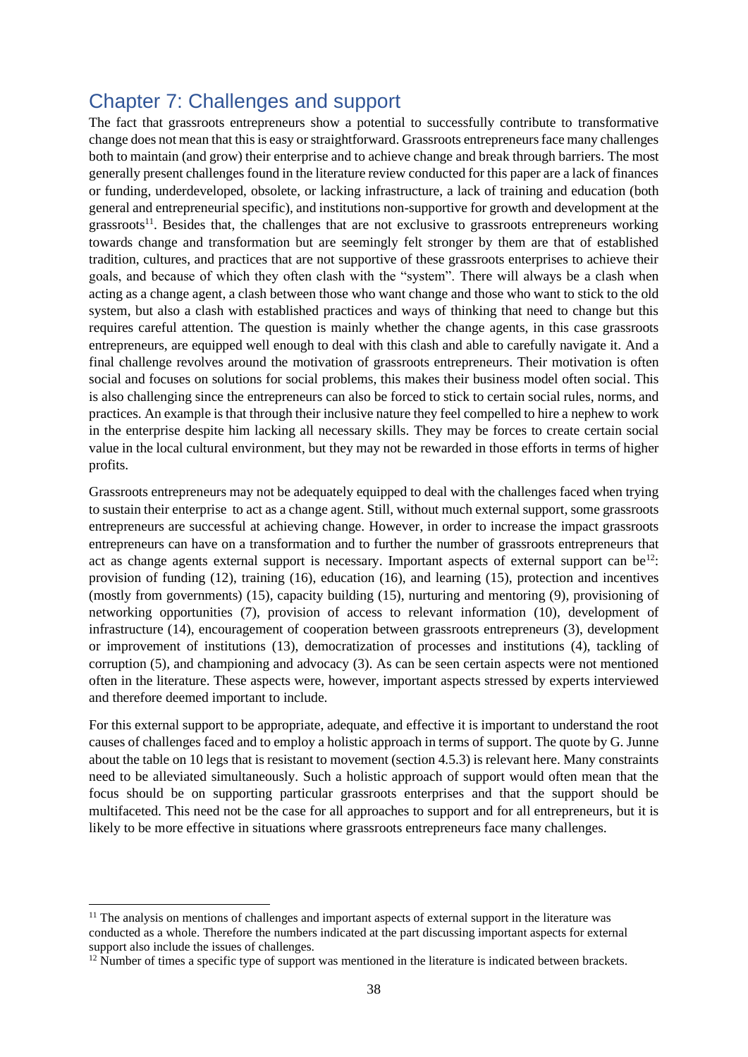## <span id="page-38-0"></span>Chapter 7: Challenges and support

The fact that grassroots entrepreneurs show a potential to successfully contribute to transformative change does not mean that this is easy or straightforward. Grassroots entrepreneurs face many challenges both to maintain (and grow) their enterprise and to achieve change and break through barriers. The most generally present challenges found in the literature review conducted for this paper are a lack of finances or funding, underdeveloped, obsolete, or lacking infrastructure, a lack of training and education (both general and entrepreneurial specific), and institutions non-supportive for growth and development at the grassroots<sup>11</sup>. Besides that, the challenges that are not exclusive to grassroots entrepreneurs working towards change and transformation but are seemingly felt stronger by them are that of established tradition, cultures, and practices that are not supportive of these grassroots enterprises to achieve their goals, and because of which they often clash with the "system". There will always be a clash when acting as a change agent, a clash between those who want change and those who want to stick to the old system, but also a clash with established practices and ways of thinking that need to change but this requires careful attention. The question is mainly whether the change agents, in this case grassroots entrepreneurs, are equipped well enough to deal with this clash and able to carefully navigate it. And a final challenge revolves around the motivation of grassroots entrepreneurs. Their motivation is often social and focuses on solutions for social problems, this makes their business model often social. This is also challenging since the entrepreneurs can also be forced to stick to certain social rules, norms, and practices. An example is that through their inclusive nature they feel compelled to hire a nephew to work in the enterprise despite him lacking all necessary skills. They may be forces to create certain social value in the local cultural environment, but they may not be rewarded in those efforts in terms of higher profits.

Grassroots entrepreneurs may not be adequately equipped to deal with the challenges faced when trying to sustain their enterprise to act as a change agent. Still, without much external support, some grassroots entrepreneurs are successful at achieving change. However, in order to increase the impact grassroots entrepreneurs can have on a transformation and to further the number of grassroots entrepreneurs that act as change agents external support is necessary. Important aspects of external support can be<sup>12</sup>: provision of funding (12), training (16), education (16), and learning (15), protection and incentives (mostly from governments) (15), capacity building (15), nurturing and mentoring (9), provisioning of networking opportunities (7), provision of access to relevant information (10), development of infrastructure (14), encouragement of cooperation between grassroots entrepreneurs (3), development or improvement of institutions (13), democratization of processes and institutions (4), tackling of corruption (5), and championing and advocacy (3). As can be seen certain aspects were not mentioned often in the literature. These aspects were, however, important aspects stressed by experts interviewed and therefore deemed important to include.

For this external support to be appropriate, adequate, and effective it is important to understand the root causes of challenges faced and to employ a holistic approach in terms of support. The quote by G. Junne about the table on 10 legs that is resistant to movement (section 4.5.3) is relevant here. Many constraints need to be alleviated simultaneously. Such a holistic approach of support would often mean that the focus should be on supporting particular grassroots enterprises and that the support should be multifaceted. This need not be the case for all approaches to support and for all entrepreneurs, but it is likely to be more effective in situations where grassroots entrepreneurs face many challenges.

<sup>&</sup>lt;sup>11</sup> The analysis on mentions of challenges and important aspects of external support in the literature was conducted as a whole. Therefore the numbers indicated at the part discussing important aspects for external support also include the issues of challenges.

 $12$  Number of times a specific type of support was mentioned in the literature is indicated between brackets.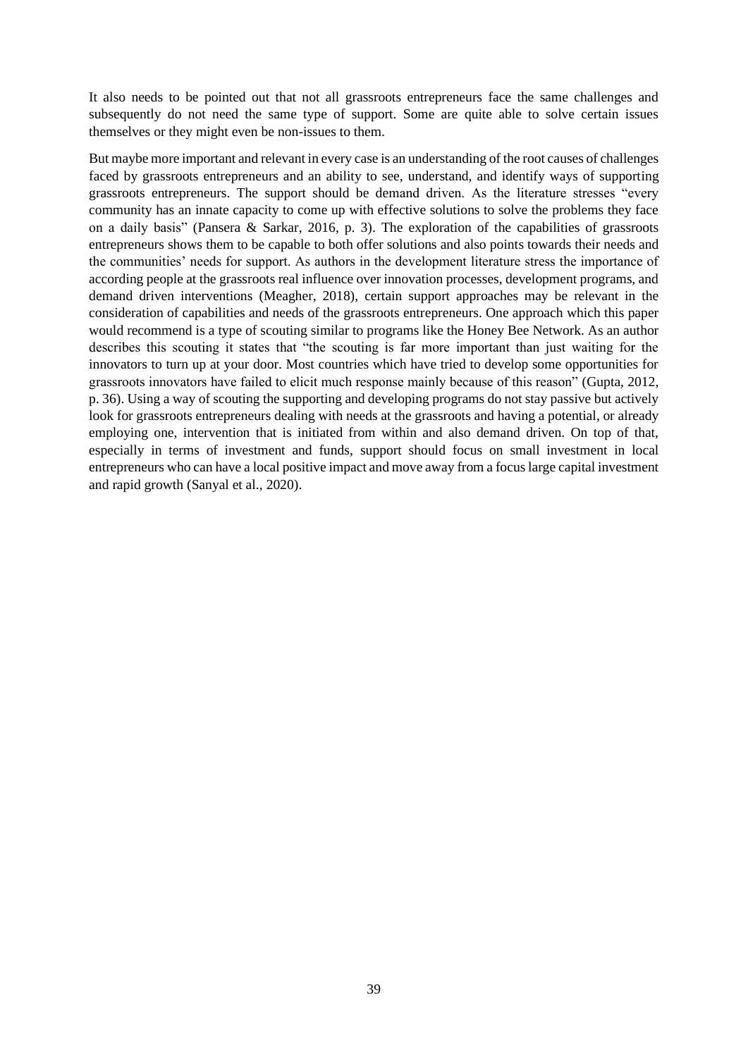It also needs to be pointed out that not all grassroots entrepreneurs face the same challenges and subsequently do not need the same type of support. Some are quite able to solve certain issues themselves or they might even be non-issues to them.

But maybe more important and relevant in every case is an understanding of the root causes of challenges faced by grassroots entrepreneurs and an ability to see, understand, and identify ways of supporting grassroots entrepreneurs. The support should be demand driven. As the literature stresses "every community has an innate capacity to come up with effective solutions to solve the problems they face on a daily basis" (Pansera & Sarkar, 2016, p. 3). The exploration of the capabilities of grassroots entrepreneurs shows them to be capable to both offer solutions and also points towards their needs and the communities' needs for support. As authors in the development literature stress the importance of according people at the grassroots real influence over innovation processes, development programs, and demand driven interventions (Meagher, 2018), certain support approaches may be relevant in the consideration of capabilities and needs of the grassroots entrepreneurs. One approach which this paper would recommend is a type of scouting similar to programs like the Honey Bee Network. As an author describes this scouting it states that "the scouting is far more important than just waiting for the innovators to turn up at your door. Most countries which have tried to develop some opportunities for grassroots innovators have failed to elicit much response mainly because of this reason" (Gupta, 2012, p. 36). Using a way of scouting the supporting and developing programs do not stay passive but actively look for grassroots entrepreneurs dealing with needs at the grassroots and having a potential, or already employing one, intervention that is initiated from within and also demand driven. On top of that, especially in terms of investment and funds, support should focus on small investment in local entrepreneurs who can have a local positive impact and move away from a focus large capital investment and rapid growth (Sanyal et al., 2020).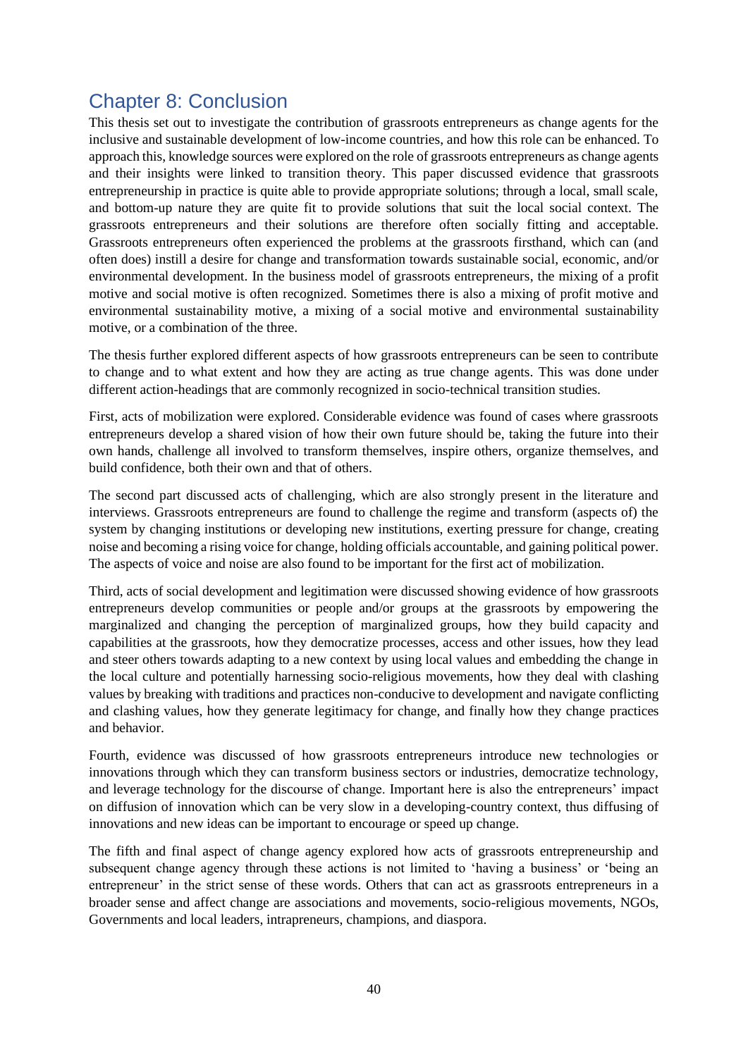## <span id="page-40-0"></span>Chapter 8: Conclusion

This thesis set out to investigate the contribution of grassroots entrepreneurs as change agents for the inclusive and sustainable development of low-income countries, and how this role can be enhanced. To approach this, knowledge sources were explored on the role of grassroots entrepreneurs as change agents and their insights were linked to transition theory. This paper discussed evidence that grassroots entrepreneurship in practice is quite able to provide appropriate solutions; through a local, small scale, and bottom-up nature they are quite fit to provide solutions that suit the local social context. The grassroots entrepreneurs and their solutions are therefore often socially fitting and acceptable. Grassroots entrepreneurs often experienced the problems at the grassroots firsthand, which can (and often does) instill a desire for change and transformation towards sustainable social, economic, and/or environmental development. In the business model of grassroots entrepreneurs, the mixing of a profit motive and social motive is often recognized. Sometimes there is also a mixing of profit motive and environmental sustainability motive, a mixing of a social motive and environmental sustainability motive, or a combination of the three.

The thesis further explored different aspects of how grassroots entrepreneurs can be seen to contribute to change and to what extent and how they are acting as true change agents. This was done under different action-headings that are commonly recognized in socio-technical transition studies.

First, acts of mobilization were explored. Considerable evidence was found of cases where grassroots entrepreneurs develop a shared vision of how their own future should be, taking the future into their own hands, challenge all involved to transform themselves, inspire others, organize themselves, and build confidence, both their own and that of others.

The second part discussed acts of challenging, which are also strongly present in the literature and interviews. Grassroots entrepreneurs are found to challenge the regime and transform (aspects of) the system by changing institutions or developing new institutions, exerting pressure for change, creating noise and becoming a rising voice for change, holding officials accountable, and gaining political power. The aspects of voice and noise are also found to be important for the first act of mobilization.

Third, acts of social development and legitimation were discussed showing evidence of how grassroots entrepreneurs develop communities or people and/or groups at the grassroots by empowering the marginalized and changing the perception of marginalized groups, how they build capacity and capabilities at the grassroots, how they democratize processes, access and other issues, how they lead and steer others towards adapting to a new context by using local values and embedding the change in the local culture and potentially harnessing socio-religious movements, how they deal with clashing values by breaking with traditions and practices non-conducive to development and navigate conflicting and clashing values, how they generate legitimacy for change, and finally how they change practices and behavior.

Fourth, evidence was discussed of how grassroots entrepreneurs introduce new technologies or innovations through which they can transform business sectors or industries, democratize technology, and leverage technology for the discourse of change. Important here is also the entrepreneurs' impact on diffusion of innovation which can be very slow in a developing-country context, thus diffusing of innovations and new ideas can be important to encourage or speed up change.

The fifth and final aspect of change agency explored how acts of grassroots entrepreneurship and subsequent change agency through these actions is not limited to 'having a business' or 'being an entrepreneur' in the strict sense of these words. Others that can act as grassroots entrepreneurs in a broader sense and affect change are associations and movements, socio-religious movements, NGOs, Governments and local leaders, intrapreneurs, champions, and diaspora.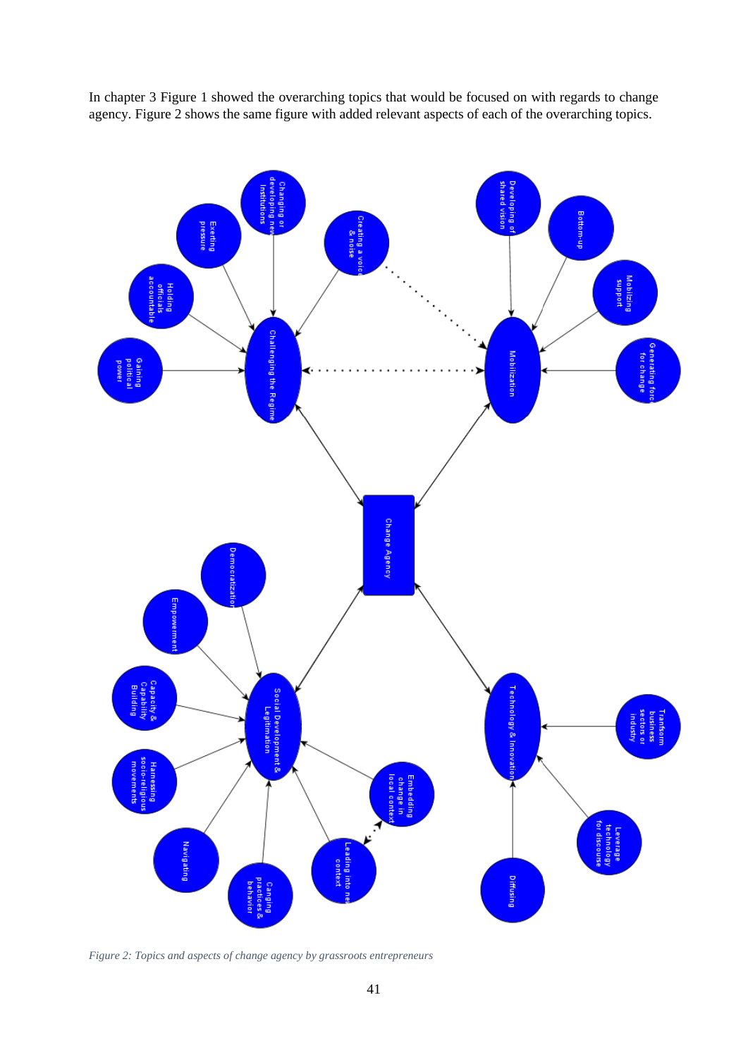In chapter 3 [Figure 1](#page-18-0) showed the overarching topics that would be focused on with regards to change agency. [Figure 2](#page-41-0) shows the same figure with added relevant aspects of each of the overarching topics.



<span id="page-41-0"></span>*Figure 2: Topics and aspects of change agency by grassroots entrepreneurs*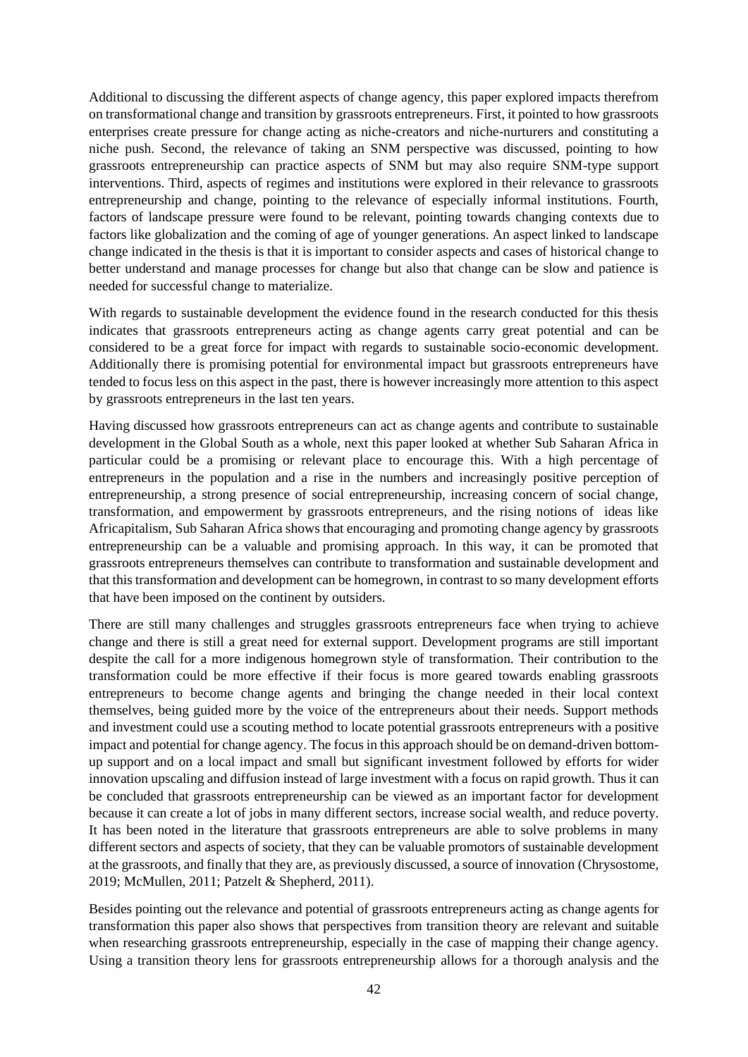Additional to discussing the different aspects of change agency, this paper explored impacts therefrom on transformational change and transition by grassroots entrepreneurs. First, it pointed to how grassroots enterprises create pressure for change acting as niche-creators and niche-nurturers and constituting a niche push. Second, the relevance of taking an SNM perspective was discussed, pointing to how grassroots entrepreneurship can practice aspects of SNM but may also require SNM-type support interventions. Third, aspects of regimes and institutions were explored in their relevance to grassroots entrepreneurship and change, pointing to the relevance of especially informal institutions. Fourth, factors of landscape pressure were found to be relevant, pointing towards changing contexts due to factors like globalization and the coming of age of younger generations. An aspect linked to landscape change indicated in the thesis is that it is important to consider aspects and cases of historical change to better understand and manage processes for change but also that change can be slow and patience is needed for successful change to materialize.

With regards to sustainable development the evidence found in the research conducted for this thesis indicates that grassroots entrepreneurs acting as change agents carry great potential and can be considered to be a great force for impact with regards to sustainable socio-economic development. Additionally there is promising potential for environmental impact but grassroots entrepreneurs have tended to focus less on this aspect in the past, there is however increasingly more attention to this aspect by grassroots entrepreneurs in the last ten years.

Having discussed how grassroots entrepreneurs can act as change agents and contribute to sustainable development in the Global South as a whole, next this paper looked at whether Sub Saharan Africa in particular could be a promising or relevant place to encourage this. With a high percentage of entrepreneurs in the population and a rise in the numbers and increasingly positive perception of entrepreneurship, a strong presence of social entrepreneurship, increasing concern of social change, transformation, and empowerment by grassroots entrepreneurs, and the rising notions of ideas like Africapitalism, Sub Saharan Africa shows that encouraging and promoting change agency by grassroots entrepreneurship can be a valuable and promising approach. In this way, it can be promoted that grassroots entrepreneurs themselves can contribute to transformation and sustainable development and that this transformation and development can be homegrown, in contrast to so many development efforts that have been imposed on the continent by outsiders.

There are still many challenges and struggles grassroots entrepreneurs face when trying to achieve change and there is still a great need for external support. Development programs are still important despite the call for a more indigenous homegrown style of transformation. Their contribution to the transformation could be more effective if their focus is more geared towards enabling grassroots entrepreneurs to become change agents and bringing the change needed in their local context themselves, being guided more by the voice of the entrepreneurs about their needs. Support methods and investment could use a scouting method to locate potential grassroots entrepreneurs with a positive impact and potential for change agency. The focus in this approach should be on demand-driven bottomup support and on a local impact and small but significant investment followed by efforts for wider innovation upscaling and diffusion instead of large investment with a focus on rapid growth. Thus it can be concluded that grassroots entrepreneurship can be viewed as an important factor for development because it can create a lot of jobs in many different sectors, increase social wealth, and reduce poverty. It has been noted in the literature that grassroots entrepreneurs are able to solve problems in many different sectors and aspects of society, that they can be valuable promotors of sustainable development at the grassroots, and finally that they are, as previously discussed, a source of innovation (Chrysostome, 2019; McMullen, 2011; Patzelt & Shepherd, 2011).

Besides pointing out the relevance and potential of grassroots entrepreneurs acting as change agents for transformation this paper also shows that perspectives from transition theory are relevant and suitable when researching grassroots entrepreneurship, especially in the case of mapping their change agency. Using a transition theory lens for grassroots entrepreneurship allows for a thorough analysis and the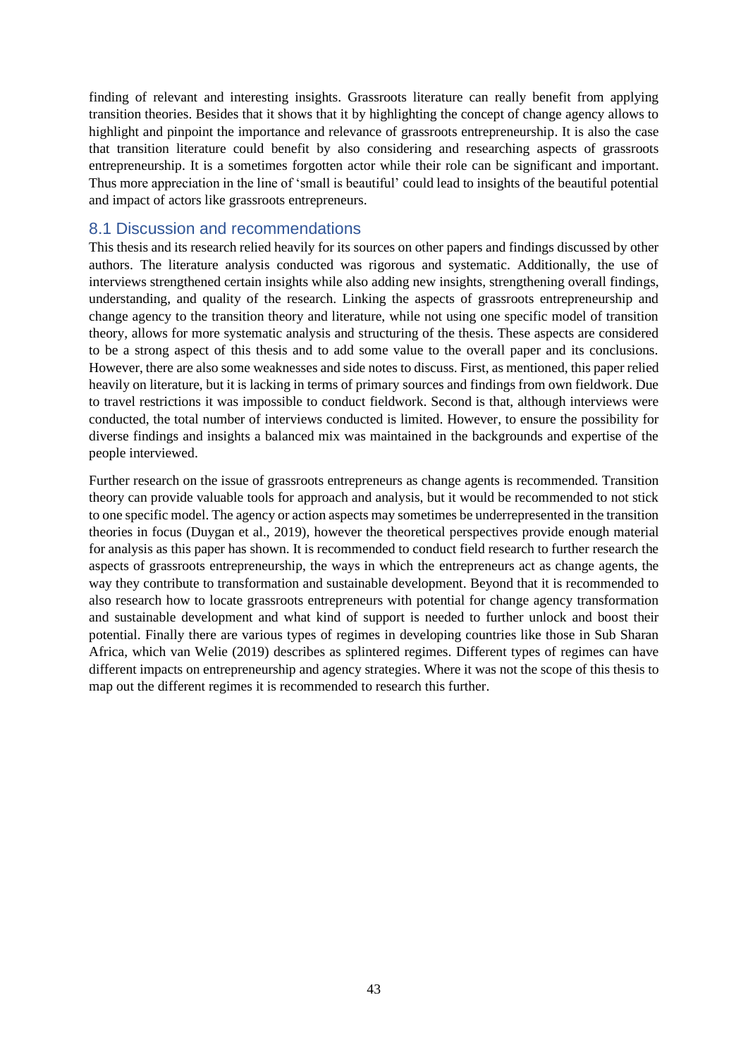finding of relevant and interesting insights. Grassroots literature can really benefit from applying transition theories. Besides that it shows that it by highlighting the concept of change agency allows to highlight and pinpoint the importance and relevance of grassroots entrepreneurship. It is also the case that transition literature could benefit by also considering and researching aspects of grassroots entrepreneurship. It is a sometimes forgotten actor while their role can be significant and important. Thus more appreciation in the line of 'small is beautiful' could lead to insights of the beautiful potential and impact of actors like grassroots entrepreneurs.

## <span id="page-43-0"></span>8.1 Discussion and recommendations

This thesis and its research relied heavily for its sources on other papers and findings discussed by other authors. The literature analysis conducted was rigorous and systematic. Additionally, the use of interviews strengthened certain insights while also adding new insights, strengthening overall findings, understanding, and quality of the research. Linking the aspects of grassroots entrepreneurship and change agency to the transition theory and literature, while not using one specific model of transition theory, allows for more systematic analysis and structuring of the thesis. These aspects are considered to be a strong aspect of this thesis and to add some value to the overall paper and its conclusions. However, there are also some weaknesses and side notes to discuss. First, as mentioned, this paper relied heavily on literature, but it is lacking in terms of primary sources and findings from own fieldwork. Due to travel restrictions it was impossible to conduct fieldwork. Second is that, although interviews were conducted, the total number of interviews conducted is limited. However, to ensure the possibility for diverse findings and insights a balanced mix was maintained in the backgrounds and expertise of the people interviewed.

Further research on the issue of grassroots entrepreneurs as change agents is recommended. Transition theory can provide valuable tools for approach and analysis, but it would be recommended to not stick to one specific model. The agency or action aspects may sometimes be underrepresented in the transition theories in focus (Duygan et al., 2019), however the theoretical perspectives provide enough material for analysis as this paper has shown. It is recommended to conduct field research to further research the aspects of grassroots entrepreneurship, the ways in which the entrepreneurs act as change agents, the way they contribute to transformation and sustainable development. Beyond that it is recommended to also research how to locate grassroots entrepreneurs with potential for change agency transformation and sustainable development and what kind of support is needed to further unlock and boost their potential. Finally there are various types of regimes in developing countries like those in Sub Sharan Africa, which van Welie (2019) describes as splintered regimes. Different types of regimes can have different impacts on entrepreneurship and agency strategies. Where it was not the scope of this thesis to map out the different regimes it is recommended to research this further.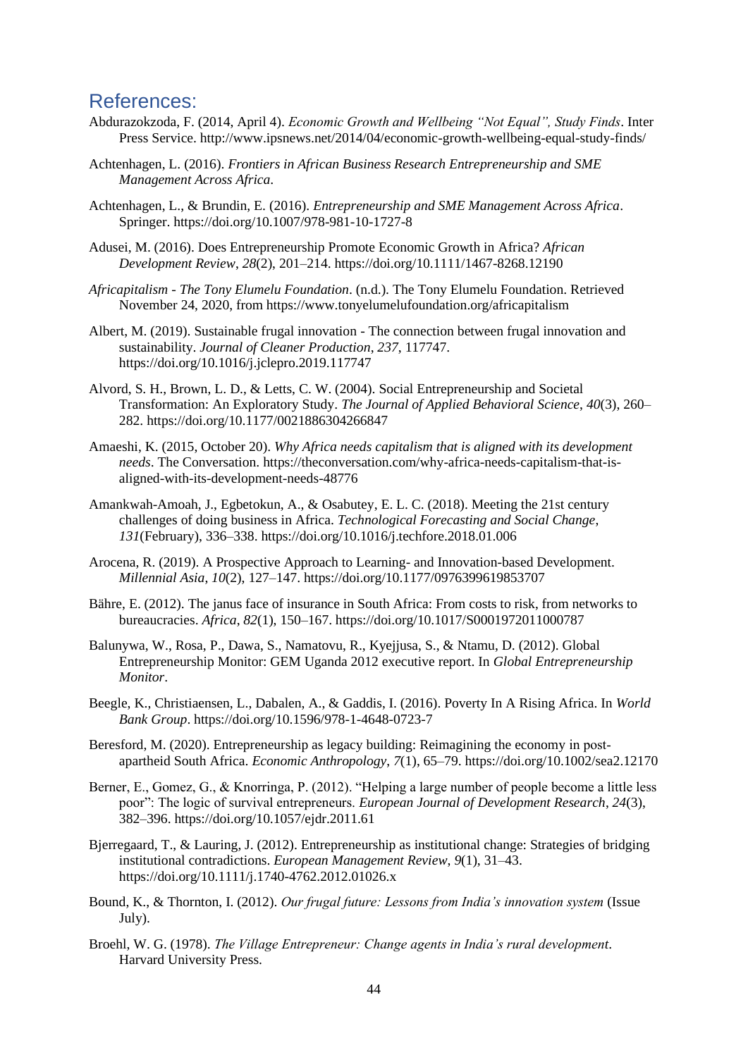## <span id="page-44-0"></span>References:

- Abdurazokzoda, F. (2014, April 4). *Economic Growth and Wellbeing "Not Equal", Study Finds*. Inter Press Service. http://www.ipsnews.net/2014/04/economic-growth-wellbeing-equal-study-finds/
- Achtenhagen, L. (2016). *Frontiers in African Business Research Entrepreneurship and SME Management Across Africa*.
- Achtenhagen, L., & Brundin, E. (2016). *Entrepreneurship and SME Management Across Africa*. Springer. https://doi.org/10.1007/978-981-10-1727-8
- Adusei, M. (2016). Does Entrepreneurship Promote Economic Growth in Africa? *African Development Review*, *28*(2), 201–214. https://doi.org/10.1111/1467-8268.12190
- *Africapitalism - The Tony Elumelu Foundation*. (n.d.). The Tony Elumelu Foundation. Retrieved November 24, 2020, from https://www.tonyelumelufoundation.org/africapitalism
- Albert, M. (2019). Sustainable frugal innovation The connection between frugal innovation and sustainability. *Journal of Cleaner Production*, *237*, 117747. https://doi.org/10.1016/j.jclepro.2019.117747
- Alvord, S. H., Brown, L. D., & Letts, C. W. (2004). Social Entrepreneurship and Societal Transformation: An Exploratory Study. *The Journal of Applied Behavioral Science*, *40*(3), 260– 282. https://doi.org/10.1177/0021886304266847
- Amaeshi, K. (2015, October 20). *Why Africa needs capitalism that is aligned with its development needs*. The Conversation. https://theconversation.com/why-africa-needs-capitalism-that-isaligned-with-its-development-needs-48776
- Amankwah-Amoah, J., Egbetokun, A., & Osabutey, E. L. C. (2018). Meeting the 21st century challenges of doing business in Africa. *Technological Forecasting and Social Change*, *131*(February), 336–338. https://doi.org/10.1016/j.techfore.2018.01.006
- Arocena, R. (2019). A Prospective Approach to Learning- and Innovation-based Development. *Millennial Asia*, *10*(2), 127–147. https://doi.org/10.1177/0976399619853707
- Bähre, E. (2012). The janus face of insurance in South Africa: From costs to risk, from networks to bureaucracies. *Africa*, *82*(1), 150–167. https://doi.org/10.1017/S0001972011000787
- Balunywa, W., Rosa, P., Dawa, S., Namatovu, R., Kyejjusa, S., & Ntamu, D. (2012). Global Entrepreneurship Monitor: GEM Uganda 2012 executive report. In *Global Entrepreneurship Monitor*.
- Beegle, K., Christiaensen, L., Dabalen, A., & Gaddis, I. (2016). Poverty In A Rising Africa. In *World Bank Group*. https://doi.org/10.1596/978-1-4648-0723-7
- Beresford, M. (2020). Entrepreneurship as legacy building: Reimagining the economy in postapartheid South Africa. *Economic Anthropology*, *7*(1), 65–79. https://doi.org/10.1002/sea2.12170
- Berner, E., Gomez, G., & Knorringa, P. (2012). "Helping a large number of people become a little less poor": The logic of survival entrepreneurs. *European Journal of Development Research*, *24*(3), 382–396. https://doi.org/10.1057/ejdr.2011.61
- Bjerregaard, T., & Lauring, J. (2012). Entrepreneurship as institutional change: Strategies of bridging institutional contradictions. *European Management Review*, *9*(1), 31–43. https://doi.org/10.1111/j.1740-4762.2012.01026.x
- Bound, K., & Thornton, I. (2012). *Our frugal future: Lessons from India's innovation system* (Issue July).
- Broehl, W. G. (1978). *The Village Entrepreneur: Change agents in India's rural development*. Harvard University Press.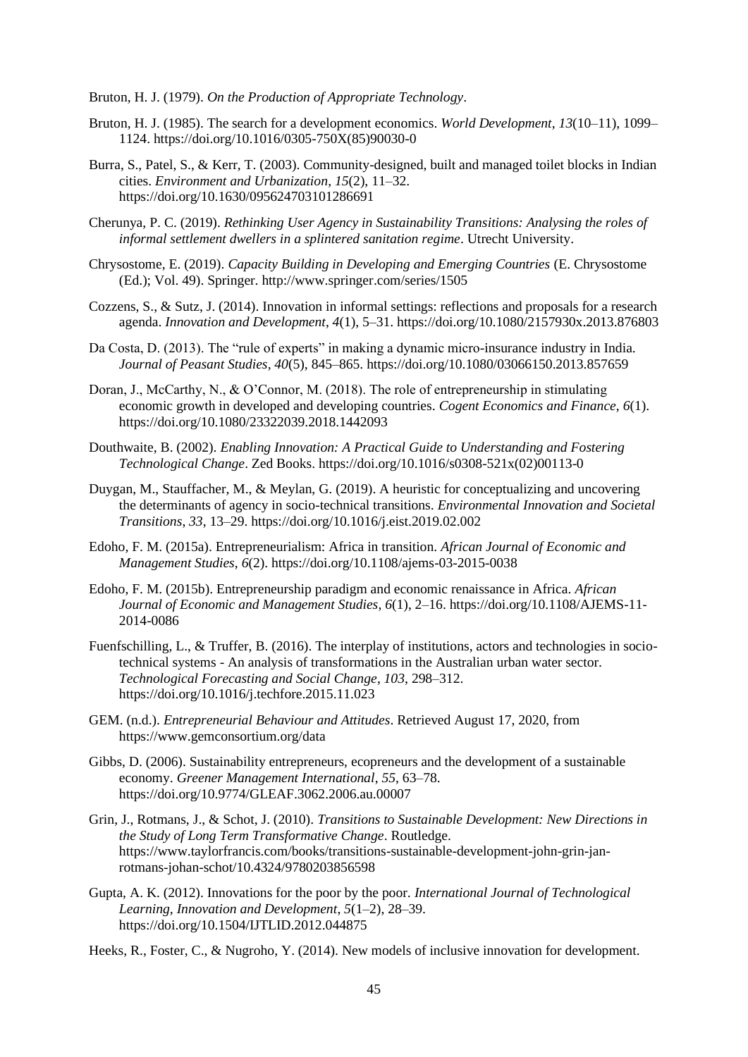Bruton, H. J. (1979). *On the Production of Appropriate Technology*.

- Bruton, H. J. (1985). The search for a development economics. *World Development*, *13*(10–11), 1099– 1124. https://doi.org/10.1016/0305-750X(85)90030-0
- Burra, S., Patel, S., & Kerr, T. (2003). Community-designed, built and managed toilet blocks in Indian cities. *Environment and Urbanization*, *15*(2), 11–32. https://doi.org/10.1630/095624703101286691
- Cherunya, P. C. (2019). *Rethinking User Agency in Sustainability Transitions: Analysing the roles of informal settlement dwellers in a splintered sanitation regime*. Utrecht University.
- Chrysostome, E. (2019). *Capacity Building in Developing and Emerging Countries* (E. Chrysostome (Ed.); Vol. 49). Springer. http://www.springer.com/series/1505
- Cozzens, S., & Sutz, J. (2014). Innovation in informal settings: reflections and proposals for a research agenda. *Innovation and Development*, *4*(1), 5–31. https://doi.org/10.1080/2157930x.2013.876803
- Da Costa, D. (2013). The "rule of experts" in making a dynamic micro-insurance industry in India. *Journal of Peasant Studies*, *40*(5), 845–865. https://doi.org/10.1080/03066150.2013.857659
- Doran, J., McCarthy, N., & O'Connor, M. (2018). The role of entrepreneurship in stimulating economic growth in developed and developing countries. *Cogent Economics and Finance*, *6*(1). https://doi.org/10.1080/23322039.2018.1442093
- Douthwaite, B. (2002). *Enabling Innovation: A Practical Guide to Understanding and Fostering Technological Change*. Zed Books. https://doi.org/10.1016/s0308-521x(02)00113-0
- Duygan, M., Stauffacher, M., & Meylan, G. (2019). A heuristic for conceptualizing and uncovering the determinants of agency in socio-technical transitions. *Environmental Innovation and Societal Transitions*, *33*, 13–29. https://doi.org/10.1016/j.eist.2019.02.002
- Edoho, F. M. (2015a). Entrepreneurialism: Africa in transition. *African Journal of Economic and Management Studies*, *6*(2). https://doi.org/10.1108/ajems-03-2015-0038
- Edoho, F. M. (2015b). Entrepreneurship paradigm and economic renaissance in Africa. *African Journal of Economic and Management Studies*, *6*(1), 2–16. https://doi.org/10.1108/AJEMS-11- 2014-0086
- Fuenfschilling, L., & Truffer, B. (2016). The interplay of institutions, actors and technologies in sociotechnical systems - An analysis of transformations in the Australian urban water sector. *Technological Forecasting and Social Change*, *103*, 298–312. https://doi.org/10.1016/j.techfore.2015.11.023
- GEM. (n.d.). *Entrepreneurial Behaviour and Attitudes*. Retrieved August 17, 2020, from https://www.gemconsortium.org/data
- Gibbs, D. (2006). Sustainability entrepreneurs, ecopreneurs and the development of a sustainable economy. *Greener Management International*, *55*, 63–78. https://doi.org/10.9774/GLEAF.3062.2006.au.00007
- Grin, J., Rotmans, J., & Schot, J. (2010). *Transitions to Sustainable Development: New Directions in the Study of Long Term Transformative Change*. Routledge. https://www.taylorfrancis.com/books/transitions-sustainable-development-john-grin-janrotmans-johan-schot/10.4324/9780203856598
- Gupta, A. K. (2012). Innovations for the poor by the poor. *International Journal of Technological Learning, Innovation and Development*, *5*(1–2), 28–39. https://doi.org/10.1504/IJTLID.2012.044875

Heeks, R., Foster, C., & Nugroho, Y. (2014). New models of inclusive innovation for development.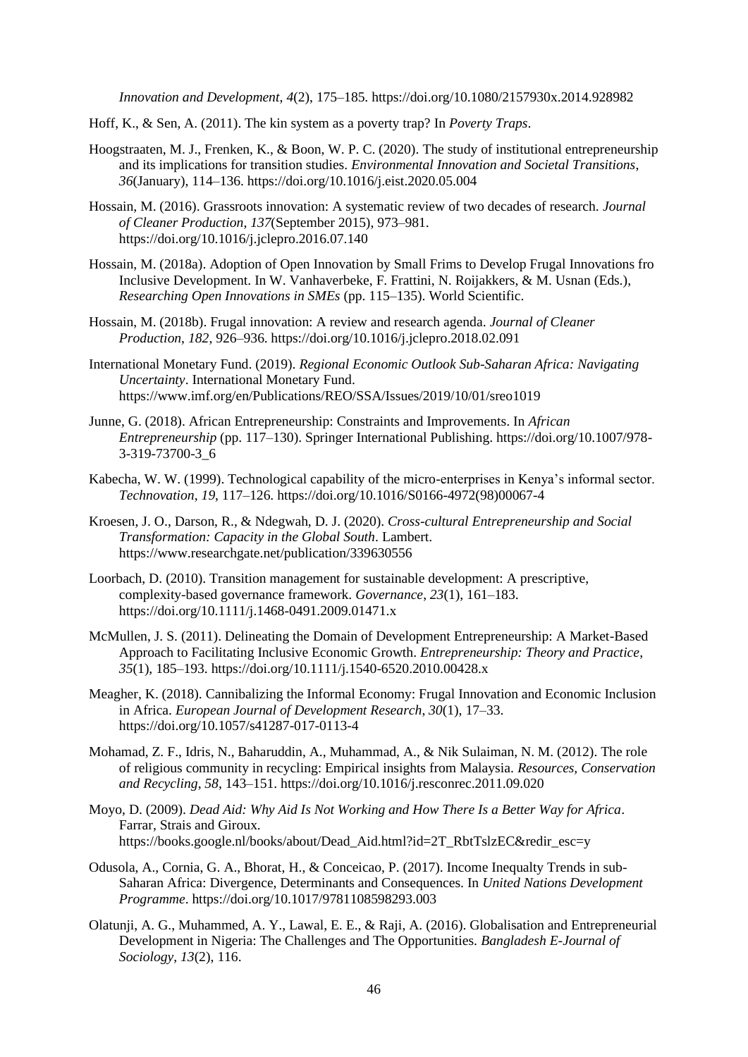*Innovation and Development*, *4*(2), 175–185. https://doi.org/10.1080/2157930x.2014.928982

- Hoff, K., & Sen, A. (2011). The kin system as a poverty trap? In *Poverty Traps*.
- Hoogstraaten, M. J., Frenken, K., & Boon, W. P. C. (2020). The study of institutional entrepreneurship and its implications for transition studies. *Environmental Innovation and Societal Transitions*, *36*(January), 114–136. https://doi.org/10.1016/j.eist.2020.05.004
- Hossain, M. (2016). Grassroots innovation: A systematic review of two decades of research. *Journal of Cleaner Production*, *137*(September 2015), 973–981. https://doi.org/10.1016/j.jclepro.2016.07.140
- Hossain, M. (2018a). Adoption of Open Innovation by Small Frims to Develop Frugal Innovations fro Inclusive Development. In W. Vanhaverbeke, F. Frattini, N. Roijakkers, & M. Usnan (Eds.), *Researching Open Innovations in SMEs* (pp. 115–135). World Scientific.
- Hossain, M. (2018b). Frugal innovation: A review and research agenda. *Journal of Cleaner Production*, *182*, 926–936. https://doi.org/10.1016/j.jclepro.2018.02.091
- International Monetary Fund. (2019). *Regional Economic Outlook Sub-Saharan Africa: Navigating Uncertainty*. International Monetary Fund. https://www.imf.org/en/Publications/REO/SSA/Issues/2019/10/01/sreo1019
- Junne, G. (2018). African Entrepreneurship: Constraints and Improvements. In *African Entrepreneurship* (pp. 117–130). Springer International Publishing. https://doi.org/10.1007/978- 3-319-73700-3\_6
- Kabecha, W. W. (1999). Technological capability of the micro-enterprises in Kenya's informal sector. *Technovation*, *19*, 117–126. https://doi.org/10.1016/S0166-4972(98)00067-4
- Kroesen, J. O., Darson, R., & Ndegwah, D. J. (2020). *Cross-cultural Entrepreneurship and Social Transformation: Capacity in the Global South*. Lambert. https://www.researchgate.net/publication/339630556
- Loorbach, D. (2010). Transition management for sustainable development: A prescriptive, complexity-based governance framework. *Governance*, *23*(1), 161–183. https://doi.org/10.1111/j.1468-0491.2009.01471.x
- McMullen, J. S. (2011). Delineating the Domain of Development Entrepreneurship: A Market-Based Approach to Facilitating Inclusive Economic Growth. *Entrepreneurship: Theory and Practice*, *35*(1), 185–193. https://doi.org/10.1111/j.1540-6520.2010.00428.x
- Meagher, K. (2018). Cannibalizing the Informal Economy: Frugal Innovation and Economic Inclusion in Africa. *European Journal of Development Research*, *30*(1), 17–33. https://doi.org/10.1057/s41287-017-0113-4
- Mohamad, Z. F., Idris, N., Baharuddin, A., Muhammad, A., & Nik Sulaiman, N. M. (2012). The role of religious community in recycling: Empirical insights from Malaysia. *Resources, Conservation and Recycling*, *58*, 143–151. https://doi.org/10.1016/j.resconrec.2011.09.020
- Moyo, D. (2009). *Dead Aid: Why Aid Is Not Working and How There Is a Better Way for Africa*. Farrar, Strais and Giroux. https://books.google.nl/books/about/Dead\_Aid.html?id=2T\_RbtTslzEC&redir\_esc=y
- Odusola, A., Cornia, G. A., Bhorat, H., & Conceicao, P. (2017). Income Inequalty Trends in sub-Saharan Africa: Divergence, Determinants and Consequences. In *United Nations Development Programme*. https://doi.org/10.1017/9781108598293.003
- Olatunji, A. G., Muhammed, A. Y., Lawal, E. E., & Raji, A. (2016). Globalisation and Entrepreneurial Development in Nigeria: The Challenges and The Opportunities. *Bangladesh E-Journal of Sociology*, *13*(2), 116.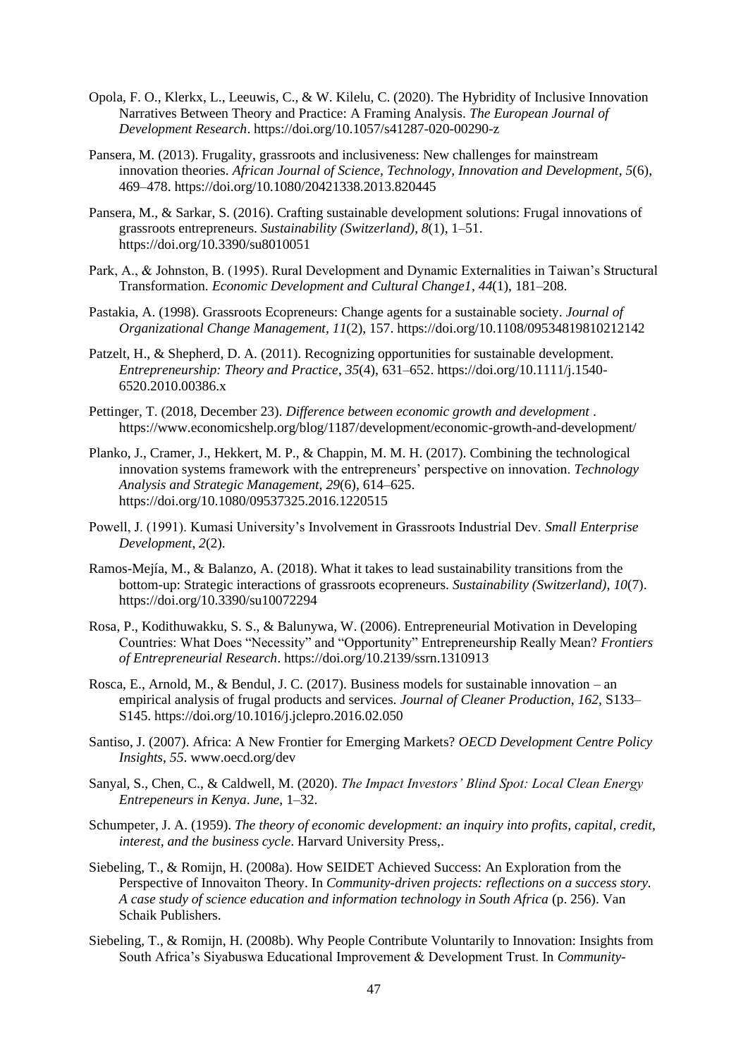- Opola, F. O., Klerkx, L., Leeuwis, C., & W. Kilelu, C. (2020). The Hybridity of Inclusive Innovation Narratives Between Theory and Practice: A Framing Analysis. *The European Journal of Development Research*. https://doi.org/10.1057/s41287-020-00290-z
- Pansera, M. (2013). Frugality, grassroots and inclusiveness: New challenges for mainstream innovation theories. *African Journal of Science, Technology, Innovation and Development*, *5*(6), 469–478. https://doi.org/10.1080/20421338.2013.820445
- Pansera, M., & Sarkar, S. (2016). Crafting sustainable development solutions: Frugal innovations of grassroots entrepreneurs. *Sustainability (Switzerland)*, *8*(1), 1–51. https://doi.org/10.3390/su8010051
- Park, A., & Johnston, B. (1995). Rural Development and Dynamic Externalities in Taiwan's Structural Transformation. *Economic Development and Cultural Change1*, *44*(1), 181–208.
- Pastakia, A. (1998). Grassroots Ecopreneurs: Change agents for a sustainable society. *Journal of Organizational Change Management*, *11*(2), 157. https://doi.org/10.1108/09534819810212142
- Patzelt, H., & Shepherd, D. A. (2011). Recognizing opportunities for sustainable development. *Entrepreneurship: Theory and Practice*, *35*(4), 631–652. https://doi.org/10.1111/j.1540- 6520.2010.00386.x
- Pettinger, T. (2018, December 23). *Difference between economic growth and development* . https://www.economicshelp.org/blog/1187/development/economic-growth-and-development/
- Planko, J., Cramer, J., Hekkert, M. P., & Chappin, M. M. H. (2017). Combining the technological innovation systems framework with the entrepreneurs' perspective on innovation. *Technology Analysis and Strategic Management*, *29*(6), 614–625. https://doi.org/10.1080/09537325.2016.1220515
- Powell, J. (1991). Kumasi University's Involvement in Grassroots Industrial Dev. *Small Enterprise Development*, *2*(2).
- Ramos-Mejía, M., & Balanzo, A. (2018). What it takes to lead sustainability transitions from the bottom-up: Strategic interactions of grassroots ecopreneurs. *Sustainability (Switzerland)*, *10*(7). https://doi.org/10.3390/su10072294
- Rosa, P., Kodithuwakku, S. S., & Balunywa, W. (2006). Entrepreneurial Motivation in Developing Countries: What Does "Necessity" and "Opportunity" Entrepreneurship Really Mean? *Frontiers of Entrepreneurial Research*. https://doi.org/10.2139/ssrn.1310913
- Rosca, E., Arnold, M., & Bendul, J. C. (2017). Business models for sustainable innovation an empirical analysis of frugal products and services. *Journal of Cleaner Production*, *162*, S133– S145. https://doi.org/10.1016/j.jclepro.2016.02.050
- Santiso, J. (2007). Africa: A New Frontier for Emerging Markets? *OECD Development Centre Policy Insights*, *55*. www.oecd.org/dev
- Sanyal, S., Chen, C., & Caldwell, M. (2020). *The Impact Investors' Blind Spot: Local Clean Energy Entrepeneurs in Kenya*. *June*, 1–32.
- Schumpeter, J. A. (1959). *The theory of economic development: an inquiry into profits, capital, credit, interest, and the business cycle*. Harvard University Press,.
- Siebeling, T., & Romijn, H. (2008a). How SEIDET Achieved Success: An Exploration from the Perspective of Innovaiton Theory. In *Community-driven projects: reflections on a success story. A case study of science education and information technology in South Africa* (p. 256). Van Schaik Publishers.
- Siebeling, T., & Romijn, H. (2008b). Why People Contribute Voluntarily to Innovation: Insights from South Africa's Siyabuswa Educational Improvement & Development Trust. In *Community-*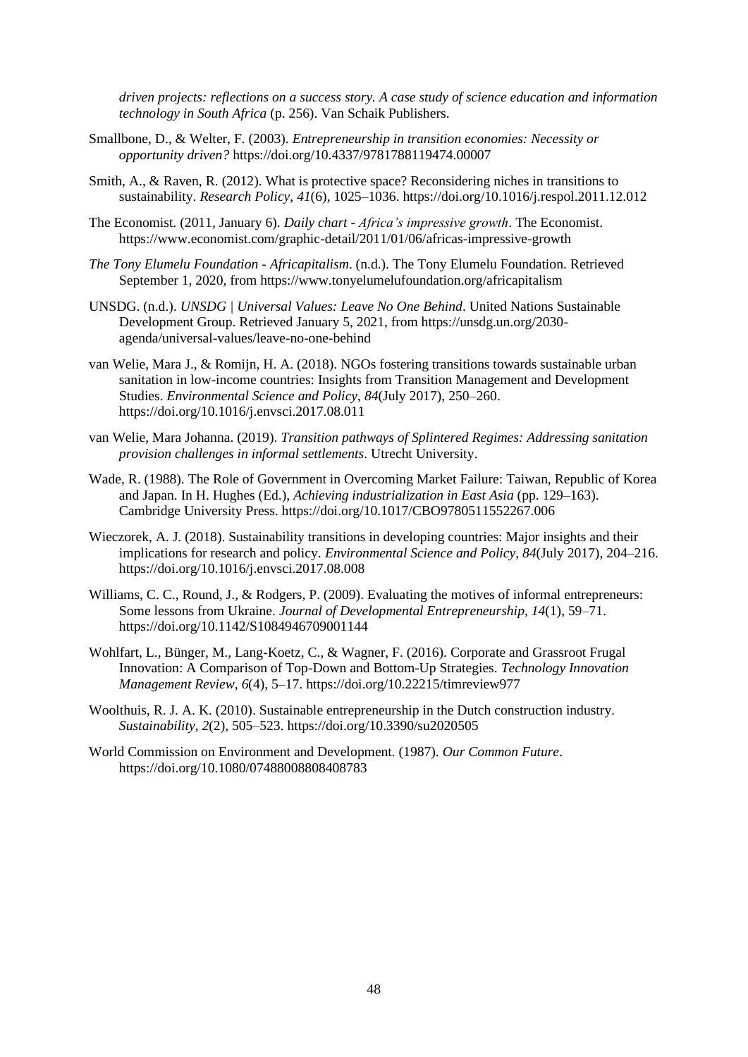*driven projects: reflections on a success story. A case study of science education and information technology in South Africa* (p. 256). Van Schaik Publishers.

- Smallbone, D., & Welter, F. (2003). *Entrepreneurship in transition economies: Necessity or opportunity driven?* https://doi.org/10.4337/9781788119474.00007
- Smith, A., & Raven, R. (2012). What is protective space? Reconsidering niches in transitions to sustainability. *Research Policy*, *41*(6), 1025–1036. https://doi.org/10.1016/j.respol.2011.12.012
- The Economist. (2011, January 6). *Daily chart - Africa's impressive growth*. The Economist. https://www.economist.com/graphic-detail/2011/01/06/africas-impressive-growth
- *The Tony Elumelu Foundation - Africapitalism*. (n.d.). The Tony Elumelu Foundation. Retrieved September 1, 2020, from https://www.tonyelumelufoundation.org/africapitalism
- UNSDG. (n.d.). *UNSDG | Universal Values: Leave No One Behind*. United Nations Sustainable Development Group. Retrieved January 5, 2021, from https://unsdg.un.org/2030 agenda/universal-values/leave-no-one-behind
- van Welie, Mara J., & Romijn, H. A. (2018). NGOs fostering transitions towards sustainable urban sanitation in low-income countries: Insights from Transition Management and Development Studies. *Environmental Science and Policy*, *84*(July 2017), 250–260. https://doi.org/10.1016/j.envsci.2017.08.011
- van Welie, Mara Johanna. (2019). *Transition pathways of Splintered Regimes: Addressing sanitation provision challenges in informal settlements*. Utrecht University.
- Wade, R. (1988). The Role of Government in Overcoming Market Failure: Taiwan, Republic of Korea and Japan. In H. Hughes (Ed.), *Achieving industrialization in East Asia* (pp. 129–163). Cambridge University Press. https://doi.org/10.1017/CBO9780511552267.006
- Wieczorek, A. J. (2018). Sustainability transitions in developing countries: Major insights and their implications for research and policy. *Environmental Science and Policy*, *84*(July 2017), 204–216. https://doi.org/10.1016/j.envsci.2017.08.008
- Williams, C. C., Round, J., & Rodgers, P. (2009). Evaluating the motives of informal entrepreneurs: Some lessons from Ukraine. *Journal of Developmental Entrepreneurship*, *14*(1), 59–71. https://doi.org/10.1142/S1084946709001144
- Wohlfart, L., Bünger, M., Lang-Koetz, C., & Wagner, F. (2016). Corporate and Grassroot Frugal Innovation: A Comparison of Top-Down and Bottom-Up Strategies. *Technology Innovation Management Review*, *6*(4), 5–17. https://doi.org/10.22215/timreview977
- Woolthuis, R. J. A. K. (2010). Sustainable entrepreneurship in the Dutch construction industry. *Sustainability*, *2*(2), 505–523. https://doi.org/10.3390/su2020505
- World Commission on Environment and Development. (1987). *Our Common Future*. https://doi.org/10.1080/07488008808408783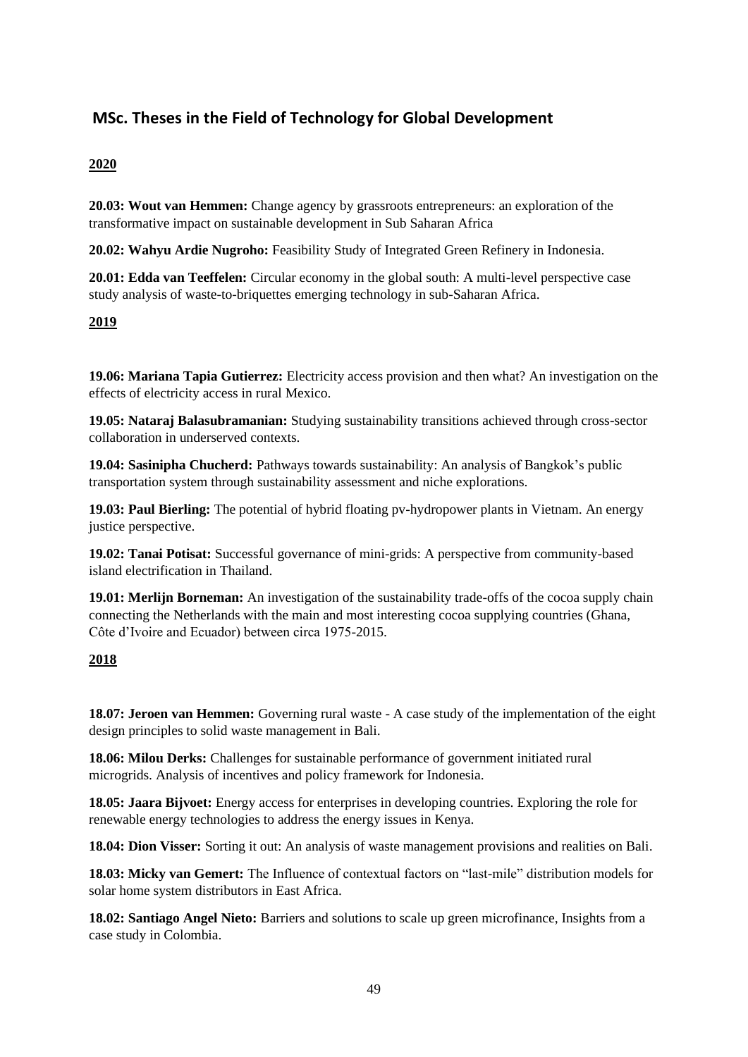## **MSc. Theses in the Field of Technology for Global Development**

## **2020**

**20.03: Wout van Hemmen:** Change agency by grassroots entrepreneurs: an exploration of the transformative impact on sustainable development in Sub Saharan Africa

**20.02: Wahyu Ardie Nugroho:** Feasibility Study of Integrated Green Refinery in Indonesia.

**20.01: Edda van Teeffelen:** Circular economy in the global south: A multi-level perspective case study analysis of waste-to-briquettes emerging technology in sub-Saharan Africa.

### **2019**

**19.06: Mariana Tapia Gutierrez:** Electricity access provision and then what? An investigation on the effects of electricity access in rural Mexico.

**19.05: Nataraj Balasubramanian:** Studying sustainability transitions achieved through cross-sector collaboration in underserved contexts.

**19.04: Sasinipha Chucherd:** Pathways towards sustainability: An analysis of Bangkok's public transportation system through sustainability assessment and niche explorations.

**19.03: Paul Bierling:** The potential of hybrid floating pv-hydropower plants in Vietnam. An energy justice perspective.

**19.02: Tanai Potisat:** Successful governance of mini-grids: A perspective from community-based island electrification in Thailand.

**19.01: Merlijn Borneman:** An investigation of the sustainability trade-offs of the cocoa supply chain connecting the Netherlands with the main and most interesting cocoa supplying countries (Ghana, Côte d'Ivoire and Ecuador) between circa 1975-2015.

### **2018**

**18.07: Jeroen van Hemmen:** Governing rural waste - A case study of the implementation of the eight design principles to solid waste management in Bali.

**18.06: Milou Derks:** Challenges for sustainable performance of government initiated rural microgrids. Analysis of incentives and policy framework for Indonesia.

**18.05: Jaara Bijvoet:** Energy access for enterprises in developing countries. Exploring the role for renewable energy technologies to address the energy issues in Kenya.

**18.04: Dion Visser:** Sorting it out: An analysis of waste management provisions and realities on Bali.

**18.03: Micky van Gemert:** The Influence of contextual factors on "last-mile" distribution models for solar home system distributors in East Africa.

**18.02: Santiago Angel Nieto:** Barriers and solutions to scale up green microfinance, Insights from a case study in Colombia.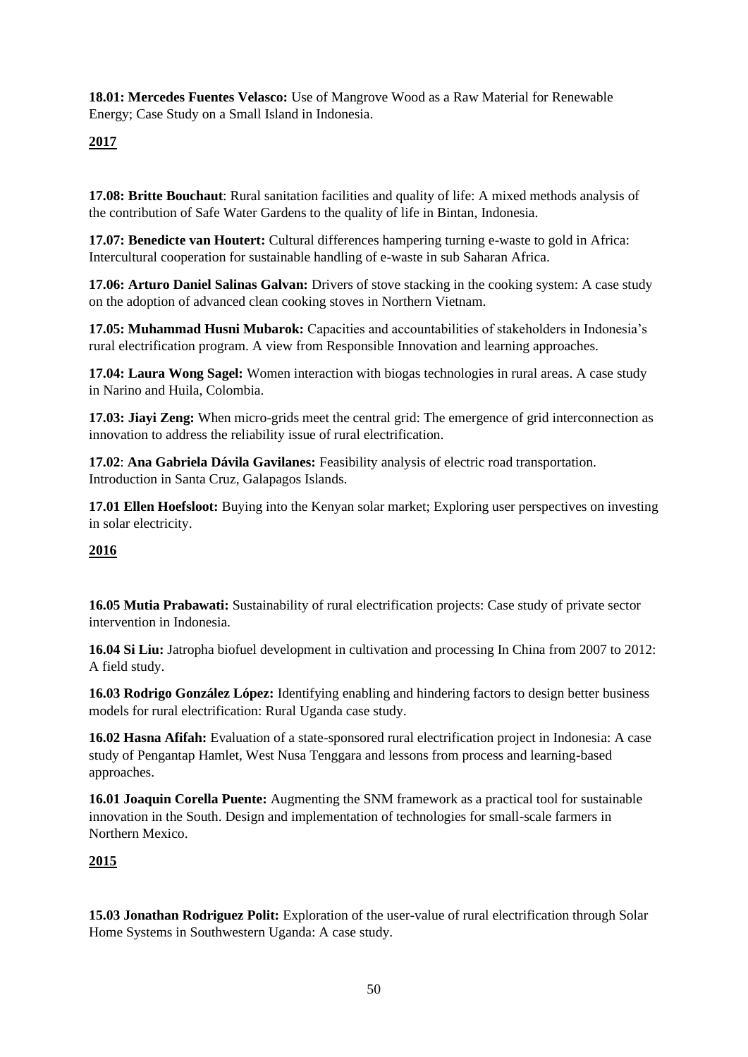**18.01: Mercedes Fuentes Velasco:** Use of Mangrove Wood as a Raw Material for Renewable Energy; Case Study on a Small Island in Indonesia.

## **2017**

**17.08: Britte Bouchaut**: Rural sanitation facilities and quality of life: A mixed methods analysis of the contribution of Safe Water Gardens to the quality of life in Bintan, Indonesia.

**17.07: Benedicte van Houtert:** Cultural differences hampering turning e-waste to gold in Africa: Intercultural cooperation for sustainable handling of e-waste in sub Saharan Africa.

**17.06: Arturo Daniel Salinas Galvan:** Drivers of stove stacking in the cooking system: A case study on the adoption of advanced clean cooking stoves in Northern Vietnam.

**17.05: Muhammad Husni Mubarok:** Capacities and accountabilities of stakeholders in Indonesia's rural electrification program. A view from Responsible Innovation and learning approaches.

**17.04: Laura Wong Sagel:** Women interaction with biogas technologies in rural areas. A case study in Narino and Huila, Colombia.

**17.03: Jiayi Zeng:** When micro-grids meet the central grid: The emergence of grid interconnection as innovation to address the reliability issue of rural electrification.

**17.02**: **Ana Gabriela Dávila Gavilanes:** Feasibility analysis of electric road transportation. Introduction in Santa Cruz, Galapagos Islands.

**17.01 Ellen Hoefsloot:** Buying into the Kenyan solar market; Exploring user perspectives on investing in solar electricity.

### **2016**

**16.05 Mutia Prabawati:** Sustainability of rural electrification projects: Case study of private sector intervention in Indonesia.

**16.04 Si Liu:** Jatropha biofuel development in cultivation and processing In China from 2007 to 2012: A field study.

**16.03 Rodrigo González López:** Identifying enabling and hindering factors to design better business models for rural electrification: Rural Uganda case study.

**16.02 Hasna Afifah:** Evaluation of a state-sponsored rural electrification project in Indonesia: A case study of Pengantap Hamlet, West Nusa Tenggara and lessons from process and learning-based approaches.

**16.01 Joaquin Corella Puente:** Augmenting the SNM framework as a practical tool for sustainable innovation in the South. Design and implementation of technologies for small-scale farmers in Northern Mexico.

### **2015**

**15.03 Jonathan Rodriguez Polit:** Exploration of the user-value of rural electrification through Solar Home Systems in Southwestern Uganda: A case study.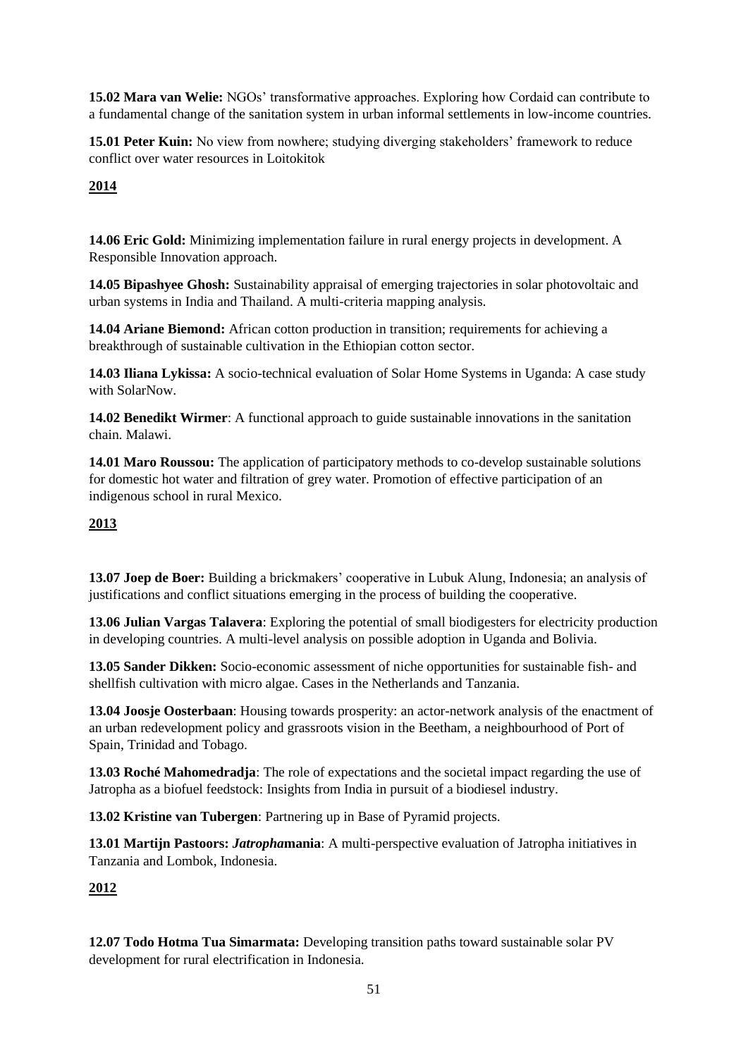**15.02 Mara van Welie:** NGOs' transformative approaches. Exploring how Cordaid can contribute to a fundamental change of the sanitation system in urban informal settlements in low-income countries.

**15.01 Peter Kuin:** No view from nowhere; studying diverging stakeholders' framework to reduce conflict over water resources in Loitokitok

## **2014**

**14.06 Eric Gold:** Minimizing implementation failure in rural energy projects in development. A Responsible Innovation approach.

**14.05 Bipashyee Ghosh:** Sustainability appraisal of emerging trajectories in solar photovoltaic and urban systems in India and Thailand. A multi-criteria mapping analysis.

**14.04 Ariane Biemond:** African cotton production in transition; requirements for achieving a breakthrough of sustainable cultivation in the Ethiopian cotton sector.

**14.03 Iliana Lykissa:** A socio-technical evaluation of Solar Home Systems in Uganda: A case study with SolarNow.

**14.02 Benedikt Wirmer**: A functional approach to guide sustainable innovations in the sanitation chain. Malawi.

**14.01 Maro Roussou:** The application of participatory methods to co-develop sustainable solutions for domestic hot water and filtration of grey water. Promotion of effective participation of an indigenous school in rural Mexico.

### **2013**

**13.07 Joep de Boer:** Building a brickmakers' cooperative in Lubuk Alung, Indonesia; an analysis of justifications and conflict situations emerging in the process of building the cooperative.

**13.06 Julian Vargas Talavera**: Exploring the potential of small biodigesters for electricity production in developing countries. A multi-level analysis on possible adoption in Uganda and Bolivia.

**13.05 Sander Dikken:** Socio-economic assessment of niche opportunities for sustainable fish- and shellfish cultivation with micro algae. Cases in the Netherlands and Tanzania.

**13.04 Joosje Oosterbaan**: Housing towards prosperity: an actor-network analysis of the enactment of an urban redevelopment policy and grassroots vision in the Beetham, a neighbourhood of Port of Spain, Trinidad and Tobago.

**13.03 Roché Mahomedradja**: The role of expectations and the societal impact regarding the use of Jatropha as a biofuel feedstock: Insights from India in pursuit of a biodiesel industry.

**13.02 Kristine van Tubergen**: Partnering up in Base of Pyramid projects.

**13.01 Martijn Pastoors:** *Jatropha***mania**: A multi-perspective evaluation of Jatropha initiatives in Tanzania and Lombok, Indonesia.

### **2012**

**12.07 Todo Hotma Tua Simarmata:** Developing transition paths toward sustainable solar PV development for rural electrification in Indonesia.